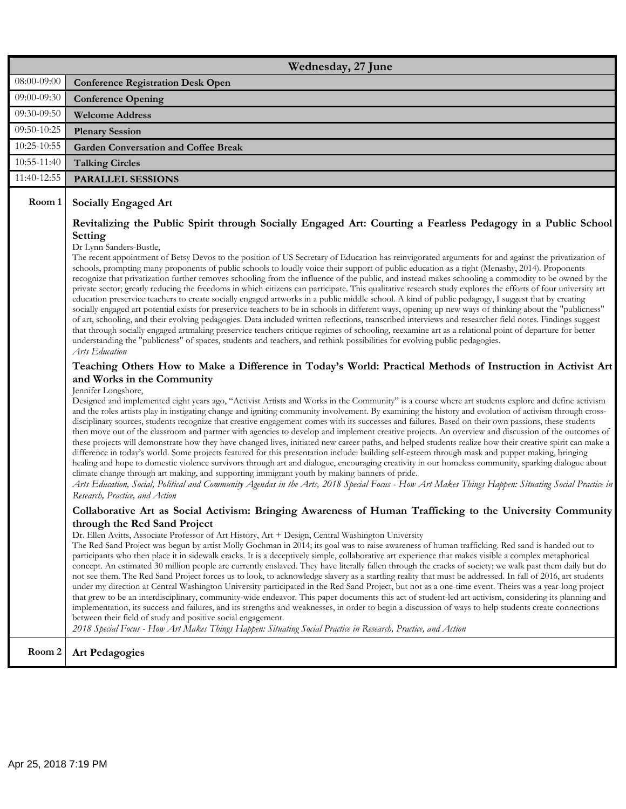|             | Wednesday, 27 June                                                                                                                                                                                                                                                                                                                                                                                                                                                                                                                                                                                                                                                                                                                                                                                                                                                                                                                                                                                                                                                                                                                                                                                                                                                                                                                                                                                                                                                                                                                                                       |
|-------------|--------------------------------------------------------------------------------------------------------------------------------------------------------------------------------------------------------------------------------------------------------------------------------------------------------------------------------------------------------------------------------------------------------------------------------------------------------------------------------------------------------------------------------------------------------------------------------------------------------------------------------------------------------------------------------------------------------------------------------------------------------------------------------------------------------------------------------------------------------------------------------------------------------------------------------------------------------------------------------------------------------------------------------------------------------------------------------------------------------------------------------------------------------------------------------------------------------------------------------------------------------------------------------------------------------------------------------------------------------------------------------------------------------------------------------------------------------------------------------------------------------------------------------------------------------------------------|
| 08:00-09:00 | <b>Conference Registration Desk Open</b>                                                                                                                                                                                                                                                                                                                                                                                                                                                                                                                                                                                                                                                                                                                                                                                                                                                                                                                                                                                                                                                                                                                                                                                                                                                                                                                                                                                                                                                                                                                                 |
| 09:00-09:30 | <b>Conference Opening</b>                                                                                                                                                                                                                                                                                                                                                                                                                                                                                                                                                                                                                                                                                                                                                                                                                                                                                                                                                                                                                                                                                                                                                                                                                                                                                                                                                                                                                                                                                                                                                |
| 09:30-09:50 | <b>Welcome Address</b>                                                                                                                                                                                                                                                                                                                                                                                                                                                                                                                                                                                                                                                                                                                                                                                                                                                                                                                                                                                                                                                                                                                                                                                                                                                                                                                                                                                                                                                                                                                                                   |
| 09:50-10:25 | <b>Plenary Session</b>                                                                                                                                                                                                                                                                                                                                                                                                                                                                                                                                                                                                                                                                                                                                                                                                                                                                                                                                                                                                                                                                                                                                                                                                                                                                                                                                                                                                                                                                                                                                                   |
| 10:25-10:55 | <b>Garden Conversation and Coffee Break</b>                                                                                                                                                                                                                                                                                                                                                                                                                                                                                                                                                                                                                                                                                                                                                                                                                                                                                                                                                                                                                                                                                                                                                                                                                                                                                                                                                                                                                                                                                                                              |
| 10:55-11:40 | <b>Talking Circles</b>                                                                                                                                                                                                                                                                                                                                                                                                                                                                                                                                                                                                                                                                                                                                                                                                                                                                                                                                                                                                                                                                                                                                                                                                                                                                                                                                                                                                                                                                                                                                                   |
| 11:40-12:55 | <b>PARALLEL SESSIONS</b>                                                                                                                                                                                                                                                                                                                                                                                                                                                                                                                                                                                                                                                                                                                                                                                                                                                                                                                                                                                                                                                                                                                                                                                                                                                                                                                                                                                                                                                                                                                                                 |
| Room 1      | <b>Socially Engaged Art</b><br>Revitalizing the Public Spirit through Socially Engaged Art: Courting a Fearless Pedagogy in a Public School                                                                                                                                                                                                                                                                                                                                                                                                                                                                                                                                                                                                                                                                                                                                                                                                                                                                                                                                                                                                                                                                                                                                                                                                                                                                                                                                                                                                                              |
|             | Setting<br>Dr Lynn Sanders-Bustle,<br>The recent appointment of Betsy Devos to the position of US Secretary of Education has reinvigorated arguments for and against the privatization of<br>schools, prompting many proponents of public schools to loudly voice their support of public education as a right (Menashy, 2014). Proponents<br>recognize that privatization further removes schooling from the influence of the public, and instead makes schooling a commodity to be owned by the<br>private sector; greatly reducing the freedoms in which citizens can participate. This qualitative research study explores the efforts of four university art<br>education preservice teachers to create socially engaged artworks in a public middle school. A kind of public pedagogy, I suggest that by creating<br>socially engaged art potential exists for preservice teachers to be in schools in different ways, opening up new ways of thinking about the "publicness"<br>of art, schooling, and their evolving pedagogies. Data included written reflections, transcribed interviews and researcher field notes. Findings suggest<br>that through socially engaged artmaking preservice teachers critique regimes of schooling, reexamine art as a relational point of departure for better<br>understanding the "publicness" of spaces, students and teachers, and rethink possibilities for evolving public pedagogies.<br>Arts Education<br>Teaching Others How to Make a Difference in Today's World: Practical Methods of Instruction in Activist Art |
|             | and Works in the Community<br>Jennifer Longshore,<br>Designed and implemented eight years ago, "Activist Artists and Works in the Community" is a course where art students explore and define activism<br>and the roles artists play in instigating change and igniting community involvement. By examining the history and evolution of activism through cross-<br>disciplinary sources, students recognize that creative engagement comes with its successes and failures. Based on their own passions, these students<br>then move out of the classroom and partner with agencies to develop and implement creative projects. An overview and discussion of the outcomes of<br>these projects will demonstrate how they have changed lives, initiated new career paths, and helped students realize how their creative spirit can make a<br>difference in today's world. Some projects featured for this presentation include: building self-esteem through mask and puppet making, bringing<br>healing and hope to domestic violence survivors through art and dialogue, encouraging creativity in our homeless community, sparking dialogue about<br>climate change through art making, and supporting immigrant youth by making banners of pride.<br>Arts Education, Social, Political and Community Agendas in the Arts, 2018 Special Focus - How Art Makes Things Happen: Situating Social Practice in<br>Research, Practice, and Action                                                                                                                        |
|             | Collaborative Art as Social Activism: Bringing Awareness of Human Trafficking to the University Community<br>through the Red Sand Project<br>Dr. Ellen Avitts, Associate Professor of Art History, Art + Design, Central Washington University<br>The Red Sand Project was begun by artist Molly Gochman in 2014; its goal was to raise awareness of human trafficking. Red sand is handed out to<br>participants who then place it in sidewalk cracks. It is a deceptively simple, collaborative art experience that makes visible a complex metaphorical<br>concept. An estimated 30 million people are currently enslaved. They have literally fallen through the cracks of society; we walk past them daily but do<br>not see them. The Red Sand Project forces us to look, to acknowledge slavery as a startling reality that must be addressed. In fall of 2016, art students<br>under my direction at Central Washington University participated in the Red Sand Project, but not as a one-time event. Theirs was a year-long project<br>that grew to be an interdisciplinary, community-wide endeavor. This paper documents this act of student-led art activism, considering its planning and<br>implementation, its success and failures, and its strengths and weaknesses, in order to begin a discussion of ways to help students create connections<br>between their field of study and positive social engagement.<br>2018 Special Focus - How Art Makes Things Happen: Situating Social Practice in Research, Practice, and Action                        |
| Room 2      | <b>Art Pedagogies</b>                                                                                                                                                                                                                                                                                                                                                                                                                                                                                                                                                                                                                                                                                                                                                                                                                                                                                                                                                                                                                                                                                                                                                                                                                                                                                                                                                                                                                                                                                                                                                    |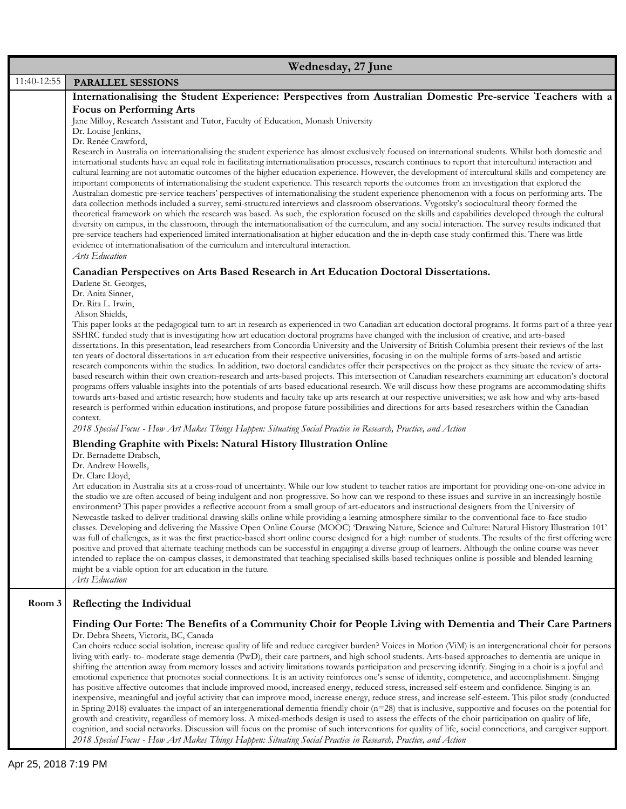|             | Wednesday, 27 June                                                                                                                                                                                                                                                                                                  |
|-------------|---------------------------------------------------------------------------------------------------------------------------------------------------------------------------------------------------------------------------------------------------------------------------------------------------------------------|
| 11:40-12:55 | <b>PARALLEL SESSIONS</b>                                                                                                                                                                                                                                                                                            |
|             | Internationalising the Student Experience: Perspectives from Australian Domestic Pre-service Teachers with a                                                                                                                                                                                                        |
|             | <b>Focus on Performing Arts</b>                                                                                                                                                                                                                                                                                     |
|             | Jane Milloy, Research Assistant and Tutor, Faculty of Education, Monash University                                                                                                                                                                                                                                  |
|             | Dr. Louise Jenkins,<br>Dr. Renée Crawford,                                                                                                                                                                                                                                                                          |
|             | Research in Australia on internationalising the student experience has almost exclusively focused on international students. Whilst both domestic and                                                                                                                                                               |
|             | international students have an equal role in facilitating internationalisation processes, research continues to report that intercultural interaction and<br>cultural learning are not automatic outcomes of the higher education experience. However, the development of intercultural skills and competency are   |
|             | important components of internationalising the student experience. This research reports the outcomes from an investigation that explored the                                                                                                                                                                       |
|             | Australian domestic pre-service teachers' perspectives of internationalising the student experience phenomenon with a focus on performing arts. The                                                                                                                                                                 |
|             | data collection methods included a survey, semi-structured interviews and classroom observations. Vygotsky's sociocultural theory formed the<br>theoretical framework on which the research was based. As such, the exploration focused on the skills and capabilities developed through the cultural               |
|             | diversity on campus, in the classroom, through the internationalisation of the curriculum, and any social interaction. The survey results indicated that                                                                                                                                                            |
|             | pre-service teachers had experienced limited internationalisation at higher education and the in-depth case study confirmed this. There was little                                                                                                                                                                  |
|             | evidence of internationalisation of the curriculum and intercultural interaction.<br>Arts Education                                                                                                                                                                                                                 |
|             |                                                                                                                                                                                                                                                                                                                     |
|             | Canadian Perspectives on Arts Based Research in Art Education Doctoral Dissertations.<br>Darlene St. Georges,                                                                                                                                                                                                       |
|             | Dr. Anita Sinner,                                                                                                                                                                                                                                                                                                   |
|             | Dr. Rita L. Irwin,<br>Alison Shields,                                                                                                                                                                                                                                                                               |
|             | This paper looks at the pedagogical turn to art in research as experienced in two Canadian art education doctoral programs. It forms part of a three-year                                                                                                                                                           |
|             | SSHRC funded study that is investigating how art education doctoral programs have changed with the inclusion of creative, and arts-based                                                                                                                                                                            |
|             | dissertations. In this presentation, lead researchers from Concordia University and the University of British Columbia present their reviews of the last<br>ten years of doctoral dissertations in art education from their respective universities, focusing in on the multiple forms of arts-based and artistic   |
|             | research components within the studies. In addition, two doctoral candidates offer their perspectives on the project as they situate the review of arts-                                                                                                                                                            |
|             | based research within their own creation-research and arts-based projects. This intersection of Canadian researchers examining art education's doctoral                                                                                                                                                             |
|             | programs offers valuable insights into the potentials of arts-based educational research. We will discuss how these programs are accommodating shifts<br>towards arts-based and artistic research; how students and faculty take up arts research at our respective universities; we ask how and why arts-based     |
|             | research is performed within education institutions, and propose future possibilities and directions for arts-based researchers within the Canadian                                                                                                                                                                 |
|             | context.<br>2018 Special Focus - How Art Makes Things Happen: Situating Social Practice in Research, Practice, and Action                                                                                                                                                                                           |
|             |                                                                                                                                                                                                                                                                                                                     |
|             | Blending Graphite with Pixels: Natural History Illustration Online<br>Dr. Bernadette Drabsch,                                                                                                                                                                                                                       |
|             | Dr. Andrew Howells,                                                                                                                                                                                                                                                                                                 |
|             | Dr. Clare Lloyd,<br>Art education in Australia sits at a cross-road of uncertainty. While our low student to teacher ratios are important for providing one-on-one advice in                                                                                                                                        |
|             | the studio we are often accused of being indulgent and non-progressive. So how can we respond to these issues and survive in an increasingly hostile                                                                                                                                                                |
|             | environment? This paper provides a reflective account from a small group of art-educators and instructional designers from the University of                                                                                                                                                                        |
|             | Newcastle tasked to deliver traditional drawing skills online while providing a learning atmosphere similar to the conventional face-to-face studio<br>classes. Developing and delivering the Massive Open Online Course (MOOC) 'Drawing Nature, Science and Culture: Natural History Illustration 101'             |
|             | was full of challenges, as it was the first practice-based short online course designed for a high number of students. The results of the first offering were                                                                                                                                                       |
|             | positive and proved that alternate teaching methods can be successful in engaging a diverse group of learners. Although the online course was never                                                                                                                                                                 |
|             | intended to replace the on-campus classes, it demonstrated that teaching specialised skills-based techniques online is possible and blended learning<br>might be a viable option for art education in the future.                                                                                                   |
|             | Arts Education                                                                                                                                                                                                                                                                                                      |
|             |                                                                                                                                                                                                                                                                                                                     |
| Room 3      | Reflecting the Individual                                                                                                                                                                                                                                                                                           |
|             | Finding Our Forte: The Benefits of a Community Choir for People Living with Dementia and Their Care Partners                                                                                                                                                                                                        |
|             | Dr. Debra Sheets, Victoria, BC, Canada<br>Can choirs reduce social isolation, increase quality of life and reduce caregiver burden? Voices in Motion (ViM) is an intergenerational choir for persons                                                                                                                |
|             | living with early- to- moderate stage dementia (PwD), their care partners, and high school students. Arts-based approaches to dementia are unique in                                                                                                                                                                |
|             | shifting the attention away from memory losses and activity limitations towards participation and preserving identify. Singing in a choir is a joyful and                                                                                                                                                           |
|             | emotional experience that promotes social connections. It is an activity reinforces one's sense of identity, competence, and accomplishment. Singing<br>has positive affective outcomes that include improved mood, increased energy, reduced stress, increased self-esteem and confidence. Singing is an           |
|             | inexpensive, meaningful and joyful activity that can improve mood, increase energy, reduce stress, and increase self-esteem. This pilot study (conducted                                                                                                                                                            |
|             | in Spring 2018) evaluates the impact of an intergenerational dementia friendly choir $(n=28)$ that is inclusive, supportive and focuses on the potential for                                                                                                                                                        |
|             | growth and creativity, regardless of memory loss. A mixed-methods design is used to assess the effects of the choir participation on quality of life,<br>cognition, and social networks. Discussion will focus on the promise of such interventions for quality of life, social connections, and caregiver support. |
|             | 2018 Special Focus - How Art Makes Things Happen: Situating Social Practice in Research, Practice, and Action                                                                                                                                                                                                       |
|             |                                                                                                                                                                                                                                                                                                                     |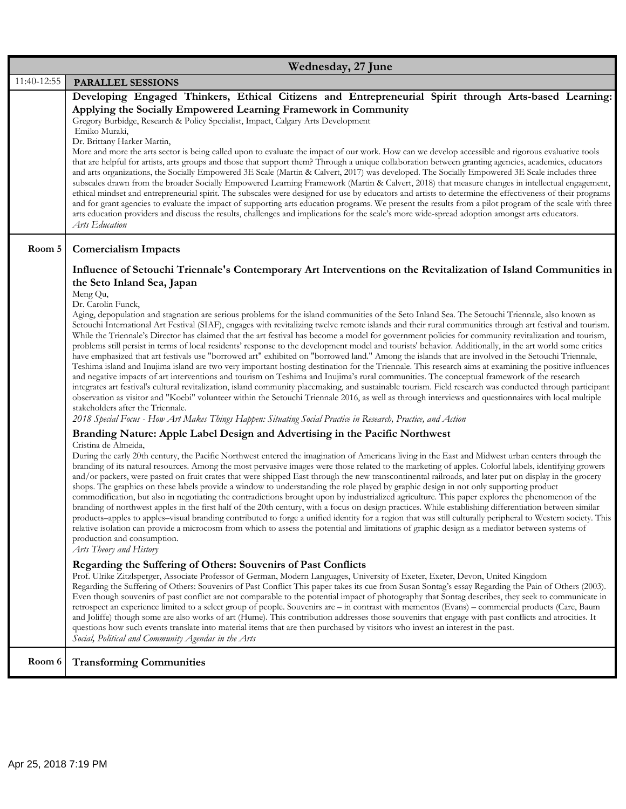|             | Wednesday, 27 June                                                                                                                                                                                                                                                                                                                                                                                                                                                                                                                                                                                                                                                                                                                                                                                                                                                                                                                                                                                                                                                                                                                                                                                                                                                                                                                                                                                                                                                                                                                                                                                                                                                                                                                                                                                |
|-------------|---------------------------------------------------------------------------------------------------------------------------------------------------------------------------------------------------------------------------------------------------------------------------------------------------------------------------------------------------------------------------------------------------------------------------------------------------------------------------------------------------------------------------------------------------------------------------------------------------------------------------------------------------------------------------------------------------------------------------------------------------------------------------------------------------------------------------------------------------------------------------------------------------------------------------------------------------------------------------------------------------------------------------------------------------------------------------------------------------------------------------------------------------------------------------------------------------------------------------------------------------------------------------------------------------------------------------------------------------------------------------------------------------------------------------------------------------------------------------------------------------------------------------------------------------------------------------------------------------------------------------------------------------------------------------------------------------------------------------------------------------------------------------------------------------|
| 11:40-12:55 | <b>PARALLEL SESSIONS</b>                                                                                                                                                                                                                                                                                                                                                                                                                                                                                                                                                                                                                                                                                                                                                                                                                                                                                                                                                                                                                                                                                                                                                                                                                                                                                                                                                                                                                                                                                                                                                                                                                                                                                                                                                                          |
|             | Developing Engaged Thinkers, Ethical Citizens and Entrepreneurial Spirit through Arts-based Learning:<br>Applying the Socially Empowered Learning Framework in Community<br>Gregory Burbidge, Research & Policy Specialist, Impact, Calgary Arts Development<br>Emiko Muraki,<br>Dr. Brittany Harker Martin,<br>More and more the arts sector is being called upon to evaluate the impact of our work. How can we develop accessible and rigorous evaluative tools<br>that are helpful for artists, arts groups and those that support them? Through a unique collaboration between granting agencies, academics, educators<br>and arts organizations, the Socially Empowered 3E Scale (Martin & Calvert, 2017) was developed. The Socially Empowered 3E Scale includes three<br>subscales drawn from the broader Socially Empowered Learning Framework (Martin & Calvert, 2018) that measure changes in intellectual engagement,<br>ethical mindset and entrepreneurial spirit. The subscales were designed for use by educators and artists to determine the effectiveness of their programs<br>and for grant agencies to evaluate the impact of supporting arts education programs. We present the results from a pilot program of the scale with three<br>arts education providers and discuss the results, challenges and implications for the scale's more wide-spread adoption amongst arts educators.<br>Arts Education                                                                                                                                                                                                                                                                                                                                                                   |
| Room 5      | <b>Comercialism Impacts</b><br>Influence of Setouchi Triennale's Contemporary Art Interventions on the Revitalization of Island Communities in<br>the Seto Inland Sea, Japan<br>Meng Qu,<br>Dr. Carolin Funck,<br>Aging, depopulation and stagnation are serious problems for the island communities of the Seto Inland Sea. The Setouchi Triennale, also known as<br>Setouchi International Art Festival (SIAF), engages with revitalizing twelve remote islands and their rural communities through art festival and tourism.<br>While the Triennale's Director has claimed that the art festival has become a model for government policies for community revitalization and tourism,<br>problems still persist in terms of local residents' response to the development model and tourists' behavior. Additionally, in the art world some critics<br>have emphasized that art festivals use "borrowed art" exhibited on "borrowed land." Among the islands that are involved in the Setouchi Triennale,<br>Teshima island and Inujima island are two very important hosting destination for the Triennale. This research aims at examining the positive influences<br>and negative impacts of art interventions and tourism on Teshima and Inujima's rural communities. The conceptual framework of the research<br>integrates art festival's cultural revitalization, island community placemaking, and sustainable tourism. Field research was conducted through participant<br>observation as visitor and "Koebi" volunteer within the Setouchi Triennale 2016, as well as through interviews and questionnaires with local multiple<br>stakeholders after the Triennale.<br>2018 Special Focus - How Art Makes Things Happen: Situating Social Practice in Research, Practice, and Action |
|             | Branding Nature: Apple Label Design and Advertising in the Pacific Northwest<br>Cristina de Almeida,<br>During the early 20th century, the Pacific Northwest entered the imagination of Americans living in the East and Midwest urban centers through the<br>branding of its natural resources. Among the most pervasive images were those related to the marketing of apples. Colorful labels, identifying growers<br>and/or packers, were pasted on fruit crates that were shipped East through the new transcontinental railroads, and later put on display in the grocery<br>shops. The graphics on these labels provide a window to understanding the role played by graphic design in not only supporting product<br>commodification, but also in negotiating the contradictions brought upon by industrialized agriculture. This paper explores the phenomenon of the<br>branding of northwest apples in the first half of the 20th century, with a focus on design practices. While establishing differentiation between similar<br>products-apples to apples-visual branding contributed to forge a unified identity for a region that was still culturally peripheral to Western society. This<br>relative isolation can provide a microcosm from which to assess the potential and limitations of graphic design as a mediator between systems of<br>production and consumption.<br>Arts Theory and History<br>Regarding the Suffering of Others: Souvenirs of Past Conflicts<br>Prof. Ulrike Zitzlsperger, Associate Professor of German, Modern Languages, University of Exeter, Exeter, Devon, United Kingdom<br>Regarding the Suffering of Others: Souvenirs of Past Conflict This paper takes its cue from Susan Sontag's essay Regarding the Pain of Others (2003).             |
| Room 6      | Even though souvenirs of past conflict are not comparable to the potential impact of photography that Sontag describes, they seek to communicate in<br>retrospect an experience limited to a select group of people. Souvenirs are - in contrast with mementos (Evans) - commercial products (Care, Baum<br>and Joliffe) though some are also works of art (Hume). This contribution addresses those souvenirs that engage with past conflicts and atrocities. It<br>questions how such events translate into material items that are then purchased by visitors who invest an interest in the past.<br>Social, Political and Community Agendas in the Arts<br><b>Transforming Communities</b>                                                                                                                                                                                                                                                                                                                                                                                                                                                                                                                                                                                                                                                                                                                                                                                                                                                                                                                                                                                                                                                                                                    |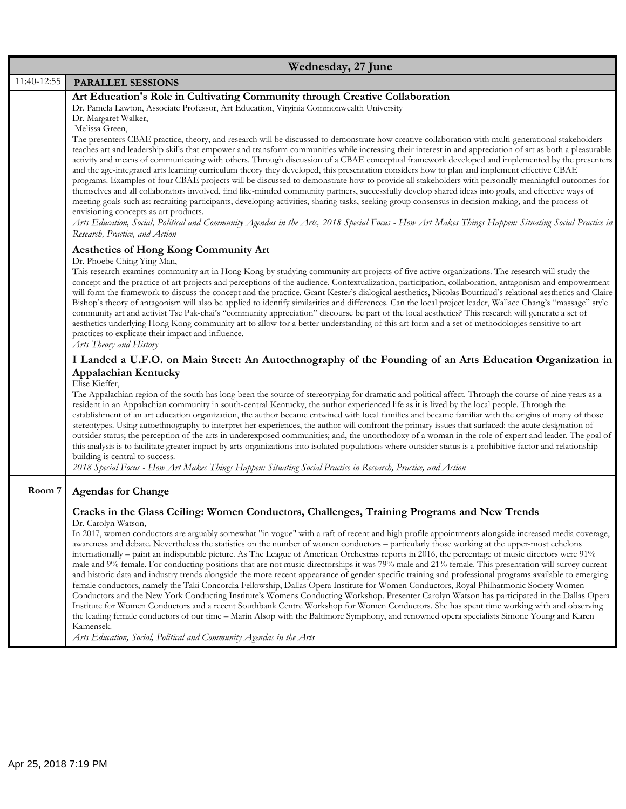|             | Wednesday, 27 June                                                                                                                                                                                                                                                                                                                                                                                                                                                                                                                                                                                                                                                                                                                                                                                                                                                                                                                                                                                                                                                                                                                                                                                                                                                                                                                                                                                                                                                                                                                                                     |
|-------------|------------------------------------------------------------------------------------------------------------------------------------------------------------------------------------------------------------------------------------------------------------------------------------------------------------------------------------------------------------------------------------------------------------------------------------------------------------------------------------------------------------------------------------------------------------------------------------------------------------------------------------------------------------------------------------------------------------------------------------------------------------------------------------------------------------------------------------------------------------------------------------------------------------------------------------------------------------------------------------------------------------------------------------------------------------------------------------------------------------------------------------------------------------------------------------------------------------------------------------------------------------------------------------------------------------------------------------------------------------------------------------------------------------------------------------------------------------------------------------------------------------------------------------------------------------------------|
| 11:40-12:55 | PARALLEL SESSIONS                                                                                                                                                                                                                                                                                                                                                                                                                                                                                                                                                                                                                                                                                                                                                                                                                                                                                                                                                                                                                                                                                                                                                                                                                                                                                                                                                                                                                                                                                                                                                      |
|             | Art Education's Role in Cultivating Community through Creative Collaboration<br>Dr. Pamela Lawton, Associate Professor, Art Education, Virginia Commonwealth University<br>Dr. Margaret Walker,<br>Melissa Green,<br>The presenters CBAE practice, theory, and research will be discussed to demonstrate how creative collaboration with multi-generational stakeholders<br>teaches art and leadership skills that empower and transform communities while increasing their interest in and appreciation of art as both a pleasurable<br>activity and means of communicating with others. Through discussion of a CBAE conceptual framework developed and implemented by the presenters<br>and the age-integrated arts learning curriculum theory they developed, this presentation considers how to plan and implement effective CBAE<br>programs. Examples of four CBAE projects will be discussed to demonstrate how to provide all stakeholders with personally meaningful outcomes for<br>themselves and all collaborators involved, find like-minded community partners, successfully develop shared ideas into goals, and effective ways of<br>meeting goals such as: recruiting participants, developing activities, sharing tasks, seeking group consensus in decision making, and the process of<br>envisioning concepts as art products.                                                                                                                                                                                                                    |
|             | Arts Education, Social, Political and Community Agendas in the Arts, 2018 Special Focus - How Art Makes Things Happen: Situating Social Practice in<br>Research, Practice, and Action<br><b>Aesthetics of Hong Kong Community Art</b>                                                                                                                                                                                                                                                                                                                                                                                                                                                                                                                                                                                                                                                                                                                                                                                                                                                                                                                                                                                                                                                                                                                                                                                                                                                                                                                                  |
|             | Dr. Phoebe Ching Ying Man,<br>This research examines community art in Hong Kong by studying community art projects of five active organizations. The research will study the<br>concept and the practice of art projects and perceptions of the audience. Contextualization, participation, collaboration, antagonism and empowerment<br>will form the framework to discuss the concept and the practice. Grant Kester's dialogical aesthetics, Nicolas Bourriaud's relational aesthetics and Claire<br>Bishop's theory of antagonism will also be applied to identify similarities and differences. Can the local project leader, Wallace Chang's "massage" style<br>community art and activist Tse Pak-chai's "community appreciation" discourse be part of the local aesthetics? This research will generate a set of<br>aesthetics underlying Hong Kong community art to allow for a better understanding of this art form and a set of methodologies sensitive to art<br>practices to explicate their impact and influence.<br>Arts Theory and History                                                                                                                                                                                                                                                                                                                                                                                                                                                                                                            |
|             | I Landed a U.F.O. on Main Street: An Autoethnography of the Founding of an Arts Education Organization in<br><b>Appalachian Kentucky</b><br>Elise Kieffer,<br>The Appalachian region of the south has long been the source of stereotyping for dramatic and political affect. Through the course of nine years as a<br>resident in an Appalachian community in south-central Kentucky, the author experienced life as it is lived by the local people. Through the<br>establishment of an art education organization, the author became entwined with local families and became familiar with the origins of many of those<br>stereotypes. Using autoethnography to interpret her experiences, the author will confront the primary issues that surfaced: the acute designation of<br>outsider status; the perception of the arts in underexposed communities; and, the unorthodoxy of a woman in the role of expert and leader. The goal of<br>this analysis is to facilitate greater impact by arts organizations into isolated populations where outsider status is a prohibitive factor and relationship<br>building is central to success.<br>2018 Special Focus - How Art Makes Things Happen: Situating Social Practice in Research, Practice, and Action                                                                                                                                                                                                                                                                                                       |
| Room 7      | <b>Agendas for Change</b>                                                                                                                                                                                                                                                                                                                                                                                                                                                                                                                                                                                                                                                                                                                                                                                                                                                                                                                                                                                                                                                                                                                                                                                                                                                                                                                                                                                                                                                                                                                                              |
|             | Cracks in the Glass Ceiling: Women Conductors, Challenges, Training Programs and New Trends<br>Dr. Carolyn Watson,<br>In 2017, women conductors are arguably somewhat "in vogue" with a raft of recent and high profile appointments alongside increased media coverage,<br>awareness and debate. Nevertheless the statistics on the number of women conductors - particularly those working at the upper-most echelons<br>internationally – paint an indisputable picture. As The League of American Orchestras reports in 2016, the percentage of music directors were 91%<br>male and 9% female. For conducting positions that are not music directorships it was 79% male and 21% female. This presentation will survey current<br>and historic data and industry trends alongside the more recent appearance of gender-specific training and professional programs available to emerging<br>female conductors, namely the Taki Concordia Fellowship, Dallas Opera Institute for Women Conductors, Royal Philharmonic Society Women<br>Conductors and the New York Conducting Institute's Womens Conducting Workshop. Presenter Carolyn Watson has participated in the Dallas Opera<br>Institute for Women Conductors and a recent Southbank Centre Workshop for Women Conductors. She has spent time working with and observing<br>the leading female conductors of our time - Marin Alsop with the Baltimore Symphony, and renowned opera specialists Simone Young and Karen<br>Kamensek.<br>Arts Education, Social, Political and Community Agendas in the Arts |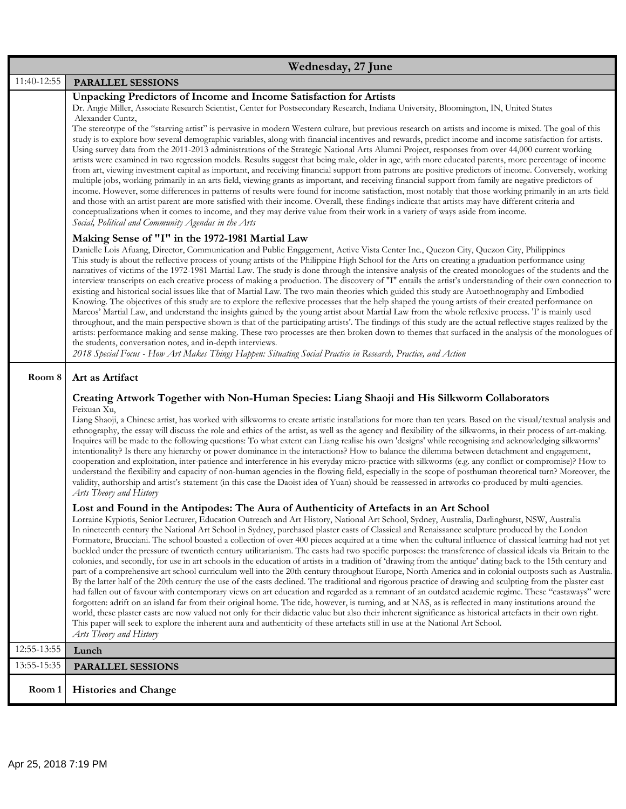|             | Wednesday, 27 June                                                                                                                                                                                                                                                                                                                                                                                                                                                                                                                                                                                                                                                                                                                                                                                                                                                                                                                                                                                                                                                                                                                                                                                                                                                                                                                                                                                                                                                                                                                                                                                                                                                                                                                                                                                                                                         |
|-------------|------------------------------------------------------------------------------------------------------------------------------------------------------------------------------------------------------------------------------------------------------------------------------------------------------------------------------------------------------------------------------------------------------------------------------------------------------------------------------------------------------------------------------------------------------------------------------------------------------------------------------------------------------------------------------------------------------------------------------------------------------------------------------------------------------------------------------------------------------------------------------------------------------------------------------------------------------------------------------------------------------------------------------------------------------------------------------------------------------------------------------------------------------------------------------------------------------------------------------------------------------------------------------------------------------------------------------------------------------------------------------------------------------------------------------------------------------------------------------------------------------------------------------------------------------------------------------------------------------------------------------------------------------------------------------------------------------------------------------------------------------------------------------------------------------------------------------------------------------------|
| 11:40-12:55 | <b>PARALLEL SESSIONS</b>                                                                                                                                                                                                                                                                                                                                                                                                                                                                                                                                                                                                                                                                                                                                                                                                                                                                                                                                                                                                                                                                                                                                                                                                                                                                                                                                                                                                                                                                                                                                                                                                                                                                                                                                                                                                                                   |
|             | Unpacking Predictors of Income and Income Satisfaction for Artists<br>Dr. Angie Miller, Associate Research Scientist, Center for Postsecondary Research, Indiana University, Bloomington, IN, United States<br>Alexander Cuntz,<br>The stereotype of the "starving artist" is pervasive in modern Western culture, but previous research on artists and income is mixed. The goal of this<br>study is to explore how several demographic variables, along with financial incentives and rewards, predict income and income satisfaction for artists.<br>Using survey data from the 2011-2013 administrations of the Strategic National Arts Alumni Project, responses from over 44,000 current working<br>artists were examined in two regression models. Results suggest that being male, older in age, with more educated parents, more percentage of income<br>from art, viewing investment capital as important, and receiving financial support from patrons are positive predictors of income. Conversely, working<br>multiple jobs, working primarily in an arts field, viewing grants as important, and receiving financial support from family are negative predictors of<br>income. However, some differences in patterns of results were found for income satisfaction, most notably that those working primarily in an arts field<br>and those with an artist parent are more satisfied with their income. Overall, these findings indicate that artists may have different criteria and<br>conceptualizations when it comes to income, and they may derive value from their work in a variety of ways aside from income.<br>Social, Political and Community Agendas in the Arts                                                                                                                                                               |
|             | Making Sense of "I" in the 1972-1981 Martial Law<br>Danielle Lois Afuang, Director, Communication and Public Engagement, Active Vista Center Inc., Quezon City, Quezon City, Philippines<br>This study is about the reflective process of young artists of the Philippine High School for the Arts on creating a graduation performance using<br>narratives of victims of the 1972-1981 Martial Law. The study is done through the intensive analysis of the created monologues of the students and the<br>interview transcripts on each creative process of making a production. The discovery of "I" entails the artist's understanding of their own connection to<br>existing and historical social issues like that of Martial Law. The two main theories which guided this study are Autoethnography and Embodied<br>Knowing. The objectives of this study are to explore the reflexive processes that the help shaped the young artists of their created performance on<br>Marcos' Martial Law, and understand the insights gained by the young artist about Martial Law from the whole reflexive process. T' is mainly used<br>throughout, and the main perspective shown is that of the participating artists'. The findings of this study are the actual reflective stages realized by the<br>artists: performance making and sense making. These two processes are then broken down to themes that surfaced in the analysis of the monologues of<br>the students, conversation notes, and in-depth interviews.<br>2018 Special Focus - How Art Makes Things Happen: Situating Social Practice in Research, Practice, and Action                                                                                                                                                                                                                  |
| Room 8      | Art as Artifact<br>Creating Artwork Together with Non-Human Species: Liang Shaoji and His Silkworm Collaborators<br>Feixuan Xu,<br>Liang Shaoji, a Chinese artist, has worked with silkworms to create artistic installations for more than ten years. Based on the visual/textual analysis and                                                                                                                                                                                                                                                                                                                                                                                                                                                                                                                                                                                                                                                                                                                                                                                                                                                                                                                                                                                                                                                                                                                                                                                                                                                                                                                                                                                                                                                                                                                                                            |
|             | ethnography, the essay will discuss the role and ethics of the artist, as well as the agency and flexibility of the silkworms, in their process of art-making.<br>Inquires will be made to the following questions: To what extent can Liang realise his own 'designs' while recognising and acknowledging silkworms'<br>intentionality? Is there any hierarchy or power dominance in the interactions? How to balance the dilemma between detachment and engagement,<br>cooperation and exploitation, inter-patience and interference in his everyday micro-practice with silkworms (e.g. any conflict or compromise)? How to<br>understand the flexibility and capacity of non-human agencies in the flowing field, especially in the scope of posthuman theoretical turn? Moreover, the<br>validity, authorship and artist's statement (in this case the Daoist idea of Yuan) should be reassessed in artworks co-produced by multi-agencies.<br>Arts Theory and History                                                                                                                                                                                                                                                                                                                                                                                                                                                                                                                                                                                                                                                                                                                                                                                                                                                                                |
|             | Lost and Found in the Antipodes: The Aura of Authenticity of Artefacts in an Art School<br>Lorraine Kypiotis, Senior Lecturer, Education Outreach and Art History, National Art School, Sydney, Australia, Darlinghurst, NSW, Australia<br>In nineteenth century the National Art School in Sydney, purchased plaster casts of Classical and Renaissance sculpture produced by the London<br>Formatore, Brucciani. The school boasted a collection of over 400 pieces acquired at a time when the cultural influence of classical learning had not yet<br>buckled under the pressure of twentieth century utilitarianism. The casts had two specific purposes: the transference of classical ideals via Britain to the<br>colonies, and secondly, for use in art schools in the education of artists in a tradition of 'drawing from the antique' dating back to the 15th century and<br>part of a comprehensive art school curriculum well into the 20th century throughout Europe, North America and in colonial outposts such as Australia.<br>By the latter half of the 20th century the use of the casts declined. The traditional and rigorous practice of drawing and sculpting from the plaster cast<br>had fallen out of favour with contemporary views on art education and regarded as a remnant of an outdated academic regime. These "castaways" were<br>forgotten: adrift on an island far from their original home. The tide, however, is turning, and at NAS, as is reflected in many institutions around the<br>world, these plaster casts are now valued not only for their didactic value but also their inherent significance as historical artefacts in their own right.<br>This paper will seek to explore the inherent aura and authenticity of these artefacts still in use at the National Art School.<br>Arts Theory and History |
| 12:55-13:55 | Lunch                                                                                                                                                                                                                                                                                                                                                                                                                                                                                                                                                                                                                                                                                                                                                                                                                                                                                                                                                                                                                                                                                                                                                                                                                                                                                                                                                                                                                                                                                                                                                                                                                                                                                                                                                                                                                                                      |
| 13:55-15:35 | <b>PARALLEL SESSIONS</b>                                                                                                                                                                                                                                                                                                                                                                                                                                                                                                                                                                                                                                                                                                                                                                                                                                                                                                                                                                                                                                                                                                                                                                                                                                                                                                                                                                                                                                                                                                                                                                                                                                                                                                                                                                                                                                   |
| Room 1      | <b>Histories and Change</b>                                                                                                                                                                                                                                                                                                                                                                                                                                                                                                                                                                                                                                                                                                                                                                                                                                                                                                                                                                                                                                                                                                                                                                                                                                                                                                                                                                                                                                                                                                                                                                                                                                                                                                                                                                                                                                |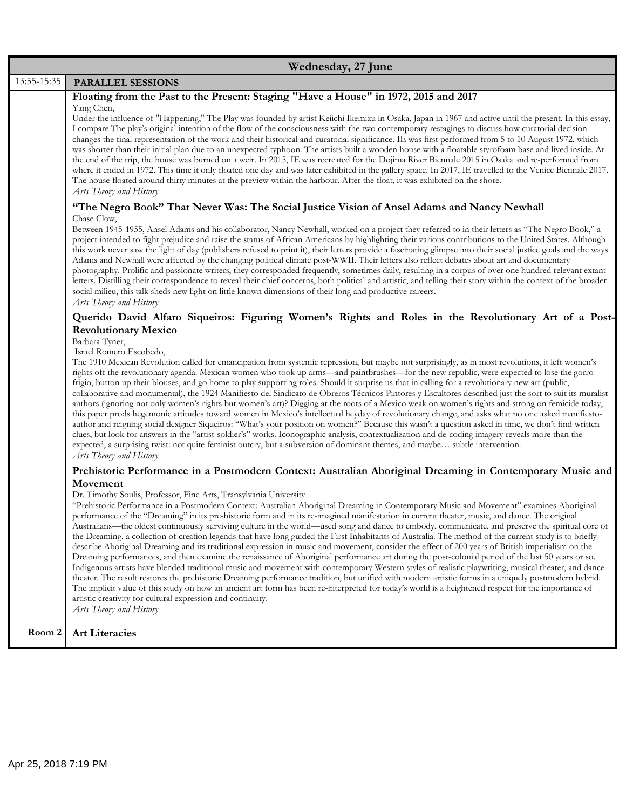|             | Wednesday, 27 June                                                                                                                                                                                                                                                                                                                                                                                                                                                                                                                                                                                                                                                                                                                                                                                                                                                                                                                                                                                                                                                                                                                                                                                                                                                                                                                                                                                                                                                                                                                                                                                                                                                                  |
|-------------|-------------------------------------------------------------------------------------------------------------------------------------------------------------------------------------------------------------------------------------------------------------------------------------------------------------------------------------------------------------------------------------------------------------------------------------------------------------------------------------------------------------------------------------------------------------------------------------------------------------------------------------------------------------------------------------------------------------------------------------------------------------------------------------------------------------------------------------------------------------------------------------------------------------------------------------------------------------------------------------------------------------------------------------------------------------------------------------------------------------------------------------------------------------------------------------------------------------------------------------------------------------------------------------------------------------------------------------------------------------------------------------------------------------------------------------------------------------------------------------------------------------------------------------------------------------------------------------------------------------------------------------------------------------------------------------|
| 13:55-15:35 | <b>PARALLEL SESSIONS</b>                                                                                                                                                                                                                                                                                                                                                                                                                                                                                                                                                                                                                                                                                                                                                                                                                                                                                                                                                                                                                                                                                                                                                                                                                                                                                                                                                                                                                                                                                                                                                                                                                                                            |
|             | Floating from the Past to the Present: Staging "Have a House" in 1972, 2015 and 2017<br>Yang Chen,<br>Under the influence of "Happening," The Play was founded by artist Keiichi Ikemizu in Osaka, Japan in 1967 and active until the present. In this essay,<br>I compare The play's original intention of the flow of the consciousness with the two contemporary restagings to discuss how curatorial decision<br>changes the final representation of the work and their historical and curatorial significance. IE was first performed from 5 to 10 August 1972, which<br>was shorter than their initial plan due to an unexpected typhoon. The artists built a wooden house with a floatable styrofoam base and lived inside. At<br>the end of the trip, the house was burned on a weir. In 2015, IE was recreated for the Dojima River Biennale 2015 in Osaka and re-performed from<br>where it ended in 1972. This time it only floated one day and was later exhibited in the gallery space. In 2017, IE travelled to the Venice Biennale 2017.<br>The house floated around thirty minutes at the preview within the harbour. After the float, it was exhibited on the shore.<br>Arts Theory and History<br>"The Negro Book" That Never Was: The Social Justice Vision of Ansel Adams and Nancy Newhall                                                                                                                                                                                                                                                                                                                                                                     |
|             | Chase Clow,<br>Between 1945-1955, Ansel Adams and his collaborator, Nancy Newhall, worked on a project they referred to in their letters as "The Negro Book," a<br>project intended to fight prejudice and raise the status of African Americans by highlighting their various contributions to the United States. Although<br>this work never saw the light of day (publishers refused to print it), their letters provide a fascinating glimpse into their social justice goals and the ways<br>Adams and Newhall were affected by the changing political climate post-WWII. Their letters also reflect debates about art and documentary<br>photography. Prolific and passionate writers, they corresponded frequently, sometimes daily, resulting in a corpus of over one hundred relevant extant<br>letters. Distilling their correspondence to reveal their chief concerns, both political and artistic, and telling their story within the context of the broader<br>social milieu, this talk sheds new light on little known dimensions of their long and productive careers.<br>Arts Theory and History                                                                                                                                                                                                                                                                                                                                                                                                                                                                                                                                                                    |
|             | Querido David Alfaro Siqueiros: Figuring Women's Rights and Roles in the Revolutionary Art of a Post-<br><b>Revolutionary Mexico</b><br>Barbara Tyner,<br>Israel Romero Escobedo,<br>The 1910 Mexican Revolution called for emancipation from systemic repression, but maybe not surprisingly, as in most revolutions, it left women's<br>rights off the revolutionary agenda. Mexican women who took up arms—and paintbrushes—for the new republic, were expected to lose the gorro<br>frigio, button up their blouses, and go home to play supporting roles. Should it surprise us that in calling for a revolutionary new art (public,<br>collaborative and monumental), the 1924 Manifiesto del Sindicato de Obreros Técnicos Pintores y Escultores described just the sort to suit its muralist<br>authors (ignoring not only women's rights but women's art)? Digging at the roots of a Mexico weak on women's rights and strong on femicide today,<br>this paper prods hegemonic attitudes toward women in Mexico's intellectual heyday of revolutionary change, and asks what no one asked manifiesto-<br>author and reigning social designer Siqueiros: "What's your position on women?" Because this wasn't a question asked in time, we don't find written<br>clues, but look for answers in the "artist-soldier's" works. Iconographic analysis, contextualization and de-coding imagery reveals more than the<br>expected, a surprising twist: not quite feminist outcry, but a subversion of dominant themes, and maybe subtle intervention.<br>Arts Theory and History                                                                                               |
|             | Prehistoric Performance in a Postmodern Context: Australian Aboriginal Dreaming in Contemporary Music and<br>Movement<br>Dr. Timothy Soulis, Professor, Fine Arts, Transylvania University<br>"Prehistoric Performance in a Postmodern Context: Australian Aboriginal Dreaming in Contemporary Music and Movement" examines Aboriginal<br>performance of the "Dreaming" in its pre-historic form and in its re-imagined manifestation in current theater, music, and dance. The original<br>Australians—the oldest continuously surviving culture in the world—used song and dance to embody, communicate, and preserve the spiritual core of<br>the Dreaming, a collection of creation legends that have long guided the First Inhabitants of Australia. The method of the current study is to briefly<br>describe Aboriginal Dreaming and its traditional expression in music and movement, consider the effect of 200 years of British imperialism on the<br>Dreaming performances, and then examine the renaissance of Aboriginal performance art during the post-colonial period of the last 50 years or so.<br>Indigenous artists have blended traditional music and movement with contemporary Western styles of realistic playwriting, musical theater, and dance-<br>theater. The result restores the prehistoric Dreaming performance tradition, but unified with modern artistic forms in a uniquely postmodern hybrid.<br>The implicit value of this study on how an ancient art form has been re-interpreted for today's world is a heightened respect for the importance of<br>artistic creativity for cultural expression and continuity.<br>Arts Theory and History |
| Room 2      | <b>Art Literacies</b>                                                                                                                                                                                                                                                                                                                                                                                                                                                                                                                                                                                                                                                                                                                                                                                                                                                                                                                                                                                                                                                                                                                                                                                                                                                                                                                                                                                                                                                                                                                                                                                                                                                               |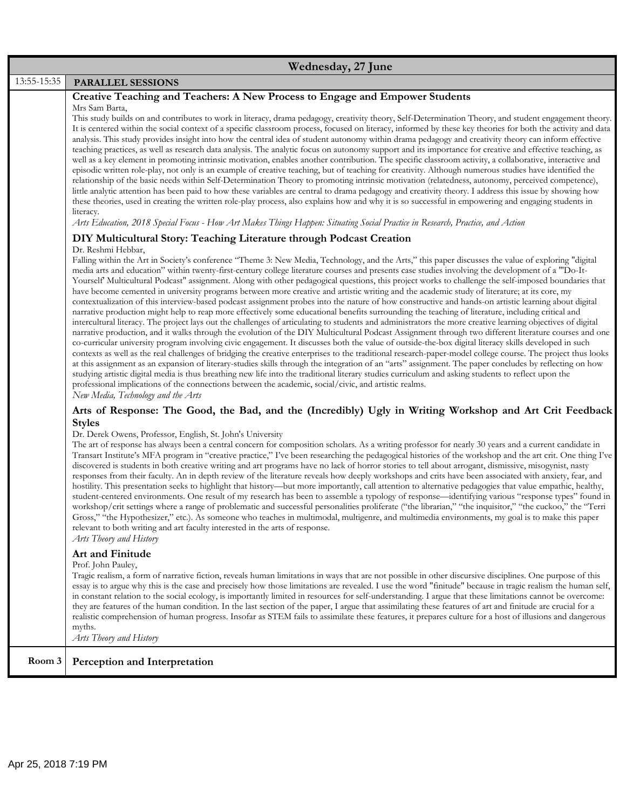|             | Wednesday, 27 June                                                                                                                                                                                                                                                                                                                                                                                                                                                                                                                                                                                                                                                                                                                                                                                                                                                                                                                                                                                                                                                                                                                                                                                                                                                                                                                                                                                                                                                                                                                                                                                                                                                                                                                                                                                                                                                                                                                                                                                                                                                   |  |
|-------------|----------------------------------------------------------------------------------------------------------------------------------------------------------------------------------------------------------------------------------------------------------------------------------------------------------------------------------------------------------------------------------------------------------------------------------------------------------------------------------------------------------------------------------------------------------------------------------------------------------------------------------------------------------------------------------------------------------------------------------------------------------------------------------------------------------------------------------------------------------------------------------------------------------------------------------------------------------------------------------------------------------------------------------------------------------------------------------------------------------------------------------------------------------------------------------------------------------------------------------------------------------------------------------------------------------------------------------------------------------------------------------------------------------------------------------------------------------------------------------------------------------------------------------------------------------------------------------------------------------------------------------------------------------------------------------------------------------------------------------------------------------------------------------------------------------------------------------------------------------------------------------------------------------------------------------------------------------------------------------------------------------------------------------------------------------------------|--|
| 13:55-15:35 | PARALLEL SESSIONS                                                                                                                                                                                                                                                                                                                                                                                                                                                                                                                                                                                                                                                                                                                                                                                                                                                                                                                                                                                                                                                                                                                                                                                                                                                                                                                                                                                                                                                                                                                                                                                                                                                                                                                                                                                                                                                                                                                                                                                                                                                    |  |
|             | Creative Teaching and Teachers: A New Process to Engage and Empower Students                                                                                                                                                                                                                                                                                                                                                                                                                                                                                                                                                                                                                                                                                                                                                                                                                                                                                                                                                                                                                                                                                                                                                                                                                                                                                                                                                                                                                                                                                                                                                                                                                                                                                                                                                                                                                                                                                                                                                                                         |  |
|             | Mrs Sam Barta,<br>This study builds on and contributes to work in literacy, drama pedagogy, creativity theory, Self-Determination Theory, and student engagement theory.<br>It is centered within the social context of a specific classroom process, focused on literacy, informed by these key theories for both the activity and data<br>analysis. This study provides insight into how the central idea of student autonomy within drama pedagogy and creativity theory can inform effective<br>teaching practices, as well as research data analysis. The analytic focus on autonomy support and its importance for creative and effective teaching, as<br>well as a key element in promoting intrinsic motivation, enables another contribution. The specific classroom activity, a collaborative, interactive and<br>episodic written role-play, not only is an example of creative teaching, but of teaching for creativity. Although numerous studies have identified the<br>relationship of the basic needs within Self-Determination Theory to promoting intrinsic motivation (relatedness, autonomy, perceived competence),<br>little analytic attention has been paid to how these variables are central to drama pedagogy and creativity theory. I address this issue by showing how<br>these theories, used in creating the written role-play process, also explains how and why it is so successful in empowering and engaging students in<br>literacy.<br>Arts Education, 2018 Special Focus - How Art Makes Things Happen: Situating Social Practice in Research, Practice, and Action                                                                                                                                                                                                                                                                                                                                                                                                                                                             |  |
|             | DIY Multicultural Story: Teaching Literature through Podcast Creation                                                                                                                                                                                                                                                                                                                                                                                                                                                                                                                                                                                                                                                                                                                                                                                                                                                                                                                                                                                                                                                                                                                                                                                                                                                                                                                                                                                                                                                                                                                                                                                                                                                                                                                                                                                                                                                                                                                                                                                                |  |
|             | Dr. Reshmi Hebbar,<br>Falling within the Art in Society's conference "Theme 3: New Media, Technology, and the Arts," this paper discusses the value of exploring "digital<br>media arts and education" within twenty-first-century college literature courses and presents case studies involving the development of a "Do-It-<br>Yourself Multicultural Podcast" assignment. Along with other pedagogical questions, this project works to challenge the self-imposed boundaries that<br>have become cemented in university programs between more creative and artistic writing and the academic study of literature; at its core, my<br>contextualization of this interview-based podcast assignment probes into the nature of how constructive and hands-on artistic learning about digital<br>narrative production might help to reap more effectively some educational benefits surrounding the teaching of literature, including critical and<br>intercultural literacy. The project lays out the challenges of articulating to students and administrators the more creative learning objectives of digital<br>narrative production, and it walks through the evolution of the DIY Multicultural Podcast Assignment through two different literature courses and one<br>co-curricular university program involving civic engagement. It discusses both the value of outside-the-box digital literacy skills developed in such<br>contexts as well as the real challenges of bridging the creative enterprises to the traditional research-paper-model college course. The project thus looks<br>at this assignment as an expansion of literary-studies skills through the integration of an "arts" assignment. The paper concludes by reflecting on how<br>studying artistic digital media is thus breathing new life into the traditional literary studies curriculum and asking students to reflect upon the<br>professional implications of the connections between the academic, social/civic, and artistic realms.<br>New Media, Technology and the Arts |  |
|             | Arts of Response: The Good, the Bad, and the (Incredibly) Ugly in Writing Workshop and Art Crit Feedback                                                                                                                                                                                                                                                                                                                                                                                                                                                                                                                                                                                                                                                                                                                                                                                                                                                                                                                                                                                                                                                                                                                                                                                                                                                                                                                                                                                                                                                                                                                                                                                                                                                                                                                                                                                                                                                                                                                                                             |  |
|             | <b>Styles</b><br>Dr. Derek Owens, Professor, English, St. John's University<br>The art of response has always been a central concern for composition scholars. As a writing professor for nearly 30 years and a current candidate in<br>Transart Institute's MFA program in "creative practice," I've been researching the pedagogical histories of the workshop and the art crit. One thing I've<br>discovered is students in both creative writing and art programs have no lack of horror stories to tell about arrogant, dismissive, misogynist, nasty<br>responses from their faculty. An in depth review of the literature reveals how deeply workshops and crits have been associated with anxiety, fear, and<br>hostility. This presentation seeks to highlight that history—but more importantly, call attention to alternative pedagogies that value empathic, healthy,<br>student-centered environments. One result of my research has been to assemble a typology of response—identifying various "response types" found in<br>workshop/crit settings where a range of problematic and successful personalities proliferate ("the librarian," "the inquisitor," "the cuckoo," the "Terri<br>Gross," "the Hypothesizer," etc.). As someone who teaches in multimodal, multigenre, and multimedia environments, my goal is to make this paper<br>relevant to both writing and art faculty interested in the arts of response.<br>Arts Theory and History                                                                                                                                                                                                                                                                                                                                                                                                                                                                                                                                                                                                   |  |
|             | Art and Finitude<br>Prof. John Pauley,<br>Tragic realism, a form of narrative fiction, reveals human limitations in ways that are not possible in other discursive disciplines. One purpose of this<br>essay is to argue why this is the case and precisely how those limitations are revealed. I use the word "finitude" because in tragic realism the human self,<br>in constant relation to the social ecology, is importantly limited in resources for self-understanding. I argue that these limitations cannot be overcome:<br>they are features of the human condition. In the last section of the paper, I argue that assimilating these features of art and finitude are crucial for a<br>realistic comprehension of human progress. Insofar as STEM fails to assimilate these features, it prepares culture for a host of illusions and dangerous<br>myths.<br>Arts Theory and History                                                                                                                                                                                                                                                                                                                                                                                                                                                                                                                                                                                                                                                                                                                                                                                                                                                                                                                                                                                                                                                                                                                                                                     |  |
| Room 3      | Perception and Interpretation                                                                                                                                                                                                                                                                                                                                                                                                                                                                                                                                                                                                                                                                                                                                                                                                                                                                                                                                                                                                                                                                                                                                                                                                                                                                                                                                                                                                                                                                                                                                                                                                                                                                                                                                                                                                                                                                                                                                                                                                                                        |  |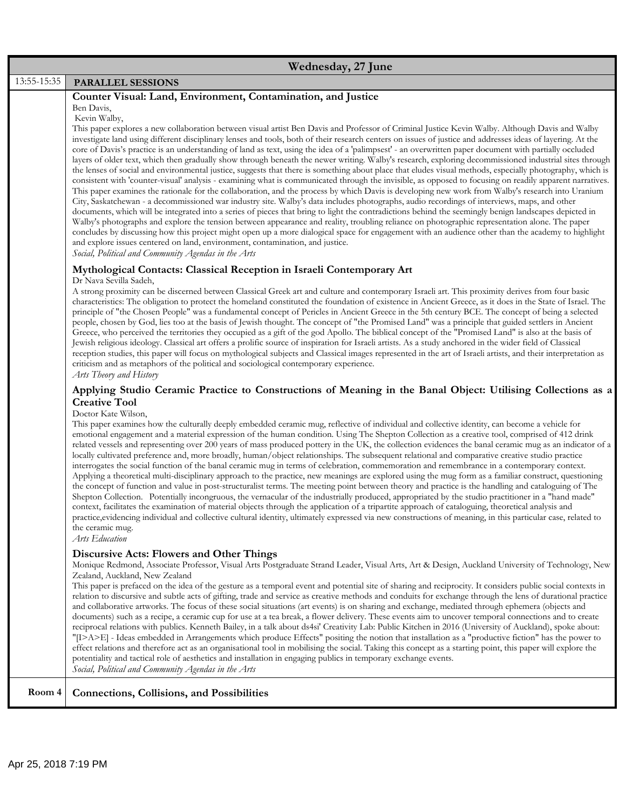|             | Wednesday, 27 June                                                                                                                                                                                                                                                                                                                                                                                                                                                                                                                                                                                                                                                                                                                                                                                                                                                                                                                                                                                                                                                                                                                                                                                                                                                                                                                                                                                                                                                                                                                                                                                                                                                                                                                                                                                                                                                                                                                                                      |
|-------------|-------------------------------------------------------------------------------------------------------------------------------------------------------------------------------------------------------------------------------------------------------------------------------------------------------------------------------------------------------------------------------------------------------------------------------------------------------------------------------------------------------------------------------------------------------------------------------------------------------------------------------------------------------------------------------------------------------------------------------------------------------------------------------------------------------------------------------------------------------------------------------------------------------------------------------------------------------------------------------------------------------------------------------------------------------------------------------------------------------------------------------------------------------------------------------------------------------------------------------------------------------------------------------------------------------------------------------------------------------------------------------------------------------------------------------------------------------------------------------------------------------------------------------------------------------------------------------------------------------------------------------------------------------------------------------------------------------------------------------------------------------------------------------------------------------------------------------------------------------------------------------------------------------------------------------------------------------------------------|
| 13:55-15:35 | PARALLEL SESSIONS                                                                                                                                                                                                                                                                                                                                                                                                                                                                                                                                                                                                                                                                                                                                                                                                                                                                                                                                                                                                                                                                                                                                                                                                                                                                                                                                                                                                                                                                                                                                                                                                                                                                                                                                                                                                                                                                                                                                                       |
|             | Counter Visual: Land, Environment, Contamination, and Justice<br>Ben Davis,<br>Kevin Walby,<br>This paper explores a new collaboration between visual artist Ben Davis and Professor of Criminal Justice Kevin Walby. Although Davis and Walby<br>investigate land using different disciplinary lenses and tools, both of their research centers on issues of justice and addresses ideas of layering. At the<br>core of Davis's practice is an understanding of land as text, using the idea of a 'palimpsest' - an overwritten paper document with partially occluded<br>layers of older text, which then gradually show through beneath the newer writing. Walby's research, exploring decommissioned industrial sites through<br>the lenses of social and environmental justice, suggests that there is something about place that eludes visual methods, especially photography, which is<br>consistent with 'counter-visual' analysis - examining what is communicated through the invisible, as opposed to focusing on readily apparent narratives.<br>This paper examines the rationale for the collaboration, and the process by which Davis is developing new work from Walby's research into Uranium<br>City, Saskatchewan - a decommissioned war industry site. Walby's data includes photographs, audio recordings of interviews, maps, and other<br>documents, which will be integrated into a series of pieces that bring to light the contradictions behind the seemingly benign landscapes depicted in<br>Walby's photographs and explore the tension between appearance and reality, troubling reliance on photographic representation alone. The paper<br>concludes by discussing how this project might open up a more dialogical space for engagement with an audience other than the academy to highlight<br>and explore issues centered on land, environment, contamination, and justice.<br>Social, Political and Community Agendas in the Arts |
|             | Mythological Contacts: Classical Reception in Israeli Contemporary Art<br>Dr Nava Sevilla Sadeh,<br>A strong proximity can be discerned between Classical Greek art and culture and contemporary Israeli art. This proximity derives from four basic<br>characteristics: The obligation to protect the homeland constituted the foundation of existence in Ancient Greece, as it does in the State of Israel. The<br>principle of "the Chosen People" was a fundamental concept of Pericles in Ancient Greece in the 5th century BCE. The concept of being a selected<br>people, chosen by God, lies too at the basis of Jewish thought. The concept of "the Promised Land" was a principle that guided settlers in Ancient<br>Greece, who perceived the territories they occupied as a gift of the god Apollo. The biblical concept of the "Promised Land" is also at the basis of<br>Jewish religious ideology. Classical art offers a prolific source of inspiration for Israeli artists. As a study anchored in the wider field of Classical<br>reception studies, this paper will focus on mythological subjects and Classical images represented in the art of Israeli artists, and their interpretation as<br>criticism and as metaphors of the political and sociological contemporary experience.<br>Arts Theory and History                                                                                                                                                                                                                                                                                                                                                                                                                                                                                                                                                                                                                                   |
|             | Applying Studio Ceramic Practice to Constructions of Meaning in the Banal Object: Utilising Collections as a<br><b>Creative Tool</b><br>Doctor Kate Wilson,<br>This paper examines how the culturally deeply embedded ceramic mug, reflective of individual and collective identity, can become a vehicle for<br>emotional engagement and a material expression of the human condition. Using The Shepton Collection as a creative tool, comprised of 412 drink<br>related vessels and representing over 200 years of mass produced pottery in the UK, the collection evidences the banal ceramic mug as an indicator of a<br>locally cultivated preference and, more broadly, human/object relationships. The subsequent relational and comparative creative studio practice<br>interrogates the social function of the banal ceramic mug in terms of celebration, commemoration and remembrance in a contemporary context.<br>Applying a theoretical multi-disciplinary approach to the practice, new meanings are explored using the mug form as a familiar construct, questioning<br>the concept of function and value in post-structuralist terms. The meeting point between theory and practice is the handling and cataloguing of The<br>Shepton Collection. Potentially incongruous, the vernacular of the industrially produced, appropriated by the studio practitioner in a "hand made"<br>context, facilitates the examination of material objects through the application of a tripartite approach of cataloguing, theoretical analysis and<br>practice, evidencing individual and collective cultural identity, ultimately expressed via new constructions of meaning, in this particular case, related to<br>the ceramic mug.<br>Arts Education                                                                                                                                                                                                          |
|             | <b>Discursive Acts: Flowers and Other Things</b><br>Monique Redmond, Associate Professor, Visual Arts Postgraduate Strand Leader, Visual Arts, Art & Design, Auckland University of Technology, New<br>Zealand, Auckland, New Zealand<br>This paper is prefaced on the idea of the gesture as a temporal event and potential site of sharing and reciprocity. It considers public social contexts in<br>relation to discursive and subtle acts of gifting, trade and service as creative methods and conduits for exchange through the lens of durational practice<br>and collaborative artworks. The focus of these social situations (art events) is on sharing and exchange, mediated through ephemera (objects and<br>documents) such as a recipe, a ceramic cup for use at a tea break, a flower delivery. These events aim to uncover temporal connections and to create<br>reciprocal relations with publics. Kenneth Bailey, in a talk about ds4si' Creativity Lab: Public Kitchen in 2016 (University of Auckland), spoke about:<br>"[I>A>E] - Ideas embedded in Arrangements which produce Effects" positing the notion that installation as a "productive fiction" has the power to<br>effect relations and therefore act as an organisational tool in mobilising the social. Taking this concept as a starting point, this paper will explore the<br>potentiality and tactical role of aesthetics and installation in engaging publics in temporary exchange events.<br>Social, Political and Community Agendas in the Arts                                                                                                                                                                                                                                                                                                                                                                                                                                 |
| Room 4      | <b>Connections, Collisions, and Possibilities</b>                                                                                                                                                                                                                                                                                                                                                                                                                                                                                                                                                                                                                                                                                                                                                                                                                                                                                                                                                                                                                                                                                                                                                                                                                                                                                                                                                                                                                                                                                                                                                                                                                                                                                                                                                                                                                                                                                                                       |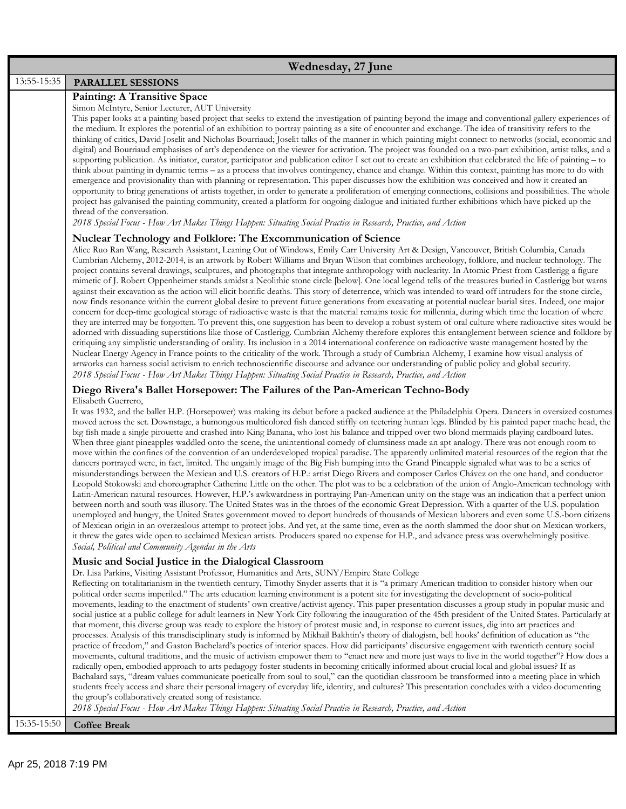| Wednesday, 27 June |                                                                                                                                                                                                                                                                                                                                                                                                                                                                                                                                                                                                                                                                                                                                                                                                                                                                                                                                                                                                                                                                                                                                                                                                                                                                                                                                                                                                                                                                                                                                                                                                                                                                                                                                                                                                                                                                                                                                                                                                                                                                                            |
|--------------------|--------------------------------------------------------------------------------------------------------------------------------------------------------------------------------------------------------------------------------------------------------------------------------------------------------------------------------------------------------------------------------------------------------------------------------------------------------------------------------------------------------------------------------------------------------------------------------------------------------------------------------------------------------------------------------------------------------------------------------------------------------------------------------------------------------------------------------------------------------------------------------------------------------------------------------------------------------------------------------------------------------------------------------------------------------------------------------------------------------------------------------------------------------------------------------------------------------------------------------------------------------------------------------------------------------------------------------------------------------------------------------------------------------------------------------------------------------------------------------------------------------------------------------------------------------------------------------------------------------------------------------------------------------------------------------------------------------------------------------------------------------------------------------------------------------------------------------------------------------------------------------------------------------------------------------------------------------------------------------------------------------------------------------------------------------------------------------------------|
| 13:55-15:35        | PARALLEL SESSIONS                                                                                                                                                                                                                                                                                                                                                                                                                                                                                                                                                                                                                                                                                                                                                                                                                                                                                                                                                                                                                                                                                                                                                                                                                                                                                                                                                                                                                                                                                                                                                                                                                                                                                                                                                                                                                                                                                                                                                                                                                                                                          |
|                    | <b>Painting: A Transitive Space</b><br>Simon McIntyre, Senior Lecturer, AUT University<br>This paper looks at a painting based project that seeks to extend the investigation of painting beyond the image and conventional gallery experiences of<br>the medium. It explores the potential of an exhibition to portray painting as a site of encounter and exchange. The idea of transitivity refers to the<br>thinking of critics, David Joselit and Nicholas Bourriaud; Joselit talks of the manner in which painting might connect to networks (social, economic and<br>digital) and Bourriaud emphasises of art's dependence on the viewer for activation. The project was founded on a two-part exhibition, artist talks, and a<br>supporting publication. As initiator, curator, participator and publication editor I set out to create an exhibition that celebrated the life of painting – to<br>think about painting in dynamic terms – as a process that involves contingency, chance and change. Within this context, painting has more to do with<br>emergence and provisionality than with planning or representation. This paper discusses how the exhibition was conceived and how it created an<br>opportunity to bring generations of artists together, in order to generate a proliferation of emerging connections, collisions and possibilities. The whole<br>project has galvanised the painting community, created a platform for ongoing dialogue and initiated further exhibitions which have picked up the<br>thread of the conversation.                                                                                                                                                                                                                                                                                                                                                                                                                                                                                                                       |
|                    | 2018 Special Focus - How Art Makes Things Happen: Situating Social Practice in Research, Practice, and Action                                                                                                                                                                                                                                                                                                                                                                                                                                                                                                                                                                                                                                                                                                                                                                                                                                                                                                                                                                                                                                                                                                                                                                                                                                                                                                                                                                                                                                                                                                                                                                                                                                                                                                                                                                                                                                                                                                                                                                              |
|                    | Nuclear Technology and Folklore: The Excommunication of Science<br>Alice Ruo Ran Wang, Research Assistant, Leaning Out of Windows, Emily Carr University Art & Design, Vancouver, British Columbia, Canada<br>Cumbrian Alchemy, 2012-2014, is an artwork by Robert Williams and Bryan Wilson that combines archeology, folklore, and nuclear technology. The<br>project contains several drawings, sculptures, and photographs that integrate anthropology with nuclearity. In Atomic Priest from Castlerigg a figure<br>mimetic of J. Robert Oppenheimer stands amidst a Neolithic stone circle [below]. One local legend tells of the treasures buried in Castlerigg but warns<br>against their excavation as the action will elicit horrific deaths. This story of deterrence, which was intended to ward off intruders for the stone circle,<br>now finds resonance within the current global desire to prevent future generations from excavating at potential nuclear burial sites. Indeed, one major<br>concern for deep-time geological storage of radioactive waste is that the material remains toxic for millennia, during which time the location of where<br>they are interred may be forgotten. To prevent this, one suggestion has been to develop a robust system of oral culture where radioactive sites would be<br>adorned with dissuading superstitions like those of Castlerigg. Cumbrian Alchemy therefore explores this entanglement between science and folklore by<br>critiquing any simplistic understanding of orality. Its inclusion in a 2014 international conference on radioactive waste management hosted by the<br>Nuclear Energy Agency in France points to the criticality of the work. Through a study of Cumbrian Alchemy, I examine how visual analysis of<br>artworks can harness social activism to enrich technoscientific discourse and advance our understanding of public policy and global security.<br>2018 Special Focus - How Art Makes Things Happen: Situating Social Practice in Research, Practice, and Action                        |
|                    | Diego Rivera's Ballet Horsepower: The Failures of the Pan-American Techno-Body                                                                                                                                                                                                                                                                                                                                                                                                                                                                                                                                                                                                                                                                                                                                                                                                                                                                                                                                                                                                                                                                                                                                                                                                                                                                                                                                                                                                                                                                                                                                                                                                                                                                                                                                                                                                                                                                                                                                                                                                             |
|                    | Elisabeth Guerrero,<br>It was 1932, and the ballet H.P. (Horsepower) was making its debut before a packed audience at the Philadelphia Opera. Dancers in oversized costumes<br>moved across the set. Downstage, a humongous multicolored fish danced stiffly on teetering human legs. Blinded by his painted paper mache head, the<br>big fish made a single pirouette and crashed into King Banana, who lost his balance and tripped over two blond mermaids playing cardboard lutes.<br>When three giant pineapples waddled onto the scene, the unintentional comedy of clumsiness made an apt analogy. There was not enough room to<br>move within the confines of the convention of an underdeveloped tropical paradise. The apparently unlimited material resources of the region that the<br>dancers portrayed were, in fact, limited. The ungainly image of the Big Fish bumping into the Grand Pineapple signaled what was to be a series of<br>misunderstandings between the Mexican and U.S. creators of H.P.: artist Diego Rivera and composer Carlos Chávez on the one hand, and conductor<br>Leopold Stokowski and choreographer Catherine Little on the other. The plot was to be a celebration of the union of Anglo-American technology with<br>Latin-American natural resources. However, H.P.'s awkwardness in portraying Pan-American unity on the stage was an indication that a perfect union<br>between north and south was illusory. The United States was in the throes of the economic Great Depression. With a quarter of the U.S. population<br>unemployed and hungry, the United States government moved to deport hundreds of thousands of Mexican laborers and even some U.S.-born citizens<br>of Mexican origin in an overzealous attempt to protect jobs. And yet, at the same time, even as the north slammed the door shut on Mexican workers,<br>it threw the gates wide open to acclaimed Mexican artists. Producers spared no expense for H.P., and advance press was overwhelmingly positive.<br>Social, Political and Community Agendas in the Arts |
|                    | Music and Social Justice in the Dialogical Classroom                                                                                                                                                                                                                                                                                                                                                                                                                                                                                                                                                                                                                                                                                                                                                                                                                                                                                                                                                                                                                                                                                                                                                                                                                                                                                                                                                                                                                                                                                                                                                                                                                                                                                                                                                                                                                                                                                                                                                                                                                                       |
|                    | Dr. Lisa Parkins, Visiting Assistant Professor, Humanities and Arts, SUNY/Empire State College<br>Reflecting on totalitarianism in the twentieth century, Timothy Snyder asserts that it is "a primary American tradition to consider history when our<br>political order seems imperiled." The arts education learning environment is a potent site for investigating the development of socio-political<br>movements, leading to the enactment of students' own creative/activist agency. This paper presentation discusses a group study in popular music and<br>social justice at a public college for adult learners in New York City following the inauguration of the 45th president of the United States. Particularly at<br>that moment, this diverse group was ready to explore the history of protest music and, in response to current issues, dig into art practices and<br>processes. Analysis of this transdisciplinary study is informed by Mikhail Bakhtin's theory of dialogism, bell hooks' definition of education as "the<br>practice of freedom," and Gaston Bachelard's poetics of interior spaces. How did participants' discursive engagement with twentieth century social<br>movements, cultural traditions, and the music of activism empower them to "enact new and more just ways to live in the world together"? How does a<br>radically open, embodied approach to arts pedagogy foster students in becoming critically informed about crucial local and global issues? If as<br>Bachalard says, "dream values communicate poetically from soul to soul," can the quotidian classroom be transformed into a meeting place in which<br>students freely access and share their personal imagery of everyday life, identity, and cultures? This presentation concludes with a video documenting<br>the group's collaboratively created song of resistance.<br>2018 Special Focus - How Art Makes Things Happen: Situating Social Practice in Research, Practice, and Action                                                                                   |
| 15:35-15:50        | <b>Coffee Break</b>                                                                                                                                                                                                                                                                                                                                                                                                                                                                                                                                                                                                                                                                                                                                                                                                                                                                                                                                                                                                                                                                                                                                                                                                                                                                                                                                                                                                                                                                                                                                                                                                                                                                                                                                                                                                                                                                                                                                                                                                                                                                        |
|                    |                                                                                                                                                                                                                                                                                                                                                                                                                                                                                                                                                                                                                                                                                                                                                                                                                                                                                                                                                                                                                                                                                                                                                                                                                                                                                                                                                                                                                                                                                                                                                                                                                                                                                                                                                                                                                                                                                                                                                                                                                                                                                            |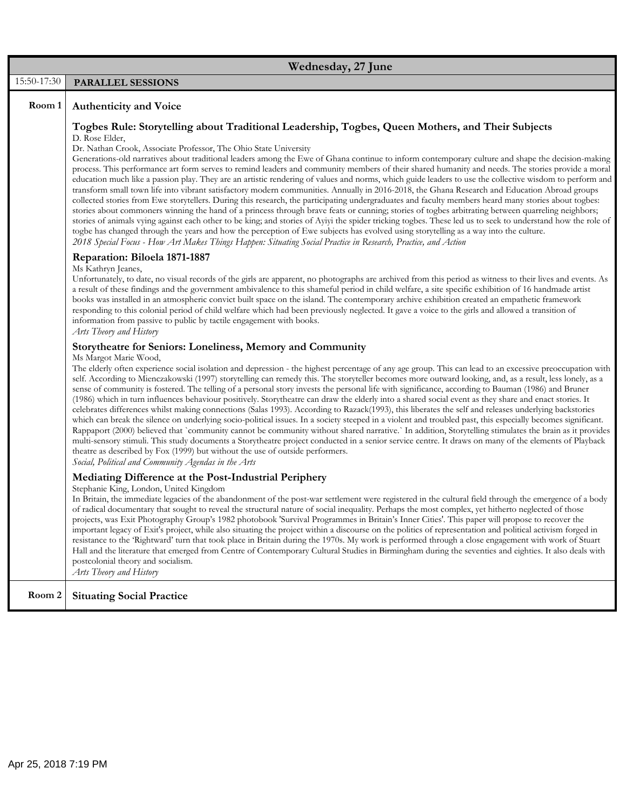|             | Wednesday, 27 June                                                                                                                                                                                                                                                                                                                                                                                                                                                                                                                                                                                                                                                                                                                                                                                                                                                                                                                                                                                                                                                                                                                                                                                                                                                                                                                                                                                                                                                                                                                                                                   |
|-------------|--------------------------------------------------------------------------------------------------------------------------------------------------------------------------------------------------------------------------------------------------------------------------------------------------------------------------------------------------------------------------------------------------------------------------------------------------------------------------------------------------------------------------------------------------------------------------------------------------------------------------------------------------------------------------------------------------------------------------------------------------------------------------------------------------------------------------------------------------------------------------------------------------------------------------------------------------------------------------------------------------------------------------------------------------------------------------------------------------------------------------------------------------------------------------------------------------------------------------------------------------------------------------------------------------------------------------------------------------------------------------------------------------------------------------------------------------------------------------------------------------------------------------------------------------------------------------------------|
| 15:50-17:30 | PARALLEL SESSIONS                                                                                                                                                                                                                                                                                                                                                                                                                                                                                                                                                                                                                                                                                                                                                                                                                                                                                                                                                                                                                                                                                                                                                                                                                                                                                                                                                                                                                                                                                                                                                                    |
| Room 1      | <b>Authenticity and Voice</b>                                                                                                                                                                                                                                                                                                                                                                                                                                                                                                                                                                                                                                                                                                                                                                                                                                                                                                                                                                                                                                                                                                                                                                                                                                                                                                                                                                                                                                                                                                                                                        |
|             | Togbes Rule: Storytelling about Traditional Leadership, Togbes, Queen Mothers, and Their Subjects<br>D. Rose Elder,<br>Dr. Nathan Crook, Associate Professor, The Ohio State University<br>Generations-old narratives about traditional leaders among the Ewe of Ghana continue to inform contemporary culture and shape the decision-making<br>process. This performance art form serves to remind leaders and community members of their shared humanity and needs. The stories provide a moral<br>education much like a passion play. They are an artistic rendering of values and norms, which guide leaders to use the collective wisdom to perform and<br>transform small town life into vibrant satisfactory modern communities. Annually in 2016-2018, the Ghana Research and Education Abroad groups<br>collected stories from Ewe storytellers. During this research, the participating undergraduates and faculty members heard many stories about togbes:<br>stories about commoners winning the hand of a princess through brave feats or cunning; stories of togbes arbitrating between quarreling neighbors;<br>stories of animals vying against each other to be king; and stories of Ayiyi the spider tricking togbes. These led us to seek to understand how the role of<br>togbe has changed through the years and how the perception of Ewe subjects has evolved using storytelling as a way into the culture.<br>2018 Special Focus - How Art Makes Things Happen: Situating Social Practice in Research, Practice, and Action<br>Reparation: Biloela 1871-1887 |
|             | Ms Kathryn Jeanes,<br>Unfortunately, to date, no visual records of the girls are apparent, no photographs are archived from this period as witness to their lives and events. As<br>a result of these findings and the government ambivalence to this shameful period in child welfare, a site specific exhibition of 16 handmade artist<br>books was installed in an atmospheric convict built space on the island. The contemporary archive exhibition created an empathetic framework<br>responding to this colonial period of child welfare which had been previously neglected. It gave a voice to the girls and allowed a transition of<br>information from passive to public by tactile engagement with books.<br>Arts Theory and History                                                                                                                                                                                                                                                                                                                                                                                                                                                                                                                                                                                                                                                                                                                                                                                                                                     |
|             | Storytheatre for Seniors: Loneliness, Memory and Community                                                                                                                                                                                                                                                                                                                                                                                                                                                                                                                                                                                                                                                                                                                                                                                                                                                                                                                                                                                                                                                                                                                                                                                                                                                                                                                                                                                                                                                                                                                           |
|             | Ms Margot Marie Wood,<br>The elderly often experience social isolation and depression - the highest percentage of any age group. This can lead to an excessive preoccupation with<br>self. According to Mienczakowski (1997) storytelling can remedy this. The storyteller becomes more outward looking, and, as a result, less lonely, as a<br>sense of community is fostered. The telling of a personal story invests the personal life with significance, according to Bauman (1986) and Bruner<br>(1986) which in turn influences behaviour positively. Storytheatre can draw the elderly into a shared social event as they share and enact stories. It<br>celebrates differences whilst making connections (Salas 1993). According to Razack(1993), this liberates the self and releases underlying backstories<br>which can break the silence on underlying socio-political issues. In a society steeped in a violent and troubled past, this especially becomes significant.<br>Rappaport (2000) believed that `community cannot be community without shared narrative.` In addition, Storytelling stimulates the brain as it provides<br>multi-sensory stimuli. This study documents a Storytheatre project conducted in a senior service centre. It draws on many of the elements of Playback<br>theatre as described by Fox (1999) but without the use of outside performers.<br>Social, Political and Community Agendas in the Arts                                                                                                                                      |
|             | Mediating Difference at the Post-Industrial Periphery<br>Stephanie King, London, United Kingdom<br>In Britain, the immediate legacies of the abandonment of the post-war settlement were registered in the cultural field through the emergence of a body                                                                                                                                                                                                                                                                                                                                                                                                                                                                                                                                                                                                                                                                                                                                                                                                                                                                                                                                                                                                                                                                                                                                                                                                                                                                                                                            |
|             | of radical documentary that sought to reveal the structural nature of social inequality. Perhaps the most complex, yet hitherto neglected of those<br>projects, was Exit Photography Group's 1982 photobook 'Survival Programmes in Britain's Inner Cities'. This paper will propose to recover the<br>important legacy of Exit's project, while also situating the project within a discourse on the politics of representation and political activism forged in<br>resistance to the Rightward' turn that took place in Britain during the 1970s. My work is performed through a close engagement with work of Stuart<br>Hall and the literature that emerged from Centre of Contemporary Cultural Studies in Birmingham during the seventies and eighties. It also deals with<br>postcolonial theory and socialism.<br>Arts Theory and History                                                                                                                                                                                                                                                                                                                                                                                                                                                                                                                                                                                                                                                                                                                                    |
| Room 2      | <b>Situating Social Practice</b>                                                                                                                                                                                                                                                                                                                                                                                                                                                                                                                                                                                                                                                                                                                                                                                                                                                                                                                                                                                                                                                                                                                                                                                                                                                                                                                                                                                                                                                                                                                                                     |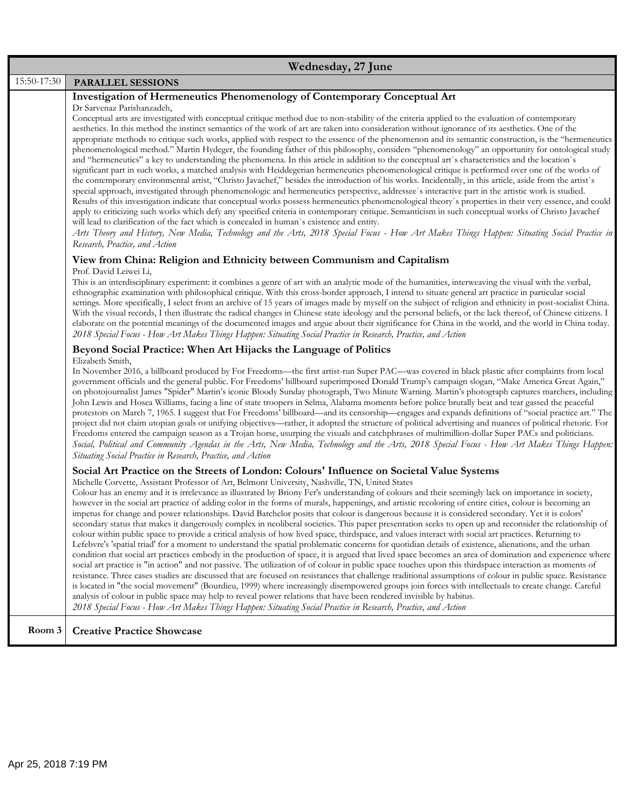| Wednesday, 27 June |                                                                                                                                                                                                                                                                                                                                                                                                                                                                                                                                                                                                                                                                                                                                                                                                                                                                                                                                                                                                                                                                                                                                                                                                                                                                                                                                                                                                                                                                                                                                                                                                                                                                                                                                                                                                                                                                                                                                                                                                                                              |
|--------------------|----------------------------------------------------------------------------------------------------------------------------------------------------------------------------------------------------------------------------------------------------------------------------------------------------------------------------------------------------------------------------------------------------------------------------------------------------------------------------------------------------------------------------------------------------------------------------------------------------------------------------------------------------------------------------------------------------------------------------------------------------------------------------------------------------------------------------------------------------------------------------------------------------------------------------------------------------------------------------------------------------------------------------------------------------------------------------------------------------------------------------------------------------------------------------------------------------------------------------------------------------------------------------------------------------------------------------------------------------------------------------------------------------------------------------------------------------------------------------------------------------------------------------------------------------------------------------------------------------------------------------------------------------------------------------------------------------------------------------------------------------------------------------------------------------------------------------------------------------------------------------------------------------------------------------------------------------------------------------------------------------------------------------------------------|
| 15:50-17:30        | PARALLEL SESSIONS                                                                                                                                                                                                                                                                                                                                                                                                                                                                                                                                                                                                                                                                                                                                                                                                                                                                                                                                                                                                                                                                                                                                                                                                                                                                                                                                                                                                                                                                                                                                                                                                                                                                                                                                                                                                                                                                                                                                                                                                                            |
|                    | <b>Investigation of Hermeneutics Phenomenology of Contemporary Conceptual Art</b><br>Dr Sarvenaz Parishanzadeh,<br>Conceptual arts are investigated with conceptual critique method due to non-stability of the criteria applied to the evaluation of contemporary<br>aesthetics. In this method the instinct semantics of the work of art are taken into consideration without ignorance of its aesthetics. One of the<br>appropriate methods to critique such works, applied with respect to the essence of the phenomenon and its semantic construction, is the "hermeneutics"<br>phenomenological method." Martin Hydeger, the founding father of this philosophy, considers "phenomenology" an opportunity for ontological study<br>and "hermeneutics" a key to understanding the phenomena. In this article in addition to the conceptual art's characteristics and the location's<br>significant part in such works, a matched analysis with Heiddegerian hermeneutics phenomenological critique is performed over one of the works of<br>the contemporary environmental artist, "Christo Javachef," besides the introduction of his works. Incidentally, in this article, aside from the artist's<br>special approach, investigated through phenomenologic and hermeneutics perspective, addressee's interactive part in the artistic work is studied.<br>Results of this investigation indicate that conceptual works possess hermeneutics phenomenological theory's properties in their very essence, and could<br>apply to criticizing such works which defy any specified criteria in contemporary critique. Semanticism in such conceptual works of Christo Javachef<br>will lead to clarification of the fact which is concealed in human's existence and entity.<br>Arts Theory and History, New Media, Technology and the Arts, 2018 Special Focus - How Art Makes Things Happen: Situating Social Practice in<br>Research, Practice, and Action<br>View from China: Religion and Ethnicity between Communism and Capitalism |
|                    | Prof. David Leiwei Li,<br>This is an interdisciplinary experiment: it combines a genre of art with an analytic mode of the humanities, interweaving the visual with the verbal,<br>ethnographic examination with philosophical critique. With this cross-border approach, I intend to situate general art practice in particular social<br>settings. More specifically, I select from an archive of 15 years of images made by myself on the subject of religion and ethnicity in post-socialist China.<br>With the visual records, I then illustrate the radical changes in Chinese state ideology and the personal beliefs, or the lack thereof, of Chinese citizens. I<br>elaborate on the potential meanings of the documented images and argue about their significance for China in the world, and the world in China today.<br>2018 Special Focus - How Art Makes Things Happen: Situating Social Practice in Research, Practice, and Action                                                                                                                                                                                                                                                                                                                                                                                                                                                                                                                                                                                                                                                                                                                                                                                                                                                                                                                                                                                                                                                                                          |
|                    | Beyond Social Practice: When Art Hijacks the Language of Politics<br>Elizabeth Smith,<br>In November 2016, a billboard produced by For Freedoms—the first artist-run Super PAC—was covered in black plastic after complaints from local<br>government officials and the general public. For Freedoms' billboard superimposed Donald Trump's campaign slogan, "Make America Great Again,"<br>on photojournalist James "Spider" Martin's iconic Bloody Sunday photograph, Two Minute Warning. Martin's photograph captures marchers, including<br>John Lewis and Hosea Williams, facing a line of state troopers in Selma, Alabama moments before police brutally beat and tear gassed the peaceful<br>protestors on March 7, 1965. I suggest that For Freedoms' billboard—and its censorship—engages and expands definitions of "social practice art." The<br>project did not claim utopian goals or unifying objectives—rather, it adopted the structure of political advertising and nuances of political rhetoric. For<br>Freedoms entered the campaign season as a Trojan horse, usurping the visuals and catchphrases of multimillion-dollar Super PACs and politicians.<br>Social, Political and Community Agendas in the Arts, New Media, Technology and the Arts, 2018 Special Focus - How Art Makes Things Happen:<br>Situating Social Practice in Research, Practice, and Action                                                                                                                                                                                                                                                                                                                                                                                                                                                                                                                                                                                                                                                    |
|                    | Social Art Practice on the Streets of London: Colours' Influence on Societal Value Systems<br>Michelle Corvette, Assistant Professor of Art, Belmont University, Nashville, TN, United States<br>Colour has an enemy and it is irrelevance as illustrated by Briony Fer's understanding of colours and their seemingly lack on importance in society,<br>however in the social art practice of adding color in the forms of murals, happenings, and artistic recoloring of entire cities, colour is becoming an<br>impetus for change and power relationships. David Batchelor posits that colour is dangerous because it is considered secondary. Yet it is colors'<br>secondary status that makes it dangerously complex in neoliberal societies. This paper presentation seeks to open up and reconsider the relationship of<br>colour within public space to provide a critical analysis of how lived space, thirdspace, and values interact with social art practices. Returning to<br>Lefebvre's 'spatial triad' for a moment to understand the spatial problematic concerns for quotidian details of existence, alienations, and the urban<br>condition that social art practices embody in the production of space, it is argued that lived space becomes an area of domination and experience where<br>social art practice is "in action" and not passive. The utilization of of colour in public space touches upon this thirdspace interaction as moments of<br>resistance. Three cases studies are discussed that are focused on resistances that challenge traditional assumptions of colour in public space. Resistance<br>is located in "the social movement" (Bourdieu, 1999) where increasingly disempowered groups join forces with intellectuals to create change. Careful<br>analysis of colour in public space may help to reveal power relations that have been rendered invisible by habitus.<br>2018 Special Focus - How Art Makes Things Happen: Situating Social Practice in Research, Practice, and Action        |
| Room 3             | <b>Creative Practice Showcase</b>                                                                                                                                                                                                                                                                                                                                                                                                                                                                                                                                                                                                                                                                                                                                                                                                                                                                                                                                                                                                                                                                                                                                                                                                                                                                                                                                                                                                                                                                                                                                                                                                                                                                                                                                                                                                                                                                                                                                                                                                            |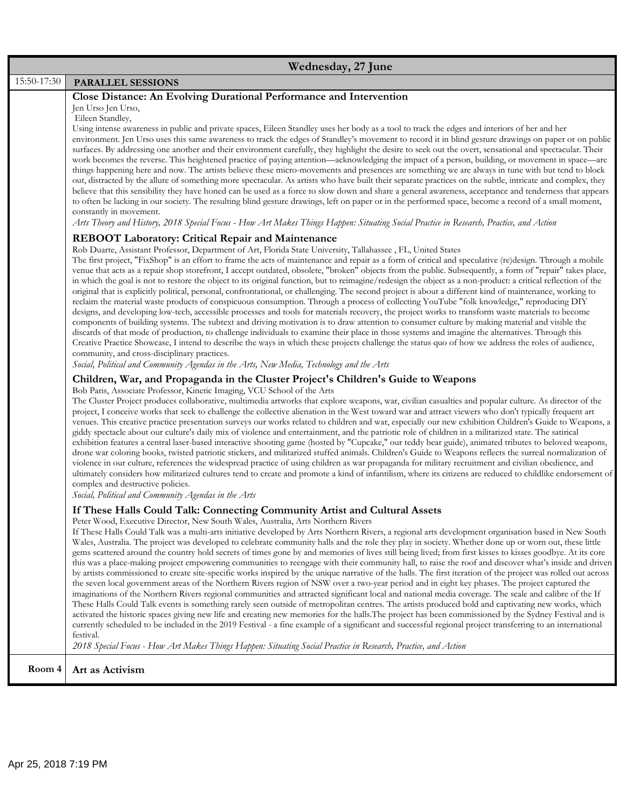|             | Wednesday, 27 June                                                                                                                                                                                                                                                                                                                                                                                                                                                                                                                                                                                                                                                                                                                                                                                                                                                                                                                                                                                                                                                                                                                                                                                                                                                                                                                                                                                                                                                                                                                                                                                                                                                                                                                                                                                                                                                                                                                                                                                                                                                                                                                                                                                                                                                                                                                                                                                                                                                                                                                                                                                                                                                                                           |
|-------------|--------------------------------------------------------------------------------------------------------------------------------------------------------------------------------------------------------------------------------------------------------------------------------------------------------------------------------------------------------------------------------------------------------------------------------------------------------------------------------------------------------------------------------------------------------------------------------------------------------------------------------------------------------------------------------------------------------------------------------------------------------------------------------------------------------------------------------------------------------------------------------------------------------------------------------------------------------------------------------------------------------------------------------------------------------------------------------------------------------------------------------------------------------------------------------------------------------------------------------------------------------------------------------------------------------------------------------------------------------------------------------------------------------------------------------------------------------------------------------------------------------------------------------------------------------------------------------------------------------------------------------------------------------------------------------------------------------------------------------------------------------------------------------------------------------------------------------------------------------------------------------------------------------------------------------------------------------------------------------------------------------------------------------------------------------------------------------------------------------------------------------------------------------------------------------------------------------------------------------------------------------------------------------------------------------------------------------------------------------------------------------------------------------------------------------------------------------------------------------------------------------------------------------------------------------------------------------------------------------------------------------------------------------------------------------------------------------------|
| 15:50-17:30 | PARALLEL SESSIONS                                                                                                                                                                                                                                                                                                                                                                                                                                                                                                                                                                                                                                                                                                                                                                                                                                                                                                                                                                                                                                                                                                                                                                                                                                                                                                                                                                                                                                                                                                                                                                                                                                                                                                                                                                                                                                                                                                                                                                                                                                                                                                                                                                                                                                                                                                                                                                                                                                                                                                                                                                                                                                                                                            |
|             | Close Distance: An Evolving Durational Performance and Intervention<br>Jen Urso Jen Urso,<br>Eileen Standley,<br>Using intense awareness in public and private spaces, Eileen Standley uses her body as a tool to track the edges and interiors of her and her<br>environment. Jen Urso uses this same awareness to track the edges of Standley's movement to record it in blind gesture drawings on paper or on public<br>surfaces. By addressing one another and their environment carefully, they highlight the desire to seek out the overt, sensational and spectacular. Their<br>work becomes the reverse. This heightened practice of paying attention—acknowledging the impact of a person, building, or movement in space—are<br>things happening here and now. The artists believe these micro-movements and presences are something we are always in tune with but tend to block<br>out, distracted by the allure of something more spectacular. As artists who have built their separate practices on the subtle, intricate and complex, they<br>believe that this sensibility they have honed can be used as a force to slow down and share a general awareness, acceptance and tenderness that appears<br>to often be lacking in our society. The resulting blind gesture drawings, left on paper or in the performed space, become a record of a small moment,<br>constantly in movement.<br>Arts Theory and History, 2018 Special Focus - How Art Makes Things Happen: Situating Social Practice in Research, Practice, and Action                                                                                                                                                                                                                                                                                                                                                                                                                                                                                                                                                                                                                                                                                                                                                                                                                                                                                                                                                                                                                                                                                                                                                           |
|             | <b>REBOOT Laboratory: Critical Repair and Maintenance</b><br>Rob Duarte, Assistant Professor, Department of Art, Florida State University, Tallahassee, FL, United States<br>The first project, "FixShop" is an effort to frame the acts of maintenance and repair as a form of critical and speculative (re)design. Through a mobile<br>venue that acts as a repair shop storefront, I accept outdated, obsolete, "broken" objects from the public. Subsequently, a form of "repair" takes place,<br>in which the goal is not to restore the object to its original function, but to reimagine/redesign the object as a non-product: a critical reflection of the<br>original that is explicitly political, personal, confrontational, or challenging. The second project is about a different kind of maintenance, working to<br>reclaim the material waste products of conspicuous consumption. Through a process of collecting YouTube "folk knowledge," reproducing DIY<br>designs, and developing low-tech, accessible processes and tools for materials recovery, the project works to transform waste materials to become<br>components of building systems. The subtext and driving motivation is to draw attention to consumer culture by making material and visible the<br>discards of that mode of production, to challenge individuals to examine their place in those systems and imagine the alternatives. Through this<br>Creative Practice Showcase, I intend to describe the ways in which these projects challenge the status quo of how we address the roles of audience,<br>community, and cross-disciplinary practices.<br>Social, Political and Community Agendas in the Arts, New Media, Technology and the Arts<br>Children, War, and Propaganda in the Cluster Project's Children's Guide to Weapons<br>Bob Paris, Associate Professor, Kinetic Imaging, VCU School of the Arts<br>The Cluster Project produces collaborative, multimedia artworks that explore weapons, war, civilian casualties and popular culture. As director of the<br>project, I conceive works that seek to challenge the collective alienation in the West toward war and attract viewers who don't typically frequent art<br>venues. This creative practice presentation surveys our works related to children and war, especially our new exhibition Children's Guide to Weapons, a<br>giddy spectacle about our culture's daily mix of violence and entertainment, and the patriotic role of children in a militarized state. The satirical<br>exhibition features a central laser-based interactive shooting game (hosted by "Cupcake," our teddy bear guide), animated tributes to beloved weapons, |
|             | drone war coloring books, twisted patriotic stickers, and militarized stuffed animals. Children's Guide to Weapons reflects the surreal normalization of<br>violence in our culture, references the widespread practice of using children as war propaganda for military recruitment and civilian obedience, and<br>ultimately considers how militarized cultures tend to create and promote a kind of infantilism, where its citizens are reduced to childlike endorsement of<br>complex and destructive policies.<br>Social, Political and Community Agendas in the Arts<br>If These Halls Could Talk: Connecting Community Artist and Cultural Assets<br>Peter Wood, Executive Director, New South Wales, Australia, Arts Northern Rivers<br>If These Halls Could Talk was a multi-arts initiative developed by Arts Northern Rivers, a regional arts development organisation based in New South<br>Wales, Australia. The project was developed to celebrate community halls and the role they play in society. Whether done up or worn out, these little<br>gems scattered around the country hold secrets of times gone by and memories of lives still being lived; from first kisses to kisses goodbye. At its core<br>this was a place-making project empowering communities to reengage with their community hall, to raise the roof and discover what's inside and driven<br>by artists commissioned to create site-specific works inspired by the unique narrative of the halls. The first iteration of the project was rolled out across<br>the seven local government areas of the Northern Rivers region of NSW over a two-year period and in eight key phases. The project captured the<br>imaginations of the Northern Rivers regional communities and attracted significant local and national media coverage. The scale and calibre of the If<br>These Halls Could Talk events is something rarely seen outside of metropolitan centres. The artists produced bold and captivating new works, which<br>activated the historic spaces giving new life and creating new memories for the halls. The project has been commissioned by the Sydney Festival and is<br>currently scheduled to be included in the 2019 Festival - a fine example of a significant and successful regional project transferring to an international<br>festival.<br>2018 Special Focus - How Art Makes Things Happen: Situating Social Practice in Research, Practice, and Action                                                                                                                                                                                                                                  |
| Room 4      | Art as Activism                                                                                                                                                                                                                                                                                                                                                                                                                                                                                                                                                                                                                                                                                                                                                                                                                                                                                                                                                                                                                                                                                                                                                                                                                                                                                                                                                                                                                                                                                                                                                                                                                                                                                                                                                                                                                                                                                                                                                                                                                                                                                                                                                                                                                                                                                                                                                                                                                                                                                                                                                                                                                                                                                              |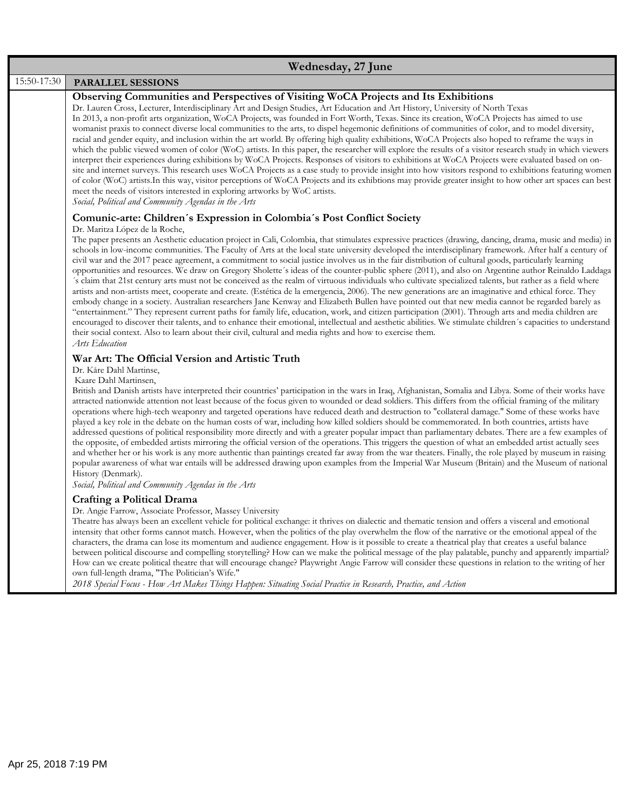|             | Wednesday, 27 June                                                                                                                                                                                                                                                                                                                                                                                                                                                                                                                                                                                                                                                                                                                                                                                                                                                                                                                                                                                                                                                                                                                                                                                                                                                                                                                                                                                                                                                                                                                                                                                                                                                                |
|-------------|-----------------------------------------------------------------------------------------------------------------------------------------------------------------------------------------------------------------------------------------------------------------------------------------------------------------------------------------------------------------------------------------------------------------------------------------------------------------------------------------------------------------------------------------------------------------------------------------------------------------------------------------------------------------------------------------------------------------------------------------------------------------------------------------------------------------------------------------------------------------------------------------------------------------------------------------------------------------------------------------------------------------------------------------------------------------------------------------------------------------------------------------------------------------------------------------------------------------------------------------------------------------------------------------------------------------------------------------------------------------------------------------------------------------------------------------------------------------------------------------------------------------------------------------------------------------------------------------------------------------------------------------------------------------------------------|
| 15:50-17:30 | PARALLEL SESSIONS                                                                                                                                                                                                                                                                                                                                                                                                                                                                                                                                                                                                                                                                                                                                                                                                                                                                                                                                                                                                                                                                                                                                                                                                                                                                                                                                                                                                                                                                                                                                                                                                                                                                 |
|             | Observing Communities and Perspectives of Visiting WoCA Projects and Its Exhibitions<br>Dr. Lauren Cross, Lecturer, Interdisciplinary Art and Design Studies, Art Education and Art History, University of North Texas<br>In 2013, a non-profit arts organization, WoCA Projects, was founded in Fort Worth, Texas. Since its creation, WoCA Projects has aimed to use<br>womanist praxis to connect diverse local communities to the arts, to dispel hegemonic definitions of communities of color, and to model diversity,<br>racial and gender equity, and inclusion within the art world. By offering high quality exhibitions, WoCA Projects also hoped to reframe the ways in<br>which the public viewed women of color (WoC) artists. In this paper, the researcher will explore the results of a visitor research study in which viewers<br>interpret their experiences during exhibitions by WoCA Projects. Responses of visitors to exhibitions at WoCA Projects were evaluated based on on-<br>site and internet surveys. This research uses WoCA Projects as a case study to provide insight into how visitors respond to exhibitions featuring women<br>of color (WoC) artists. In this way, visitor perceptions of WoCA Projects and its exhibtions may provide greater insight to how other art spaces can best<br>meet the needs of visitors interested in exploring artworks by WoC artists.<br>Social, Political and Community Agendas in the Arts                                                                                                                                                                                                              |
|             | Comunic-arte: Children's Expression in Colombia's Post Conflict Society<br>Dr. Maritza López de la Roche,<br>The paper presents an Aesthetic education project in Cali, Colombia, that stimulates expressive practices (drawing, dancing, drama, music and media) in<br>schools in low-income communities. The Faculty of Arts at the local state university developed the interdisciplinary framework. After half a century of<br>civil war and the 2017 peace agreement, a commitment to social justice involves us in the fair distribution of cultural goods, particularly learning<br>opportunities and resources. We draw on Gregory Sholette's ideas of the counter-public sphere (2011), and also on Argentine author Reinaldo Laddaga<br>'s claim that 21st century arts must not be conceived as the realm of virtuous individuals who cultivate specialized talents, but rather as a field where<br>artists and non-artists meet, cooperate and create. (Estética de la emergencia, 2006). The new generations are an imaginative and ethical force. They<br>embody change in a society. Australian researchers Jane Kenway and Elizabeth Bullen have pointed out that new media cannot be regarded barely as<br>"entertainment." They represent current paths for family life, education, work, and citizen participation (2001). Through arts and media children are<br>encouraged to discover their talents, and to enhance their emotional, intellectual and aesthetic abilities. We stimulate children's capacities to understand<br>their social context. Also to learn about their civil, cultural and media rights and how to exercise them.<br>Arts Education |
|             | War Art: The Official Version and Artistic Truth<br>Dr. Kåre Dahl Martinse,<br>Kaare Dahl Martinsen,<br>British and Danish artists have interpreted their countries' participation in the wars in Iraq, Afghanistan, Somalia and Libya. Some of their works have<br>attracted nationwide attention not least because of the focus given to wounded or dead soldiers. This differs from the official framing of the military<br>operations where high-tech weaponry and targeted operations have reduced death and destruction to "collateral damage." Some of these works have<br>played a key role in the debate on the human costs of war, including how killed soldiers should be commemorated. In both countries, artists have<br>addressed questions of political responsibility more directly and with a greater popular impact than parliamentary debates. There are a few examples of<br>the opposite, of embedded artists mirroring the official version of the operations. This triggers the question of what an embedded artist actually sees<br>and whether her or his work is any more authentic than paintings created far away from the war theaters. Finally, the role played by museum in raising<br>popular awareness of what war entails will be addressed drawing upon examples from the Imperial War Museum (Britain) and the Museum of national<br>History (Denmark).<br>Social, Political and Community Agendas in the Arts                                                                                                                                                                                                                                |
|             | Crafting a Political Drama<br>Dr. Angie Farrow, Associate Professor, Massey University<br>Theatre has always been an excellent vehicle for political exchange: it thrives on dialectic and thematic tension and offers a visceral and emotional<br>intensity that other forms cannot match. However, when the politics of the play overwhelm the flow of the narrative or the emotional appeal of the<br>characters, the drama can lose its momentum and audience engagement. How is it possible to create a theatrical play that creates a useful balance<br>between political discourse and compelling storytelling? How can we make the political message of the play palatable, punchy and apparently impartial?<br>How can we create political theatre that will encourage change? Playwright Angie Farrow will consider these questions in relation to the writing of her<br>own full-length drama, "The Politician's Wife."<br>2018 Special Focus - How Art Makes Things Happen: Situating Social Practice in Research, Practice, and Action                                                                                                                                                                                                                                                                                                                                                                                                                                                                                                                                                                                                                               |
|             |                                                                                                                                                                                                                                                                                                                                                                                                                                                                                                                                                                                                                                                                                                                                                                                                                                                                                                                                                                                                                                                                                                                                                                                                                                                                                                                                                                                                                                                                                                                                                                                                                                                                                   |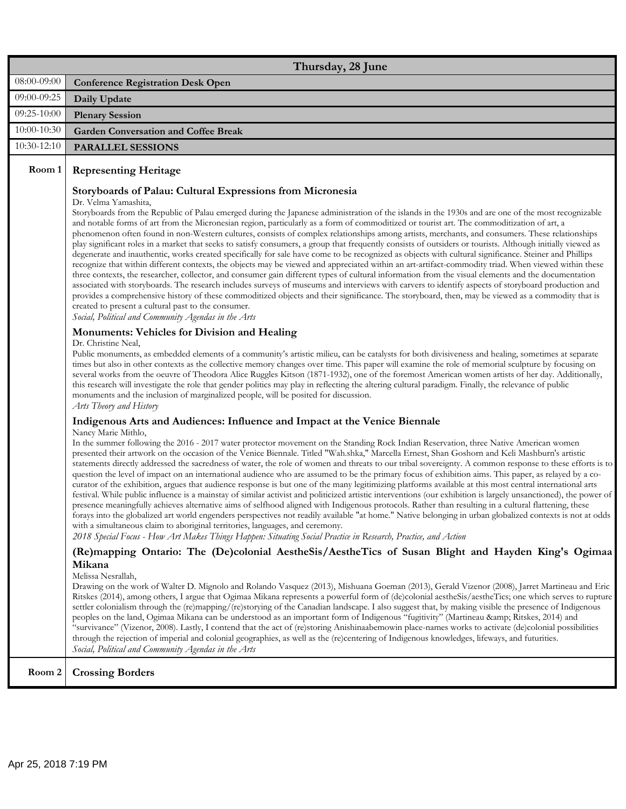|             | Thursday, 28 June                                                                                                                                                                                                                                                                                                                                                                                                                                                                                                                                                                                                                                                                                                                                                                                                                                                                                                                                                                                                                                                                                                                                                                                                                                                                                                                                                                                                                                                                                                                                                                                                                                                                                                                                                                                                                      |
|-------------|----------------------------------------------------------------------------------------------------------------------------------------------------------------------------------------------------------------------------------------------------------------------------------------------------------------------------------------------------------------------------------------------------------------------------------------------------------------------------------------------------------------------------------------------------------------------------------------------------------------------------------------------------------------------------------------------------------------------------------------------------------------------------------------------------------------------------------------------------------------------------------------------------------------------------------------------------------------------------------------------------------------------------------------------------------------------------------------------------------------------------------------------------------------------------------------------------------------------------------------------------------------------------------------------------------------------------------------------------------------------------------------------------------------------------------------------------------------------------------------------------------------------------------------------------------------------------------------------------------------------------------------------------------------------------------------------------------------------------------------------------------------------------------------------------------------------------------------|
| 08:00-09:00 | <b>Conference Registration Desk Open</b>                                                                                                                                                                                                                                                                                                                                                                                                                                                                                                                                                                                                                                                                                                                                                                                                                                                                                                                                                                                                                                                                                                                                                                                                                                                                                                                                                                                                                                                                                                                                                                                                                                                                                                                                                                                               |
| 09:00-09:25 | Daily Update                                                                                                                                                                                                                                                                                                                                                                                                                                                                                                                                                                                                                                                                                                                                                                                                                                                                                                                                                                                                                                                                                                                                                                                                                                                                                                                                                                                                                                                                                                                                                                                                                                                                                                                                                                                                                           |
| 09:25-10:00 | <b>Plenary Session</b>                                                                                                                                                                                                                                                                                                                                                                                                                                                                                                                                                                                                                                                                                                                                                                                                                                                                                                                                                                                                                                                                                                                                                                                                                                                                                                                                                                                                                                                                                                                                                                                                                                                                                                                                                                                                                 |
| 10:00-10:30 | <b>Garden Conversation and Coffee Break</b>                                                                                                                                                                                                                                                                                                                                                                                                                                                                                                                                                                                                                                                                                                                                                                                                                                                                                                                                                                                                                                                                                                                                                                                                                                                                                                                                                                                                                                                                                                                                                                                                                                                                                                                                                                                            |
| 10:30-12:10 | <b>PARALLEL SESSIONS</b>                                                                                                                                                                                                                                                                                                                                                                                                                                                                                                                                                                                                                                                                                                                                                                                                                                                                                                                                                                                                                                                                                                                                                                                                                                                                                                                                                                                                                                                                                                                                                                                                                                                                                                                                                                                                               |
| Room 1      | <b>Representing Heritage</b>                                                                                                                                                                                                                                                                                                                                                                                                                                                                                                                                                                                                                                                                                                                                                                                                                                                                                                                                                                                                                                                                                                                                                                                                                                                                                                                                                                                                                                                                                                                                                                                                                                                                                                                                                                                                           |
|             | Storyboards of Palau: Cultural Expressions from Micronesia<br>Dr. Velma Yamashita,<br>Storyboards from the Republic of Palau emerged during the Japanese administration of the islands in the 1930s and are one of the most recognizable<br>and notable forms of art from the Micronesian region, particularly as a form of commoditized or tourist art. The commoditization of art, a<br>phenomenon often found in non-Western cultures, consists of complex relationships among artists, merchants, and consumers. These relationships<br>play significant roles in a market that seeks to satisfy consumers, a group that frequently consists of outsiders or tourists. Although initially viewed as<br>degenerate and inauthentic, works created specifically for sale have come to be recognized as objects with cultural significance. Steiner and Phillips<br>recognize that within different contexts, the objects may be viewed and appreciated within an art-artifact-commodity triad. When viewed within these<br>three contexts, the researcher, collector, and consumer gain different types of cultural information from the visual elements and the documentation<br>associated with storyboards. The research includes surveys of museums and interviews with carvers to identify aspects of storyboard production and<br>provides a comprehensive history of these commoditized objects and their significance. The storyboard, then, may be viewed as a commodity that is<br>created to present a cultural past to the consumer.<br>Social, Political and Community Agendas in the Arts<br>Monuments: Vehicles for Division and Healing<br>Dr. Christine Neal,<br>Public monuments, as embedded elements of a community's artistic milieu, can be catalysts for both divisiveness and healing, sometimes at separate |
|             | times but also in other contexts as the collective memory changes over time. This paper will examine the role of memorial sculpture by focusing on<br>several works from the oeuvre of Theodora Alice Ruggles Kitson (1871-1932), one of the foremost American women artists of her day. Additionally,<br>this research will investigate the role that gender politics may play in reflecting the altering cultural paradigm. Finally, the relevance of public<br>monuments and the inclusion of marginalized people, will be posited for discussion.<br>Arts Theory and History                                                                                                                                                                                                                                                                                                                                                                                                                                                                                                                                                                                                                                                                                                                                                                                                                                                                                                                                                                                                                                                                                                                                                                                                                                                       |
|             | Indigenous Arts and Audiences: Influence and Impact at the Venice Biennale<br>Nancy Marie Mithlo,<br>In the summer following the 2016 - 2017 water protector movement on the Standing Rock Indian Reservation, three Native American women<br>presented their artwork on the occasion of the Venice Biennale. Titled "Wah.shka," Marcella Ernest, Shan Goshorn and Keli Mashburn's artistic<br>statements directly addressed the sacredness of water, the role of women and threats to our tribal sovereignty. A common response to these efforts is to<br>question the level of impact on an international audience who are assumed to be the primary focus of exhibition aims. This paper, as relayed by a co-<br>curator of the exhibition, argues that audience response is but one of the many legitimizing platforms available at this most central international arts<br>festival. While public influence is a mainstay of similar activist and politicized artistic interventions (our exhibition is largely unsanctioned), the power of<br>presence meaningfully achieves alternative aims of selfhood aligned with Indigenous protocols. Rather than resulting in a cultural flattening, these<br>forays into the globalized art world engenders perspectives not readily available "at home." Native belonging in urban globalized contexts is not at odds<br>with a simultaneous claim to aboriginal territories, languages, and ceremony.<br>2018 Special Focus - How Art Makes Things Happen: Situating Social Practice in Research, Practice, and Action                                                                                                                                                                                                                                                                |
|             | (Re)mapping Ontario: The (De)colonial AestheSis/AestheTics of Susan Blight and Hayden King's Ogimaa<br>Mikana<br>Melissa Nesrallah,<br>Drawing on the work of Walter D. Mignolo and Rolando Vasquez (2013), Mishuana Goeman (2013), Gerald Vizenor (2008), Jarret Martineau and Eric<br>Ritskes (2014), among others, I argue that Ogimaa Mikana represents a powerful form of (de)colonial aestheSis/aestheTics; one which serves to rupture<br>settler colonialism through the (re)mapping/(re)storying of the Canadian landscape. I also suggest that, by making visible the presence of Indigenous<br>peoples on the land, Ogimaa Mikana can be understood as an important form of Indigenous "fugitivity" (Martineau & Ritskes, 2014) and<br>"survivance" (Vizenor, 2008). Lastly, I contend that the act of (re)storing Anishinaabemowin place-names works to activate (de)colonial possibilities<br>through the rejection of imperial and colonial geographies, as well as the (re)centering of Indigenous knowledges, lifeways, and futurities.<br>Social, Political and Community Agendas in the Arts                                                                                                                                                                                                                                                                                                                                                                                                                                                                                                                                                                                                                                                                                                                         |
| Room 2      | <b>Crossing Borders</b>                                                                                                                                                                                                                                                                                                                                                                                                                                                                                                                                                                                                                                                                                                                                                                                                                                                                                                                                                                                                                                                                                                                                                                                                                                                                                                                                                                                                                                                                                                                                                                                                                                                                                                                                                                                                                |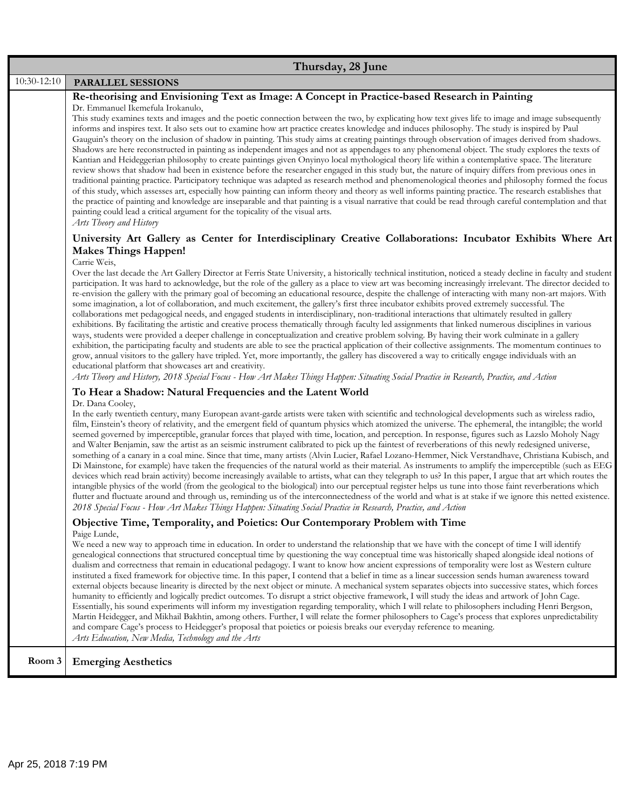|             | Thursday, 28 June                                                                                                                                                                                                                                                                                                                                                                                                                                                                                                                                                                                                                                                                                                                                                                                                                                                                                                                                                                                                                                                                                                                                                                                                                                                                                                                                                                                                                                                                                                                                                                                                                                 |
|-------------|---------------------------------------------------------------------------------------------------------------------------------------------------------------------------------------------------------------------------------------------------------------------------------------------------------------------------------------------------------------------------------------------------------------------------------------------------------------------------------------------------------------------------------------------------------------------------------------------------------------------------------------------------------------------------------------------------------------------------------------------------------------------------------------------------------------------------------------------------------------------------------------------------------------------------------------------------------------------------------------------------------------------------------------------------------------------------------------------------------------------------------------------------------------------------------------------------------------------------------------------------------------------------------------------------------------------------------------------------------------------------------------------------------------------------------------------------------------------------------------------------------------------------------------------------------------------------------------------------------------------------------------------------|
| 10:30-12:10 | PARALLEL SESSIONS                                                                                                                                                                                                                                                                                                                                                                                                                                                                                                                                                                                                                                                                                                                                                                                                                                                                                                                                                                                                                                                                                                                                                                                                                                                                                                                                                                                                                                                                                                                                                                                                                                 |
|             | Re-theorising and Envisioning Text as Image: A Concept in Practice-based Research in Painting                                                                                                                                                                                                                                                                                                                                                                                                                                                                                                                                                                                                                                                                                                                                                                                                                                                                                                                                                                                                                                                                                                                                                                                                                                                                                                                                                                                                                                                                                                                                                     |
|             | Dr. Emmanuel Ikemefula Irokanulo,<br>This study examines texts and images and the poetic connection between the two, by explicating how text gives life to image and image subsequently<br>informs and inspires text. It also sets out to examine how art practice creates knowledge and induces philosophy. The study is inspired by Paul<br>Gauguin's theory on the inclusion of shadow in painting. This study aims at creating paintings through observation of images derived from shadows.<br>Shadows are here reconstructed in painting as independent images and not as appendages to any phenomenal object. The study explores the texts of<br>Kantian and Heideggerian philosophy to create paintings given Onyinyo local mythological theory life within a contemplative space. The literature<br>review shows that shadow had been in existence before the researcher engaged in this study but, the nature of inquiry differs from previous ones in<br>traditional painting practice. Participatory technique was adapted as research method and phenomenological theories and philosophy formed the focus<br>of this study, which assesses art, especially how painting can inform theory and theory as well informs painting practice. The research establishes that<br>the practice of painting and knowledge are inseparable and that painting is a visual narrative that could be read through careful contemplation and that<br>painting could lead a critical argument for the topicality of the visual arts.<br>Arts Theory and History                                                                                      |
|             | University Art Gallery as Center for Interdisciplinary Creative Collaborations: Incubator Exhibits Where Art<br><b>Makes Things Happen!</b>                                                                                                                                                                                                                                                                                                                                                                                                                                                                                                                                                                                                                                                                                                                                                                                                                                                                                                                                                                                                                                                                                                                                                                                                                                                                                                                                                                                                                                                                                                       |
|             | Carrie Weis,<br>Over the last decade the Art Gallery Director at Ferris State University, a historically technical institution, noticed a steady decline in faculty and student<br>participation. It was hard to acknowledge, but the role of the gallery as a place to view art was becoming increasingly irrelevant. The director decided to<br>re-envision the gallery with the primary goal of becoming an educational resource, despite the challenge of interacting with many non-art majors. With<br>some imagination, a lot of collaboration, and much excitement, the gallery's first three incubator exhibits proved extremely successful. The<br>collaborations met pedagogical needs, and engaged students in interdisciplinary, non-traditional interactions that ultimately resulted in gallery<br>exhibitions. By facilitating the artistic and creative process thematically through faculty led assignments that linked numerous disciplines in various<br>ways, students were provided a deeper challenge in conceptualization and creative problem solving. By having their work culminate in a gallery<br>exhibition, the participating faculty and students are able to see the practical application of their collective assignments. The momentum continues to<br>grow, annual visitors to the gallery have tripled. Yet, more importantly, the gallery has discovered a way to critically engage individuals with an<br>educational platform that showcases art and creativity.<br>Arts Theory and History, 2018 Special Focus - How Art Makes Things Happen: Situating Social Practice in Research, Practice, and Action |
|             | To Hear a Shadow: Natural Frequencies and the Latent World                                                                                                                                                                                                                                                                                                                                                                                                                                                                                                                                                                                                                                                                                                                                                                                                                                                                                                                                                                                                                                                                                                                                                                                                                                                                                                                                                                                                                                                                                                                                                                                        |
|             | Dr. Dana Cooley,<br>In the early twentieth century, many European avant-garde artists were taken with scientific and technological developments such as wireless radio,<br>film, Einstein's theory of relativity, and the emergent field of quantum physics which atomized the universe. The ephemeral, the intangible; the world<br>seemed governed by imperceptible, granular forces that played with time, location, and perception. In response, figures such as Lazslo Moholy Nagy<br>and Walter Benjamin, saw the artist as an seismic instrument calibrated to pick up the faintest of reverberations of this newly redesigned universe,<br>something of a canary in a coal mine. Since that time, many artists (Alvin Lucier, Rafael Lozano-Hemmer, Nick Verstandhave, Christiana Kubisch, and<br>Di Mainstone, for example) have taken the frequencies of the natural world as their material. As instruments to amplify the imperceptible (such as EEG<br>devices which read brain activity) become increasingly available to artists, what can they telegraph to us? In this paper, I argue that art which routes the<br>intangible physics of the world (from the geological to the biological) into our perceptual register helps us tune into those faint reverberations which<br>flutter and fluctuate around and through us, reminding us of the interconnectedness of the world and what is at stake if we ignore this netted existence.<br>2018 Special Focus - How Art Makes Things Happen: Situating Social Practice in Research, Practice, and Action                                                                        |
|             | Objective Time, Temporality, and Poietics: Our Contemporary Problem with Time                                                                                                                                                                                                                                                                                                                                                                                                                                                                                                                                                                                                                                                                                                                                                                                                                                                                                                                                                                                                                                                                                                                                                                                                                                                                                                                                                                                                                                                                                                                                                                     |
|             | Paige Lunde,<br>We need a new way to approach time in education. In order to understand the relationship that we have with the concept of time I will identify<br>genealogical connections that structured conceptual time by questioning the way conceptual time was historically shaped alongside ideal notions of<br>dualism and correctness that remain in educational pedagogy. I want to know how ancient expressions of temporality were lost as Western culture<br>instituted a fixed framework for objective time. In this paper, I contend that a belief in time as a linear succession sends human awareness toward<br>external objects because linearity is directed by the next object or minute. A mechanical system separates objects into successive states, which forces<br>humanity to efficiently and logically predict outcomes. To disrupt a strict objective framework, I will study the ideas and artwork of John Cage.<br>Essentially, his sound experiments will inform my investigation regarding temporality, which I will relate to philosophers including Henri Bergson,<br>Martin Heidegger, and Mikhail Bakhtin, among others. Further, I will relate the former philosophers to Cage's process that explores unpredictability<br>and compare Cage's process to Heidegger's proposal that poietics or poiesis breaks our everyday reference to meaning.<br>Arts Education, New Media, Technology and the Arts                                                                                                                                                                                                      |
| Room 3      | <b>Emerging Aesthetics</b>                                                                                                                                                                                                                                                                                                                                                                                                                                                                                                                                                                                                                                                                                                                                                                                                                                                                                                                                                                                                                                                                                                                                                                                                                                                                                                                                                                                                                                                                                                                                                                                                                        |
|             |                                                                                                                                                                                                                                                                                                                                                                                                                                                                                                                                                                                                                                                                                                                                                                                                                                                                                                                                                                                                                                                                                                                                                                                                                                                                                                                                                                                                                                                                                                                                                                                                                                                   |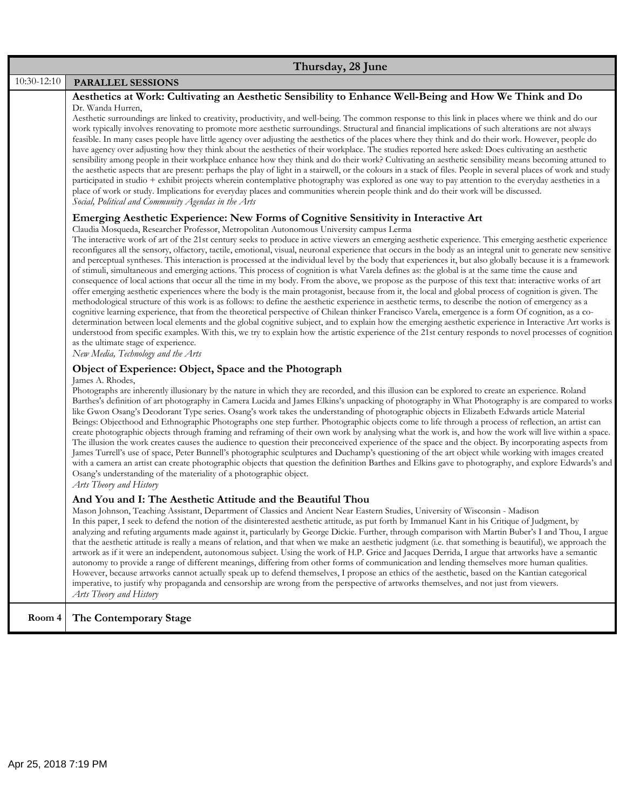|             | Thursday, 28 June                                                                                                                                                                                                                                                                                                                                                                                                                                                                                                                                                                                                                                                                                                                                                                                                                                                                                                                                                                                                                                                                                                                                                                                                                                                                                                                                                                                                                                                                                                                                                                                                                                                                                                                                                                                                                                                        |
|-------------|--------------------------------------------------------------------------------------------------------------------------------------------------------------------------------------------------------------------------------------------------------------------------------------------------------------------------------------------------------------------------------------------------------------------------------------------------------------------------------------------------------------------------------------------------------------------------------------------------------------------------------------------------------------------------------------------------------------------------------------------------------------------------------------------------------------------------------------------------------------------------------------------------------------------------------------------------------------------------------------------------------------------------------------------------------------------------------------------------------------------------------------------------------------------------------------------------------------------------------------------------------------------------------------------------------------------------------------------------------------------------------------------------------------------------------------------------------------------------------------------------------------------------------------------------------------------------------------------------------------------------------------------------------------------------------------------------------------------------------------------------------------------------------------------------------------------------------------------------------------------------|
| 10:30-12:10 | PARALLEL SESSIONS                                                                                                                                                                                                                                                                                                                                                                                                                                                                                                                                                                                                                                                                                                                                                                                                                                                                                                                                                                                                                                                                                                                                                                                                                                                                                                                                                                                                                                                                                                                                                                                                                                                                                                                                                                                                                                                        |
|             | Aesthetics at Work: Cultivating an Aesthetic Sensibility to Enhance Well-Being and How We Think and Do<br>Dr. Wanda Hurren,<br>Aesthetic surroundings are linked to creativity, productivity, and well-being. The common response to this link in places where we think and do our<br>work typically involves renovating to promote more aesthetic surroundings. Structural and financial implications of such alterations are not always<br>feasible. In many cases people have little agency over adjusting the aesthetics of the places where they think and do their work. However, people do<br>have agency over adjusting how they think about the aesthetics of their workplace. The studies reported here asked: Does cultivating an aesthetic<br>sensibility among people in their workplace enhance how they think and do their work? Cultivating an aesthetic sensibility means becoming attuned to<br>the aesthetic aspects that are present: perhaps the play of light in a stairwell, or the colours in a stack of files. People in several places of work and study<br>participated in studio + exhibit projects wherein contemplative photography was explored as one way to pay attention to the everyday aesthetics in a<br>place of work or study. Implications for everyday places and communities wherein people think and do their work will be discussed.<br>Social, Political and Community Agendas in the Arts                                                                                                                                                                                                                                                                                                                                                                                                                                  |
|             | Emerging Aesthetic Experience: New Forms of Cognitive Sensitivity in Interactive Art<br>Claudia Mosqueda, Researcher Professor, Metropolitan Autonomous University campus Lerma<br>The interactive work of art of the 21st century seeks to produce in active viewers an emerging aesthetic experience. This emerging aesthetic experience<br>reconfigures all the sensory, olfactory, tactile, emotional, visual, neuronal experience that occurs in the body as an integral unit to generate new sensitive<br>and perceptual syntheses. This interaction is processed at the individual level by the body that experiences it, but also globally because it is a framework<br>of stimuli, simultaneous and emerging actions. This process of cognition is what Varela defines as: the global is at the same time the cause and<br>consequence of local actions that occur all the time in my body. From the above, we propose as the purpose of this text that: interactive works of art<br>offer emerging aesthetic experiences where the body is the main protagonist, because from it, the local and global process of cognition is given. The<br>methodological structure of this work is as follows: to define the aesthetic experience in aesthetic terms, to describe the notion of emergency as a<br>cognitive learning experience, that from the theoretical perspective of Chilean thinker Francisco Varela, emergence is a form Of cognition, as a co-<br>determination between local elements and the global cognitive subject, and to explain how the emerging aesthetic experience in Interactive Art works is<br>understood from specific examples. With this, we try to explain how the artistic experience of the 21st century responds to novel processes of cognition<br>as the ultimate stage of experience.<br>New Media, Technology and the Arts |
|             | Object of Experience: Object, Space and the Photograph<br>James A. Rhodes,<br>Photographs are inherently illusionary by the nature in which they are recorded, and this illusion can be explored to create an experience. Roland<br>Barthes's definition of art photography in Camera Lucida and James Elkins's unpacking of photography in What Photography is are compared to works<br>like Gwon Osang's Deodorant Type series. Osang's work takes the understanding of photographic objects in Elizabeth Edwards article Material<br>Beings: Objecthood and Ethnographic Photographs one step further. Photographic objects come to life through a process of reflection, an artist can<br>create photographic objects through framing and reframing of their own work by analysing what the work is, and how the work will live within a space.<br>The illusion the work creates causes the audience to question their preconceived experience of the space and the object. By incorporating aspects from<br>James Turrell's use of space, Peter Bunnell's photographic sculptures and Duchamp's questioning of the art object while working with images created<br>with a camera an artist can create photographic objects that question the definition Barthes and Elkins gave to photography, and explore Edwards's and<br>Osang's understanding of the materiality of a photographic object.<br>Arts Theory and History                                                                                                                                                                                                                                                                                                                                                                                                                                          |
|             | And You and I: The Aesthetic Attitude and the Beautiful Thou<br>Mason Johnson, Teaching Assistant, Department of Classics and Ancient Near Eastern Studies, University of Wisconsin - Madison<br>In this paper, I seek to defend the notion of the disinterested aesthetic attitude, as put forth by Immanuel Kant in his Critique of Judgment, by<br>analyzing and refuting arguments made against it, particularly by George Dickie. Further, through comparison with Martin Buber's I and Thou, I argue<br>that the aesthetic attitude is really a means of relation, and that when we make an aesthetic judgment (i.e. that something is beautiful), we approach the<br>artwork as if it were an independent, autonomous subject. Using the work of H.P. Grice and Jacques Derrida, I argue that artworks have a semantic<br>autonomy to provide a range of different meanings, differing from other forms of communication and lending themselves more human qualities.<br>However, because artworks cannot actually speak up to defend themselves, I propose an ethics of the aesthetic, based on the Kantian categorical<br>imperative, to justify why propaganda and censorship are wrong from the perspective of artworks themselves, and not just from viewers.<br>Arts Theory and History                                                                                                                                                                                                                                                                                                                                                                                                                                                                                                                                                                     |
| Room 4      | The Contemporary Stage                                                                                                                                                                                                                                                                                                                                                                                                                                                                                                                                                                                                                                                                                                                                                                                                                                                                                                                                                                                                                                                                                                                                                                                                                                                                                                                                                                                                                                                                                                                                                                                                                                                                                                                                                                                                                                                   |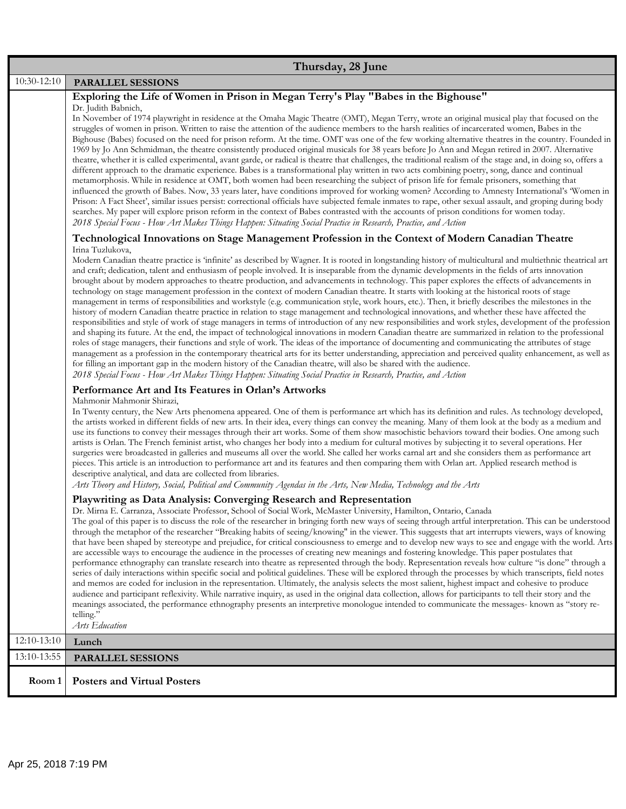|             | Thursday, 28 June                                                                                                                                                                                                                                                                                                                                                                                                                                                                                                                                                                                                                                                                                                                                                                                                                                                                                                                                                                                                                                                                                                                                                                                                                                                                                                                                                                                                                                                                                                                                                                                                                                                                                                                                                                                                         |  |  |
|-------------|---------------------------------------------------------------------------------------------------------------------------------------------------------------------------------------------------------------------------------------------------------------------------------------------------------------------------------------------------------------------------------------------------------------------------------------------------------------------------------------------------------------------------------------------------------------------------------------------------------------------------------------------------------------------------------------------------------------------------------------------------------------------------------------------------------------------------------------------------------------------------------------------------------------------------------------------------------------------------------------------------------------------------------------------------------------------------------------------------------------------------------------------------------------------------------------------------------------------------------------------------------------------------------------------------------------------------------------------------------------------------------------------------------------------------------------------------------------------------------------------------------------------------------------------------------------------------------------------------------------------------------------------------------------------------------------------------------------------------------------------------------------------------------------------------------------------------|--|--|
| 10:30-12:10 | PARALLEL SESSIONS                                                                                                                                                                                                                                                                                                                                                                                                                                                                                                                                                                                                                                                                                                                                                                                                                                                                                                                                                                                                                                                                                                                                                                                                                                                                                                                                                                                                                                                                                                                                                                                                                                                                                                                                                                                                         |  |  |
|             | Exploring the Life of Women in Prison in Megan Terry's Play "Babes in the Bighouse"                                                                                                                                                                                                                                                                                                                                                                                                                                                                                                                                                                                                                                                                                                                                                                                                                                                                                                                                                                                                                                                                                                                                                                                                                                                                                                                                                                                                                                                                                                                                                                                                                                                                                                                                       |  |  |
|             | Dr. Judith Babnich,<br>In November of 1974 playwright in residence at the Omaha Magic Theatre (OMT), Megan Terry, wrote an original musical play that focused on the<br>struggles of women in prison. Written to raise the attention of the audience members to the harsh realities of incarcerated women, Babes in the<br>Bighouse (Babes) focused on the need for prison reform. At the time. OMT was one of the few working alternative theatres in the country. Founded in<br>1969 by Jo Ann Schmidman, the theatre consistently produced original musicals for 38 years before Jo Ann and Megan retired in 2007. Alternative<br>theatre, whether it is called experimental, avant garde, or radical is theatre that challenges, the traditional realism of the stage and, in doing so, offers a<br>different approach to the dramatic experience. Babes is a transformational play written in two acts combining poetry, song, dance and continual<br>metamorphosis. While in residence at OMT, both women had been researching the subject of prison life for female prisoners, something that<br>influenced the growth of Babes. Now, 33 years later, have conditions improved for working women? According to Amnesty International's 'Women in<br>Prison: A Fact Sheet', similar issues persist: correctional officials have subjected female inmates to rape, other sexual assault, and groping during body<br>searches. My paper will explore prison reform in the context of Babes contrasted with the accounts of prison conditions for women today.<br>2018 Special Focus - How Art Makes Things Happen: Situating Social Practice in Research, Practice, and Action                                                                                                                                        |  |  |
|             | Technological Innovations on Stage Management Profession in the Context of Modern Canadian Theatre                                                                                                                                                                                                                                                                                                                                                                                                                                                                                                                                                                                                                                                                                                                                                                                                                                                                                                                                                                                                                                                                                                                                                                                                                                                                                                                                                                                                                                                                                                                                                                                                                                                                                                                        |  |  |
|             | Irina Tuzlukova,<br>Modern Canadian theatre practice is 'infinite' as described by Wagner. It is rooted in longstanding history of multicultural and multiethnic theatrical art<br>and craft; dedication, talent and enthusiasm of people involved. It is inseparable from the dynamic developments in the fields of arts innovation<br>brought about by modern approaches to theatre production, and advancements in technology. This paper explores the effects of advancements in<br>technology on stage management profession in the context of modern Canadian theatre. It starts with looking at the historical roots of stage<br>management in terms of responsibilities and workstyle (e.g. communication style, work hours, etc.). Then, it briefly describes the milestones in the<br>history of modern Canadian theatre practice in relation to stage management and technological innovations, and whether these have affected the<br>responsibilities and style of work of stage managers in terms of introduction of any new responsibilities and work styles, development of the profession<br>and shaping its future. At the end, the impact of technological innovations in modern Canadian theatre are summarized in relation to the professional<br>roles of stage managers, their functions and style of work. The ideas of the importance of documenting and communicating the attributes of stage<br>management as a profession in the contemporary theatrical arts for its better understanding, appreciation and perceived quality enhancement, as well as<br>for filling an important gap in the modern history of the Canadian theatre, will also be shared with the audience.<br>2018 Special Focus - How Art Makes Things Happen: Situating Social Practice in Research, Practice, and Action |  |  |
|             | Performance Art and Its Features in Orlan's Artworks                                                                                                                                                                                                                                                                                                                                                                                                                                                                                                                                                                                                                                                                                                                                                                                                                                                                                                                                                                                                                                                                                                                                                                                                                                                                                                                                                                                                                                                                                                                                                                                                                                                                                                                                                                      |  |  |
|             | Mahmonir Mahmonir Shirazi,<br>In Twenty century, the New Arts phenomena appeared. One of them is performance art which has its definition and rules. As technology developed,<br>the artists worked in different fields of new arts. In their idea, every things can convey the meaning. Many of them look at the body as a medium and<br>use its functions to convey their messages through their art works. Some of them show masochistic behaviors toward their bodies. One among such<br>artists is Orlan. The French feminist artist, who changes her body into a medium for cultural motives by subjecting it to several operations. Her<br>surgeries were broadcasted in galleries and museums all over the world. She called her works carnal art and she considers them as performance art<br>pieces. This article is an introduction to performance art and its features and then comparing them with Orlan art. Applied research method is<br>descriptive analytical, and data are collected from libraries.<br>Arts Theory and History, Social, Political and Community Agendas in the Arts, New Media, Technology and the Arts                                                                                                                                                                                                                                                                                                                                                                                                                                                                                                                                                                                                                                                                               |  |  |
|             | Playwriting as Data Analysis: Converging Research and Representation<br>Dr. Mirna E. Carranza, Associate Professor, School of Social Work, McMaster University, Hamilton, Ontario, Canada<br>The goal of this paper is to discuss the role of the researcher in bringing forth new ways of seeing through artful interpretation. This can be understood<br>through the metaphor of the researcher "Breaking habits of seeing/knowing" in the viewer. This suggests that art interrupts viewers, ways of knowing<br>that have been shaped by stereotype and prejudice, for critical consciousness to emerge and to develop new ways to see and engage with the world. Arts<br>are accessible ways to encourage the audience in the processes of creating new meanings and fostering knowledge. This paper postulates that<br>performance ethnography can translate research into theatre as represented through the body. Representation reveals how culture "is done" through a<br>series of daily interactions within specific social and political guidelines. These will be explored through the processes by which transcripts, field notes<br>and memos are coded for inclusion in the representation. Ultimately, the analysis selects the most salient, highest impact and cohesive to produce<br>audience and participant reflexivity. While narrative inquiry, as used in the original data collection, allows for participants to tell their story and the<br>meanings associated, the performance ethnography presents an interpretive monologue intended to communicate the messages- known as "story re-<br>telling."<br>Arts Education                                                                                                                                                                      |  |  |
| 12:10-13:10 | Lunch                                                                                                                                                                                                                                                                                                                                                                                                                                                                                                                                                                                                                                                                                                                                                                                                                                                                                                                                                                                                                                                                                                                                                                                                                                                                                                                                                                                                                                                                                                                                                                                                                                                                                                                                                                                                                     |  |  |
| 13:10-13:55 | <b>PARALLEL SESSIONS</b>                                                                                                                                                                                                                                                                                                                                                                                                                                                                                                                                                                                                                                                                                                                                                                                                                                                                                                                                                                                                                                                                                                                                                                                                                                                                                                                                                                                                                                                                                                                                                                                                                                                                                                                                                                                                  |  |  |
| Room 1      | <b>Posters and Virtual Posters</b>                                                                                                                                                                                                                                                                                                                                                                                                                                                                                                                                                                                                                                                                                                                                                                                                                                                                                                                                                                                                                                                                                                                                                                                                                                                                                                                                                                                                                                                                                                                                                                                                                                                                                                                                                                                        |  |  |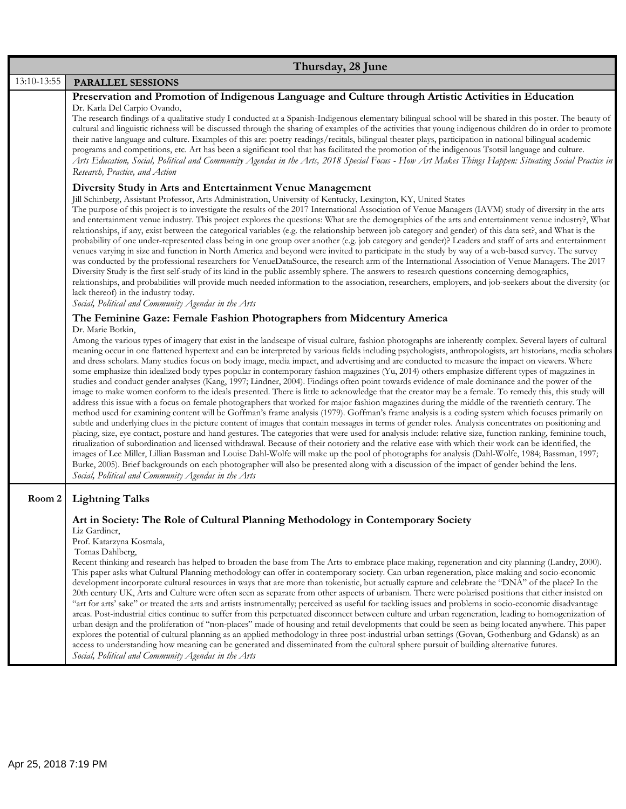|             | Thursday, 28 June                                                                                                                                                                                                                                                                                                                                                                                                                                                                                                                                                                                                                                                                                                                                                                                                                                                                                                                                                                                                                                                                                                                                                                                                                                                                                                                                                                                                                                                                                                                                                                                                                                                                                                                                                                                                                                                                                                                                                                                                                                                                                                                                                                      |
|-------------|----------------------------------------------------------------------------------------------------------------------------------------------------------------------------------------------------------------------------------------------------------------------------------------------------------------------------------------------------------------------------------------------------------------------------------------------------------------------------------------------------------------------------------------------------------------------------------------------------------------------------------------------------------------------------------------------------------------------------------------------------------------------------------------------------------------------------------------------------------------------------------------------------------------------------------------------------------------------------------------------------------------------------------------------------------------------------------------------------------------------------------------------------------------------------------------------------------------------------------------------------------------------------------------------------------------------------------------------------------------------------------------------------------------------------------------------------------------------------------------------------------------------------------------------------------------------------------------------------------------------------------------------------------------------------------------------------------------------------------------------------------------------------------------------------------------------------------------------------------------------------------------------------------------------------------------------------------------------------------------------------------------------------------------------------------------------------------------------------------------------------------------------------------------------------------------|
| 13:10-13:55 | <b>PARALLEL SESSIONS</b>                                                                                                                                                                                                                                                                                                                                                                                                                                                                                                                                                                                                                                                                                                                                                                                                                                                                                                                                                                                                                                                                                                                                                                                                                                                                                                                                                                                                                                                                                                                                                                                                                                                                                                                                                                                                                                                                                                                                                                                                                                                                                                                                                               |
|             | Preservation and Promotion of Indigenous Language and Culture through Artistic Activities in Education<br>Dr. Karla Del Carpio Ovando,<br>The research findings of a qualitative study I conducted at a Spanish-Indigenous elementary bilingual school will be shared in this poster. The beauty of<br>cultural and linguistic richness will be discussed through the sharing of examples of the activities that young indigenous children do in order to promote<br>their native language and culture. Examples of this are: poetry readings/recitals, bilingual theater plays, participation in national bilingual academic<br>programs and competitions, etc. Art has been a significant tool that has facilitated the promotion of the indigenous Tsotsil language and culture.<br>Arts Education, Social, Political and Community Agendas in the Arts, 2018 Special Focus - How Art Makes Things Happen: Situating Social Practice in<br>Research, Practice, and Action                                                                                                                                                                                                                                                                                                                                                                                                                                                                                                                                                                                                                                                                                                                                                                                                                                                                                                                                                                                                                                                                                                                                                                                                           |
|             | Diversity Study in Arts and Entertainment Venue Management<br>Jill Schinberg, Assistant Professor, Arts Administration, University of Kentucky, Lexington, KY, United States<br>The purpose of this project is to investigate the results of the 2017 International Association of Venue Managers (IAVM) study of diversity in the arts<br>and entertainment venue industry. This project explores the questions: What are the demographics of the arts and entertainment venue industry?, What<br>relationships, if any, exist between the categorical variables (e.g. the relationship between job category and gender) of this data set?, and What is the<br>probability of one under-represented class being in one group over another (e.g. job category and gender)? Leaders and staff of arts and entertainment<br>venues varying in size and function in North America and beyond were invited to participate in the study by way of a web-based survey. The survey<br>was conducted by the professional researchers for VenueDataSource, the research arm of the International Association of Venue Managers. The 2017<br>Diversity Study is the first self-study of its kind in the public assembly sphere. The answers to research questions concerning demographics,<br>relationships, and probabilities will provide much needed information to the association, researchers, employers, and job-seekers about the diversity (or<br>lack thereof) in the industry today.<br>Social, Political and Community Agendas in the Arts                                                                                                                                                                                                                                                                                                                                                                                                                                                                                                                                                                                                                                           |
|             |                                                                                                                                                                                                                                                                                                                                                                                                                                                                                                                                                                                                                                                                                                                                                                                                                                                                                                                                                                                                                                                                                                                                                                                                                                                                                                                                                                                                                                                                                                                                                                                                                                                                                                                                                                                                                                                                                                                                                                                                                                                                                                                                                                                        |
|             | The Feminine Gaze: Female Fashion Photographers from Midcentury America<br>Dr. Marie Botkin,<br>Among the various types of imagery that exist in the landscape of visual culture, fashion photographs are inherently complex. Several layers of cultural<br>meaning occur in one flattened hypertext and can be interpreted by various fields including psychologists, anthropologists, art historians, media scholars<br>and dress scholars. Many studies focus on body image, media impact, and advertising and are conducted to measure the impact on viewers. Where<br>some emphasize thin idealized body types popular in contemporary fashion magazines (Yu, 2014) others emphasize different types of magazines in<br>studies and conduct gender analyses (Kang, 1997; Lindner, 2004). Findings often point towards evidence of male dominance and the power of the<br>image to make women conform to the ideals presented. There is little to acknowledge that the creator may be a female. To remedy this, this study will<br>address this issue with a focus on female photographers that worked for major fashion magazines during the middle of the twentieth century. The<br>method used for examining content will be Goffman's frame analysis (1979). Goffman's frame analysis is a coding system which focuses primarily on<br>subtle and underlying clues in the picture content of images that contain messages in terms of gender roles. Analysis concentrates on positioning and<br>placing, size, eye contact, posture and hand gestures. The categories that were used for analysis include: relative size, function ranking, feminine touch,<br>ritualization of subordination and licensed withdrawal. Because of their notoriety and the relative ease with which their work can be identified, the<br>images of Lee Miller, Lillian Bassman and Louise Dahl-Wolfe will make up the pool of photographs for analysis (Dahl-Wolfe, 1984; Bassman, 1997;<br>Burke, 2005). Brief backgrounds on each photographer will also be presented along with a discussion of the impact of gender behind the lens.<br>Social, Political and Community Agendas in the Arts |
| Room 2      | <b>Lightning Talks</b>                                                                                                                                                                                                                                                                                                                                                                                                                                                                                                                                                                                                                                                                                                                                                                                                                                                                                                                                                                                                                                                                                                                                                                                                                                                                                                                                                                                                                                                                                                                                                                                                                                                                                                                                                                                                                                                                                                                                                                                                                                                                                                                                                                 |
|             | Art in Society: The Role of Cultural Planning Methodology in Contemporary Society<br>Liz Gardiner,<br>Prof. Katarzyna Kosmala,<br>Tomas Dahlberg,<br>Recent thinking and research has helped to broaden the base from The Arts to embrace place making, regeneration and city planning (Landry, 2000).<br>This paper asks what Cultural Planning methodology can offer in contemporary society. Can urban regeneration, place making and socio-economic<br>development incorporate cultural resources in ways that are more than tokenistic, but actually capture and celebrate the "DNA" of the place? In the<br>20th century UK, Arts and Culture were often seen as separate from other aspects of urbanism. There were polarised positions that either insisted on<br>"art for arts' sake" or treated the arts and artists instrumentally; perceived as useful for tackling issues and problems in socio-economic disadvantage<br>areas. Post-industrial cities continue to suffer from this perpetuated disconnect between culture and urban regeneration, leading to homogenization of<br>urban design and the proliferation of "non-places" made of housing and retail developments that could be seen as being located anywhere. This paper<br>explores the potential of cultural planning as an applied methodology in three post-industrial urban settings (Govan, Gothenburg and Gdansk) as an<br>access to understanding how meaning can be generated and disseminated from the cultural sphere pursuit of building alternative futures.<br>Social, Political and Community Agendas in the Arts                                                                                                                                                                                                                                                                                                                                                                                                                                                                                                                                                                            |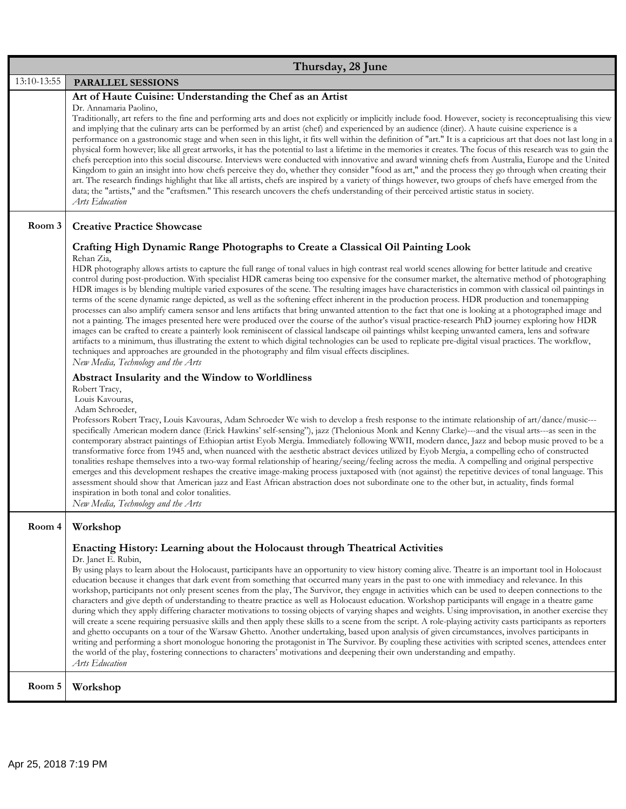| Thursday, 28 June |                                                                                                                                                                                                                                                                                                                                                                                                                                                                                                                                                                                                                                                                                                                                                                                                                                                                                                                                                                                                                                                                                                                                                                                                                                                                                                                                                                                                                                                                                                                                                                                                                                                                                                                                                                                                                                                                                                                                                                                                                                                                                                                                                                                                                                                                                                                                                                                                                                                                                                                                                                                                                                                                                                                                                                         |
|-------------------|-------------------------------------------------------------------------------------------------------------------------------------------------------------------------------------------------------------------------------------------------------------------------------------------------------------------------------------------------------------------------------------------------------------------------------------------------------------------------------------------------------------------------------------------------------------------------------------------------------------------------------------------------------------------------------------------------------------------------------------------------------------------------------------------------------------------------------------------------------------------------------------------------------------------------------------------------------------------------------------------------------------------------------------------------------------------------------------------------------------------------------------------------------------------------------------------------------------------------------------------------------------------------------------------------------------------------------------------------------------------------------------------------------------------------------------------------------------------------------------------------------------------------------------------------------------------------------------------------------------------------------------------------------------------------------------------------------------------------------------------------------------------------------------------------------------------------------------------------------------------------------------------------------------------------------------------------------------------------------------------------------------------------------------------------------------------------------------------------------------------------------------------------------------------------------------------------------------------------------------------------------------------------------------------------------------------------------------------------------------------------------------------------------------------------------------------------------------------------------------------------------------------------------------------------------------------------------------------------------------------------------------------------------------------------------------------------------------------------------------------------------------------------|
| 13:10-13:55       | PARALLEL SESSIONS                                                                                                                                                                                                                                                                                                                                                                                                                                                                                                                                                                                                                                                                                                                                                                                                                                                                                                                                                                                                                                                                                                                                                                                                                                                                                                                                                                                                                                                                                                                                                                                                                                                                                                                                                                                                                                                                                                                                                                                                                                                                                                                                                                                                                                                                                                                                                                                                                                                                                                                                                                                                                                                                                                                                                       |
|                   | Art of Haute Cuisine: Understanding the Chef as an Artist<br>Dr. Annamaria Paolino,<br>Traditionally, art refers to the fine and performing arts and does not explicitly or implicitly include food. However, society is reconceptualising this view<br>and implying that the culinary arts can be performed by an artist (chef) and experienced by an audience (diner). A haute cuisine experience is a<br>performance on a gastronomic stage and when seen in this light, it fits well within the definition of "art." It is a capricious art that does not last long in a<br>physical form however; like all great artworks, it has the potential to last a lifetime in the memories it creates. The focus of this research was to gain the<br>chefs perception into this social discourse. Interviews were conducted with innovative and award winning chefs from Australia, Europe and the United<br>Kingdom to gain an insight into how chefs perceive they do, whether they consider "food as art," and the process they go through when creating their<br>art. The research findings highlight that like all artists, chefs are inspired by a variety of things however, two groups of chefs have emerged from the<br>data; the "artists," and the "craftsmen." This research uncovers the chefs understanding of their perceived artistic status in society.<br>Arts Education                                                                                                                                                                                                                                                                                                                                                                                                                                                                                                                                                                                                                                                                                                                                                                                                                                                                                                                                                                                                                                                                                                                                                                                                                                                                                                                                                                                 |
| Room 3            | <b>Creative Practice Showcase</b>                                                                                                                                                                                                                                                                                                                                                                                                                                                                                                                                                                                                                                                                                                                                                                                                                                                                                                                                                                                                                                                                                                                                                                                                                                                                                                                                                                                                                                                                                                                                                                                                                                                                                                                                                                                                                                                                                                                                                                                                                                                                                                                                                                                                                                                                                                                                                                                                                                                                                                                                                                                                                                                                                                                                       |
|                   | Crafting High Dynamic Range Photographs to Create a Classical Oil Painting Look<br>Rehan Zia,<br>HDR photography allows artists to capture the full range of tonal values in high contrast real world scenes allowing for better latitude and creative<br>control during post-production. With specialist HDR cameras being too expensive for the consumer market, the alternative method of photographing<br>HDR images is by blending multiple varied exposures of the scene. The resulting images have characteristics in common with classical oil paintings in<br>terms of the scene dynamic range depicted, as well as the softening effect inherent in the production process. HDR production and tonemapping<br>processes can also amplify camera sensor and lens artifacts that bring unwanted attention to the fact that one is looking at a photographed image and<br>not a painting. The images presented here were produced over the course of the author's visual practice-research PhD journey exploring how HDR<br>images can be crafted to create a painterly look reminiscent of classical landscape oil paintings whilst keeping unwanted camera, lens and software<br>artifacts to a minimum, thus illustrating the extent to which digital technologies can be used to replicate pre-digital visual practices. The workflow,<br>techniques and approaches are grounded in the photography and film visual effects disciplines.<br>New Media, Technology and the Arts<br>Abstract Insularity and the Window to Worldliness<br>Robert Tracy,<br>Louis Kavouras,<br>Adam Schroeder,<br>Professors Robert Tracy, Louis Kavouras, Adam Schroeder We wish to develop a fresh response to the intimate relationship of art/dance/music---<br>specifically American modern dance (Erick Hawkins' self-sensing"), jazz (Thelonious Monk and Kenny Clarke)---and the visual arts---as seen in the<br>contemporary abstract paintings of Ethiopian artist Eyob Mergia. Immediately following WWII, modern dance, Jazz and bebop music proved to be a<br>transformative force from 1945 and, when nuanced with the aesthetic abstract devices utilized by Eyob Mergia, a compelling echo of constructed<br>tonalities reshape themselves into a two-way formal relationship of hearing/seeing/feeling across the media. A compelling and original perspective<br>emerges and this development reshapes the creative image-making process juxtaposed with (not against) the repetitive devices of tonal language. This<br>assessment should show that American jazz and East African abstraction does not subordinate one to the other but, in actuality, finds formal<br>inspiration in both tonal and color tonalities.<br>New Media, Technology and the Arts |
| Room 4            | Workshop                                                                                                                                                                                                                                                                                                                                                                                                                                                                                                                                                                                                                                                                                                                                                                                                                                                                                                                                                                                                                                                                                                                                                                                                                                                                                                                                                                                                                                                                                                                                                                                                                                                                                                                                                                                                                                                                                                                                                                                                                                                                                                                                                                                                                                                                                                                                                                                                                                                                                                                                                                                                                                                                                                                                                                |
|                   | Enacting History: Learning about the Holocaust through Theatrical Activities<br>Dr. Janet E. Rubin,<br>By using plays to learn about the Holocaust, participants have an opportunity to view history coming alive. Theatre is an important tool in Holocaust<br>education because it changes that dark event from something that occurred many years in the past to one with immediacy and relevance. In this<br>workshop, participants not only present scenes from the play, The Survivor, they engage in activities which can be used to deepen connections to the<br>characters and give depth of understanding to theatre practice as well as Holocaust education. Workshop participants will engage in a theatre game<br>during which they apply differing character motivations to tossing objects of varying shapes and weights. Using improvisation, in another exercise they<br>will create a scene requiring persuasive skills and then apply these skills to a scene from the script. A role-playing activity casts participants as reporters<br>and ghetto occupants on a tour of the Warsaw Ghetto. Another undertaking, based upon analysis of given circumstances, involves participants in<br>writing and performing a short monologue honoring the protagonist in The Survivor. By coupling these activities with scripted scenes, attendees enter<br>the world of the play, fostering connections to characters' motivations and deepening their own understanding and empathy.<br>Arts Education                                                                                                                                                                                                                                                                                                                                                                                                                                                                                                                                                                                                                                                                                                                                                                                                                                                                                                                                                                                                                                                                                                                                                                                                                                                    |
| Room 5            | Workshop                                                                                                                                                                                                                                                                                                                                                                                                                                                                                                                                                                                                                                                                                                                                                                                                                                                                                                                                                                                                                                                                                                                                                                                                                                                                                                                                                                                                                                                                                                                                                                                                                                                                                                                                                                                                                                                                                                                                                                                                                                                                                                                                                                                                                                                                                                                                                                                                                                                                                                                                                                                                                                                                                                                                                                |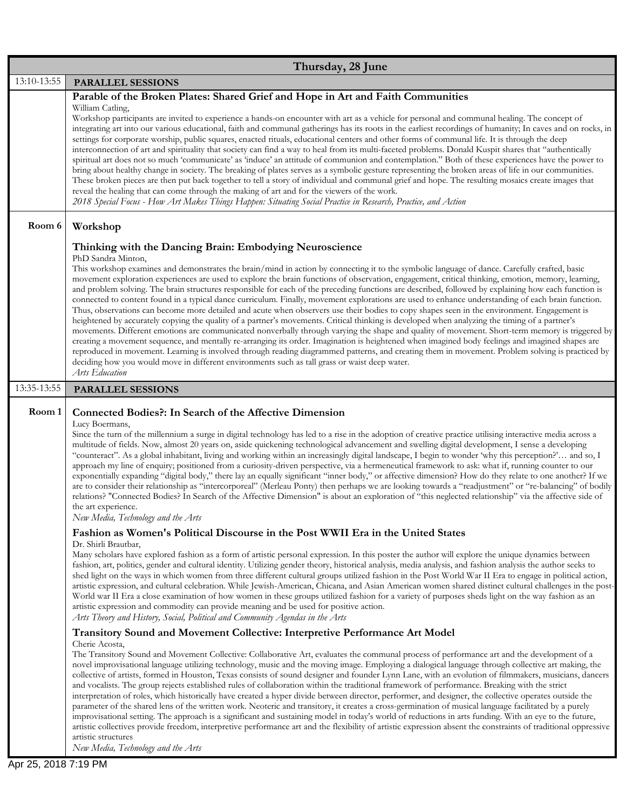|             | Thursday, 28 June                                                                                                                                                                                                                                                                                                                                                                                                                                                                                                                                                                                                                                                                                                                                                                                                                                                                                                                                                                                                                                                                                                                                                                                                                                                                                                                                                                                                                                                                                                                                                                 |
|-------------|-----------------------------------------------------------------------------------------------------------------------------------------------------------------------------------------------------------------------------------------------------------------------------------------------------------------------------------------------------------------------------------------------------------------------------------------------------------------------------------------------------------------------------------------------------------------------------------------------------------------------------------------------------------------------------------------------------------------------------------------------------------------------------------------------------------------------------------------------------------------------------------------------------------------------------------------------------------------------------------------------------------------------------------------------------------------------------------------------------------------------------------------------------------------------------------------------------------------------------------------------------------------------------------------------------------------------------------------------------------------------------------------------------------------------------------------------------------------------------------------------------------------------------------------------------------------------------------|
| 13:10-13:55 | PARALLEL SESSIONS                                                                                                                                                                                                                                                                                                                                                                                                                                                                                                                                                                                                                                                                                                                                                                                                                                                                                                                                                                                                                                                                                                                                                                                                                                                                                                                                                                                                                                                                                                                                                                 |
|             | Parable of the Broken Plates: Shared Grief and Hope in Art and Faith Communities<br>William Catling,<br>Workshop participants are invited to experience a hands-on encounter with art as a vehicle for personal and communal healing. The concept of<br>integrating art into our various educational, faith and communal gatherings has its roots in the earliest recordings of humanity; In caves and on rocks, in<br>settings for corporate worship, public squares, enacted rituals, educational centers and other forms of communal life. It is through the deep<br>interconnection of art and spirituality that society can find a way to heal from its multi-faceted problems. Donald Kuspit shares that "authentically<br>spiritual art does not so much 'communicate' as 'induce' an attitude of communion and contemplation." Both of these experiences have the power to<br>bring about healthy change in society. The breaking of plates serves as a symbolic gesture representing the broken areas of life in our communities.<br>These broken pieces are then put back together to tell a story of individual and communal grief and hope. The resulting mosaics create images that<br>reveal the healing that can come through the making of art and for the viewers of the work.<br>2018 Special Focus - How Art Makes Things Happen: Situating Social Practice in Research, Practice, and Action                                                                                                                                                                  |
| Room 6      | Workshop                                                                                                                                                                                                                                                                                                                                                                                                                                                                                                                                                                                                                                                                                                                                                                                                                                                                                                                                                                                                                                                                                                                                                                                                                                                                                                                                                                                                                                                                                                                                                                          |
|             | Thinking with the Dancing Brain: Embodying Neuroscience<br>PhD Sandra Minton,<br>This workshop examines and demonstrates the brain/mind in action by connecting it to the symbolic language of dance. Carefully crafted, basic<br>movement exploration experiences are used to explore the brain functions of observation, engagement, critical thinking, emotion, memory, learning,<br>and problem solving. The brain structures responsible for each of the preceding functions are described, followed by explaining how each function is<br>connected to content found in a typical dance curriculum. Finally, movement explorations are used to enhance understanding of each brain function.<br>Thus, observations can become more detailed and acute when observers use their bodies to copy shapes seen in the environment. Engagement is<br>heightened by accurately copying the quality of a partner's movements. Critical thinking is developed when analyzing the timing of a partner's<br>movements. Different emotions are communicated nonverbally through varying the shape and quality of movement. Short-term memory is triggered by<br>creating a movement sequence, and mentally re-arranging its order. Imagination is heightened when imagined body feelings and imagined shapes are<br>reproduced in movement. Learning is involved through reading diagrammed patterns, and creating them in movement. Problem solving is practiced by<br>deciding how you would move in different environments such as tall grass or waist deep water.<br>Arts Education |
| 13:35-13:55 | PARALLEL SESSIONS                                                                                                                                                                                                                                                                                                                                                                                                                                                                                                                                                                                                                                                                                                                                                                                                                                                                                                                                                                                                                                                                                                                                                                                                                                                                                                                                                                                                                                                                                                                                                                 |
| Room 1      | <b>Connected Bodies?: In Search of the Affective Dimension</b><br>Lucy Boermans,<br>Since the turn of the millennium a surge in digital technology has led to a rise in the adoption of creative practice utilising interactive media across a<br>multitude of fields. Now, almost 20 years on, aside quickening technological advancement and swelling digital development, I sense a developing<br>"counteract". As a global inhabitant, living and working within an increasingly digital landscape, I begin to wonder 'why this perception?' and so, I<br>approach my line of enquiry; positioned from a curiosity-driven perspective, via a hermeneutical framework to ask: what if, running counter to our<br>exponentially expanding "digital body," there lay an equally significant "inner body," or affective dimension? How do they relate to one another? If we<br>are to consider their relationship as "intercorporeal" (Merleau Ponty) then perhaps we are looking towards a "readjustment" or "re-balancing" of bodily<br>relations? "Connected Bodies? In Search of the Affective Dimension" is about an exploration of "this neglected relationship" via the affective side of<br>the art experience.<br>New Media, Technology and the Arts                                                                                                                                                                                                                                                                                                                     |
|             | Fashion as Women's Political Discourse in the Post WWII Era in the United States<br>Dr. Shirli Brautbar,<br>Many scholars have explored fashion as a form of artistic personal expression. In this poster the author will explore the unique dynamics between<br>fashion, art, politics, gender and cultural identity. Utilizing gender theory, historical analysis, media analysis, and fashion analysis the author seeks to<br>shed light on the ways in which women from three different cultural groups utilized fashion in the Post World War II Era to engage in political action,<br>artistic expression, and cultural celebration. While Jewish-American, Chicana, and Asian American women shared distinct cultural challenges in the post-<br>World war II Era a close examination of how women in these groups utilized fashion for a variety of purposes sheds light on the way fashion as an<br>artistic expression and commodity can provide meaning and be used for positive action.<br>Arts Theory and History, Social, Political and Community Agendas in the Arts<br><b>Transitory Sound and Movement Collective: Interpretive Performance Art Model</b>                                                                                                                                                                                                                                                                                                                                                                                                        |
|             | Cherie Acosta,<br>The Transitory Sound and Movement Collective: Collaborative Art, evaluates the communal process of performance art and the development of a<br>novel improvisational language utilizing technology, music and the moving image. Employing a dialogical language through collective art making, the<br>collective of artists, formed in Houston, Texas consists of sound designer and founder Lynn Lane, with an evolution of filmmakers, musicians, dancers<br>and vocalists. The group rejects established rules of collaboration within the traditional framework of performance. Breaking with the strict<br>interpretation of roles, which historically have created a hyper divide between director, performer, and designer, the collective operates outside the<br>parameter of the shared lens of the written work. Neoteric and transitory, it creates a cross-germination of musical language facilitated by a purely<br>improvisational setting. The approach is a significant and sustaining model in today's world of reductions in arts funding. With an eye to the future,<br>artistic collectives provide freedom, interpretive performance art and the flexibility of artistic expression absent the constraints of traditional oppressive<br>artistic structures                                                                                                                                                                                                                                                                              |

 $\overline{\phantom{a}}$ 

*New Media, Technology and the Arts*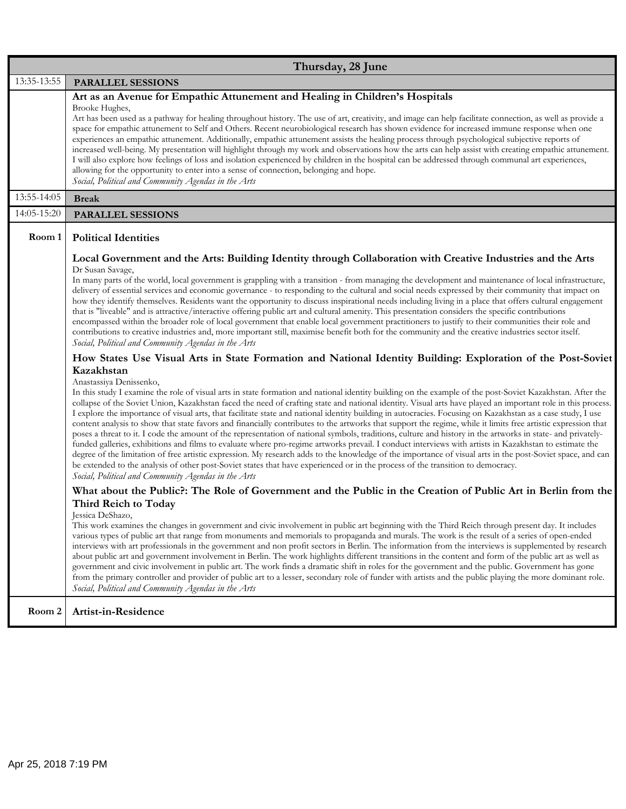| Thursday, 28 June |                                                                                                                                                                                                                                                                                                                                                                                                                                                                                                                                                                                                                                                                                                                                                                                                                                                                                                                                                                                                                                                                                                                                                                                                                                                                                                                                                                                    |
|-------------------|------------------------------------------------------------------------------------------------------------------------------------------------------------------------------------------------------------------------------------------------------------------------------------------------------------------------------------------------------------------------------------------------------------------------------------------------------------------------------------------------------------------------------------------------------------------------------------------------------------------------------------------------------------------------------------------------------------------------------------------------------------------------------------------------------------------------------------------------------------------------------------------------------------------------------------------------------------------------------------------------------------------------------------------------------------------------------------------------------------------------------------------------------------------------------------------------------------------------------------------------------------------------------------------------------------------------------------------------------------------------------------|
| 13:35-13:55       | PARALLEL SESSIONS                                                                                                                                                                                                                                                                                                                                                                                                                                                                                                                                                                                                                                                                                                                                                                                                                                                                                                                                                                                                                                                                                                                                                                                                                                                                                                                                                                  |
|                   | Art as an Avenue for Empathic Attunement and Healing in Children's Hospitals<br>Brooke Hughes,<br>Art has been used as a pathway for healing throughout history. The use of art, creativity, and image can help facilitate connection, as well as provide a<br>space for empathic attunement to Self and Others. Recent neurobiological research has shown evidence for increased immune response when one<br>experiences an empathic attunement. Additionally, empathic attunement assists the healing process through psychological subjective reports of<br>increased well-being. My presentation will highlight through my work and observations how the arts can help assist with creating empathic attunement.<br>I will also explore how feelings of loss and isolation experienced by children in the hospital can be addressed through communal art experiences,<br>allowing for the opportunity to enter into a sense of connection, belonging and hope.<br>Social, Political and Community Agendas in the Arts                                                                                                                                                                                                                                                                                                                                                          |
| 13:55-14:05       | <b>Break</b>                                                                                                                                                                                                                                                                                                                                                                                                                                                                                                                                                                                                                                                                                                                                                                                                                                                                                                                                                                                                                                                                                                                                                                                                                                                                                                                                                                       |
| 14:05-15:20       | PARALLEL SESSIONS                                                                                                                                                                                                                                                                                                                                                                                                                                                                                                                                                                                                                                                                                                                                                                                                                                                                                                                                                                                                                                                                                                                                                                                                                                                                                                                                                                  |
| Room 1            | <b>Political Identities</b><br>Local Government and the Arts: Building Identity through Collaboration with Creative Industries and the Arts<br>Dr Susan Savage,                                                                                                                                                                                                                                                                                                                                                                                                                                                                                                                                                                                                                                                                                                                                                                                                                                                                                                                                                                                                                                                                                                                                                                                                                    |
|                   | In many parts of the world, local government is grappling with a transition - from managing the development and maintenance of local infrastructure,<br>delivery of essential services and economic governance - to responding to the cultural and social needs expressed by their community that impact on<br>how they identify themselves. Residents want the opportunity to discuss inspirational needs including living in a place that offers cultural engagement<br>that is "liveable" and is attractive/interactive offering public art and cultural amenity. This presentation considers the specific contributions<br>encompassed within the broader role of local government that enable local government practitioners to justify to their communities their role and<br>contributions to creative industries and, more important still, maximise benefit both for the community and the creative industries sector itself.<br>Social, Political and Community Agendas in the Arts                                                                                                                                                                                                                                                                                                                                                                                      |
|                   | How States Use Visual Arts in State Formation and National Identity Building: Exploration of the Post-Soviet                                                                                                                                                                                                                                                                                                                                                                                                                                                                                                                                                                                                                                                                                                                                                                                                                                                                                                                                                                                                                                                                                                                                                                                                                                                                       |
|                   | Kazakhstan<br>Anastassiya Denissenko,<br>In this study I examine the role of visual arts in state formation and national identity building on the example of the post-Soviet Kazakhstan. After the<br>collapse of the Soviet Union, Kazakhstan faced the need of crafting state and national identity. Visual arts have played an important role in this process.<br>I explore the importance of visual arts, that facilitate state and national identity building in autocracies. Focusing on Kazakhstan as a case study, I use<br>content analysis to show that state favors and financially contributes to the artworks that support the regime, while it limits free artistic expression that<br>poses a threat to it. I code the amount of the representation of national symbols, traditions, culture and history in the artworks in state- and privately-<br>funded galleries, exhibitions and films to evaluate where pro-regime artworks prevail. I conduct interviews with artists in Kazakhstan to estimate the<br>degree of the limitation of free artistic expression. My research adds to the knowledge of the importance of visual arts in the post-Soviet space, and can<br>be extended to the analysis of other post-Soviet states that have experienced or in the process of the transition to democracy.<br>Social, Political and Community Agendas in the Arts |
|                   | What about the Public?: The Role of Government and the Public in the Creation of Public Art in Berlin from the<br>Third Reich to Today<br>Jessica DeShazo,<br>This work examines the changes in government and civic involvement in public art beginning with the Third Reich through present day. It includes<br>various types of public art that range from monuments and memorials to propaganda and murals. The work is the result of a series of open-ended<br>interviews with art professionals in the government and non profit sectors in Berlin. The information from the interviews is supplemented by research<br>about public art and government involvement in Berlin. The work highlights different transitions in the content and form of the public art as well as<br>government and civic involvement in public art. The work finds a dramatic shift in roles for the government and the public. Government has gone<br>from the primary controller and provider of public art to a lesser, secondary role of funder with artists and the public playing the more dominant role.<br>Social, Political and Community Agendas in the Arts                                                                                                                                                                                                                           |
| Room 2            | Artist-in-Residence                                                                                                                                                                                                                                                                                                                                                                                                                                                                                                                                                                                                                                                                                                                                                                                                                                                                                                                                                                                                                                                                                                                                                                                                                                                                                                                                                                |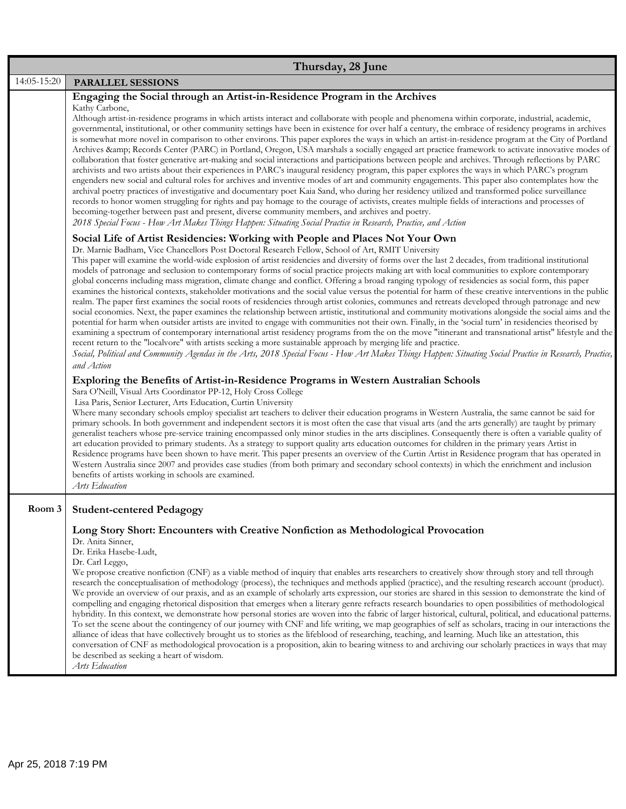|             | Thursday, 28 June                                                                                                                                                                                                                                                                                                                                                                                                                                                                                                                                                                                                                                                                                                                                                                                                                                                                                                                                                                                                                                                                                                                                                                                                                                                                                                                                                                                                                                                                                                                                                                                                                                                                                                                                                                                                                                                                                                                                                                                                                                                                                                                                                                                                                                                                                                                                                                                                                                                                                                                                                                                                                                                                                                                                                                                                                                                                                                                                                               |
|-------------|---------------------------------------------------------------------------------------------------------------------------------------------------------------------------------------------------------------------------------------------------------------------------------------------------------------------------------------------------------------------------------------------------------------------------------------------------------------------------------------------------------------------------------------------------------------------------------------------------------------------------------------------------------------------------------------------------------------------------------------------------------------------------------------------------------------------------------------------------------------------------------------------------------------------------------------------------------------------------------------------------------------------------------------------------------------------------------------------------------------------------------------------------------------------------------------------------------------------------------------------------------------------------------------------------------------------------------------------------------------------------------------------------------------------------------------------------------------------------------------------------------------------------------------------------------------------------------------------------------------------------------------------------------------------------------------------------------------------------------------------------------------------------------------------------------------------------------------------------------------------------------------------------------------------------------------------------------------------------------------------------------------------------------------------------------------------------------------------------------------------------------------------------------------------------------------------------------------------------------------------------------------------------------------------------------------------------------------------------------------------------------------------------------------------------------------------------------------------------------------------------------------------------------------------------------------------------------------------------------------------------------------------------------------------------------------------------------------------------------------------------------------------------------------------------------------------------------------------------------------------------------------------------------------------------------------------------------------------------------|
| 14:05-15:20 | <b>PARALLEL SESSIONS</b>                                                                                                                                                                                                                                                                                                                                                                                                                                                                                                                                                                                                                                                                                                                                                                                                                                                                                                                                                                                                                                                                                                                                                                                                                                                                                                                                                                                                                                                                                                                                                                                                                                                                                                                                                                                                                                                                                                                                                                                                                                                                                                                                                                                                                                                                                                                                                                                                                                                                                                                                                                                                                                                                                                                                                                                                                                                                                                                                                        |
|             | Engaging the Social through an Artist-in-Residence Program in the Archives<br>Kathy Carbone,<br>Although artist-in-residence programs in which artists interact and collaborate with people and phenomena within corporate, industrial, academic,<br>governmental, institutional, or other community settings have been in existence for over half a century, the embrace of residency programs in archives<br>is somewhat more novel in comparison to other environs. This paper explores the ways in which an artist-in-residence program at the City of Portland<br>Archives & Records Center (PARC) in Portland, Oregon, USA marshals a socially engaged art practice framework to activate innovative modes of<br>collaboration that foster generative art-making and social interactions and participations between people and archives. Through reflections by PARC<br>archivists and two artists about their experiences in PARC's inaugural residency program, this paper explores the ways in which PARC's program<br>engenders new social and cultural roles for archives and inventive modes of art and community engagements. This paper also contemplates how the<br>archival poetry practices of investigative and documentary poet Kaia Sand, who during her residency utilized and transformed police surveillance<br>records to honor women struggling for rights and pay homage to the courage of activists, creates multiple fields of interactions and processes of<br>becoming-together between past and present, diverse community members, and archives and poetry.<br>2018 Special Focus - How Art Makes Things Happen: Situating Social Practice in Research, Practice, and Action                                                                                                                                                                                                                                                                                                                                                                                                                                                                                                                                                                                                                                                                                                                                                                                                                                                                                                                                                                                                                                                                                                                                                                                                                                                                    |
|             | Social Life of Artist Residencies: Working with People and Places Not Your Own<br>Dr. Marnie Badham, Vice Chancellors Post Doctoral Research Fellow, School of Art, RMIT University<br>This paper will examine the world-wide explosion of artist residencies and diversity of forms over the last 2 decades, from traditional institutional<br>models of patronage and seclusion to contemporary forms of social practice projects making art with local communities to explore contemporary<br>global concerns including mass migration, climate change and conflict. Offering a broad ranging typology of residencies as social form, this paper<br>examines the historical contexts, stakeholder motivations and the social value versus the potential for harm of these creative interventions in the public<br>realm. The paper first examines the social roots of residencies through artist colonies, communes and retreats developed through patronage and new<br>social economies. Next, the paper examines the relationship between artistic, institutional and community motivations alongside the social aims and the<br>potential for harm when outsider artists are invited to engage with communities not their own. Finally, in the 'social turn' in residencies theorised by<br>examining a spectrum of contemporary international artist residency programs from the on the move "itinerant and transnational artist" lifestyle and the<br>recent return to the "localvore" with artists seeking a more sustainable approach by merging life and practice.<br>Social, Political and Community Agendas in the Arts, 2018 Special Focus - How Art Makes Things Happen: Situating Social Practice in Research, Practice,<br>and Action<br>Exploring the Benefits of Artist-in-Residence Programs in Western Australian Schools<br>Sara O'Neill, Visual Arts Coordinator PP-12, Holy Cross College<br>Lisa Paris, Senior Lecturer, Arts Education, Curtin University<br>Where many secondary schools employ specialist art teachers to deliver their education programs in Western Australia, the same cannot be said for<br>primary schools. In both government and independent sectors it is most often the case that visual arts (and the arts generally) are taught by primary<br>generalist teachers whose pre-service training encompassed only minor studies in the arts disciplines. Consequently there is often a variable quality of<br>art education provided to primary students. As a strategy to support quality arts education outcomes for children in the primary years Artist in<br>Residence programs have been shown to have merit. This paper presents an overview of the Curtin Artist in Residence program that has operated in<br>Western Australia since 2007 and provides case studies (from both primary and secondary school contexts) in which the enrichment and inclusion<br>benefits of artists working in schools are examined. |
|             | Arts Education                                                                                                                                                                                                                                                                                                                                                                                                                                                                                                                                                                                                                                                                                                                                                                                                                                                                                                                                                                                                                                                                                                                                                                                                                                                                                                                                                                                                                                                                                                                                                                                                                                                                                                                                                                                                                                                                                                                                                                                                                                                                                                                                                                                                                                                                                                                                                                                                                                                                                                                                                                                                                                                                                                                                                                                                                                                                                                                                                                  |
| Room 3      | <b>Student-centered Pedagogy</b>                                                                                                                                                                                                                                                                                                                                                                                                                                                                                                                                                                                                                                                                                                                                                                                                                                                                                                                                                                                                                                                                                                                                                                                                                                                                                                                                                                                                                                                                                                                                                                                                                                                                                                                                                                                                                                                                                                                                                                                                                                                                                                                                                                                                                                                                                                                                                                                                                                                                                                                                                                                                                                                                                                                                                                                                                                                                                                                                                |
|             | Long Story Short: Encounters with Creative Nonfiction as Methodological Provocation<br>Dr. Anita Sinner,<br>Dr. Erika Hasebe-Ludt,<br>Dr. Carl Leggo,<br>We propose creative nonfiction (CNF) as a viable method of inquiry that enables arts researchers to creatively show through story and tell through<br>research the conceptualisation of methodology (process), the techniques and methods applied (practice), and the resulting research account (product).<br>We provide an overview of our praxis, and as an example of scholarly arts expression, our stories are shared in this session to demonstrate the kind of<br>compelling and engaging rhetorical disposition that emerges when a literary genre refracts research boundaries to open possibilities of methodological<br>hybridity. In this context, we demonstrate how personal stories are woven into the fabric of larger historical, cultural, political, and educational patterns.<br>To set the scene about the contingency of our journey with CNF and life writing, we map geographies of self as scholars, tracing in our interactions the<br>alliance of ideas that have collectively brought us to stories as the lifeblood of researching, teaching, and learning. Much like an attestation, this<br>conversation of CNF as methodological provocation is a proposition, akin to bearing witness to and archiving our scholarly practices in ways that may<br>be described as seeking a heart of wisdom.<br>Arts Education                                                                                                                                                                                                                                                                                                                                                                                                                                                                                                                                                                                                                                                                                                                                                                                                                                                                                                                                                                                                                                                                                                                                                                                                                                                                                                                                                                                                                                                                      |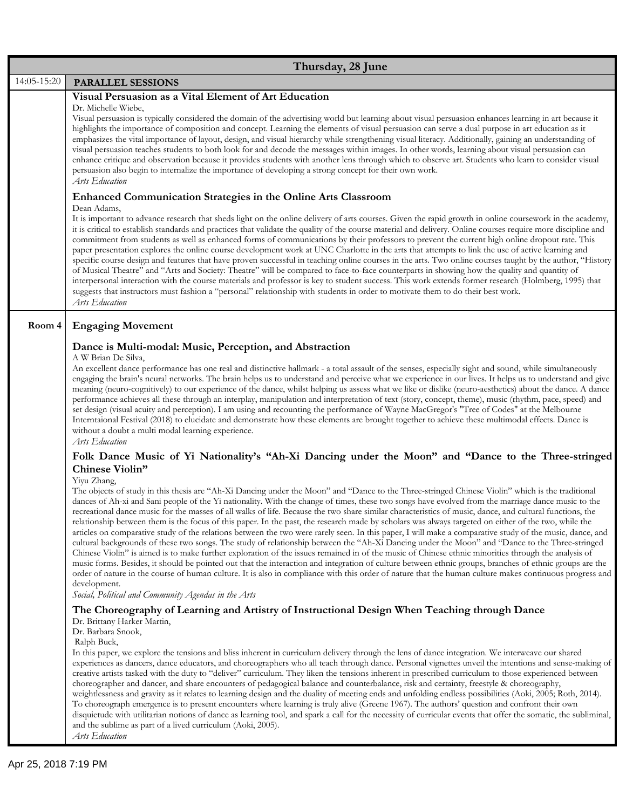|             | Thursday, 28 June                                                                                                                                                                                                                                                                                                                                                                                                                                                                                                                                                                                                                                                                                                                                                                                                                                                                                                                                                                                                                                                                                                                                                                                                                                                                                                                                                                                                                                                                                           |
|-------------|-------------------------------------------------------------------------------------------------------------------------------------------------------------------------------------------------------------------------------------------------------------------------------------------------------------------------------------------------------------------------------------------------------------------------------------------------------------------------------------------------------------------------------------------------------------------------------------------------------------------------------------------------------------------------------------------------------------------------------------------------------------------------------------------------------------------------------------------------------------------------------------------------------------------------------------------------------------------------------------------------------------------------------------------------------------------------------------------------------------------------------------------------------------------------------------------------------------------------------------------------------------------------------------------------------------------------------------------------------------------------------------------------------------------------------------------------------------------------------------------------------------|
| 14:05-15:20 | PARALLEL SESSIONS                                                                                                                                                                                                                                                                                                                                                                                                                                                                                                                                                                                                                                                                                                                                                                                                                                                                                                                                                                                                                                                                                                                                                                                                                                                                                                                                                                                                                                                                                           |
|             | Visual Persuasion as a Vital Element of Art Education<br>Dr. Michelle Wiebe,                                                                                                                                                                                                                                                                                                                                                                                                                                                                                                                                                                                                                                                                                                                                                                                                                                                                                                                                                                                                                                                                                                                                                                                                                                                                                                                                                                                                                                |
|             | Visual persuasion is typically considered the domain of the advertising world but learning about visual persuasion enhances learning in art because it<br>highlights the importance of composition and concept. Learning the elements of visual persuasion can serve a dual purpose in art education as it<br>emphasizes the vital importance of layout, design, and visual hierarchy while strengthening visual literacy. Additionally, gaining an understanding of<br>visual persuasion teaches students to both look for and decode the messages within images. In other words, learning about visual persuasion can<br>enhance critique and observation because it provides students with another lens through which to observe art. Students who learn to consider visual<br>persuasion also begin to internalize the importance of developing a strong concept for their own work.<br>Arts Education                                                                                                                                                                                                                                                                                                                                                                                                                                                                                                                                                                                                  |
|             | <b>Enhanced Communication Strategies in the Online Arts Classroom</b><br>Dean Adams,<br>It is important to advance research that sheds light on the online delivery of arts courses. Given the rapid growth in online coursework in the academy,<br>it is critical to establish standards and practices that validate the quality of the course material and delivery. Online courses require more discipline and<br>commitment from students as well as enhanced forms of communications by their professors to prevent the current high online dropout rate. This<br>paper presentation explores the online course development work at UNC Charlotte in the arts that attempts to link the use of active learning and<br>specific course design and features that have proven successful in teaching online courses in the arts. Two online courses taught by the author, "History<br>of Musical Theatre" and "Arts and Society: Theatre" will be compared to face-to-face counterparts in showing how the quality and quantity of<br>interpersonal interaction with the course materials and professor is key to student success. This work extends former research (Holmberg, 1995) that<br>suggests that instructors must fashion a "personal" relationship with students in order to motivate them to do their best work.<br>Arts Education                                                                                                                                                           |
| Room 4      | <b>Engaging Movement</b>                                                                                                                                                                                                                                                                                                                                                                                                                                                                                                                                                                                                                                                                                                                                                                                                                                                                                                                                                                                                                                                                                                                                                                                                                                                                                                                                                                                                                                                                                    |
|             | Dance is Multi-modal: Music, Perception, and Abstraction<br>A W Brian De Silva,<br>An excellent dance performance has one real and distinctive hallmark - a total assault of the senses, especially sight and sound, while simultaneously<br>engaging the brain's neural networks. The brain helps us to understand and perceive what we experience in our lives. It helps us to understand and give<br>meaning (neuro-cognitively) to our experience of the dance, whilst helping us assess what we like or dislike (neuro-aesthetics) about the dance. A dance<br>performance achieves all these through an interplay, manipulation and interpretation of text (story, concept, theme), music (rhythm, pace, speed) and<br>set design (visual acuity and perception). I am using and recounting the performance of Wayne MacGregor's "Tree of Codes" at the Melbourne<br>Interntaional Festival (2018) to elucidate and demonstrate how these elements are brought together to achieve these multimodal effects. Dance is<br>without a doubt a multi modal learning experience.<br>Arts Education                                                                                                                                                                                                                                                                                                                                                                                                         |
|             | Folk Dance Music of Yi Nationality's "Ah-Xi Dancing under the Moon" and "Dance to the Three-stringed<br>Chinese Violin"                                                                                                                                                                                                                                                                                                                                                                                                                                                                                                                                                                                                                                                                                                                                                                                                                                                                                                                                                                                                                                                                                                                                                                                                                                                                                                                                                                                     |
|             | Yiyu Zhang,<br>The objects of study in this thesis are "Ah-Xi Dancing under the Moon" and "Dance to the Three-stringed Chinese Violin" which is the traditional<br>dances of Ah-xi and Sani people of the Yi nationality. With the change of times, these two songs have evolved from the marriage dance music to the<br>recreational dance music for the masses of all walks of life. Because the two share similar characteristics of music, dance, and cultural functions, the<br>relationship between them is the focus of this paper. In the past, the research made by scholars was always targeted on either of the two, while the<br>articles on comparative study of the relations between the two were rarely seen. In this paper, I will make a comparative study of the music, dance, and<br>cultural backgrounds of these two songs. The study of relationship between the "Ah-Xi Dancing under the Moon" and "Dance to the Three-stringed<br>Chinese Violin" is aimed is to make further exploration of the issues remained in of the music of Chinese ethnic minorities through the analysis of<br>music forms. Besides, it should be pointed out that the interaction and integration of culture between ethnic groups, branches of ethnic groups are the<br>order of nature in the course of human culture. It is also in compliance with this order of nature that the human culture makes continuous progress and<br>development.<br>Social, Political and Community Agendas in the Arts |
|             | The Choreography of Learning and Artistry of Instructional Design When Teaching through Dance<br>Dr. Brittany Harker Martin,<br>Dr. Barbara Snook,<br>Ralph Buck,                                                                                                                                                                                                                                                                                                                                                                                                                                                                                                                                                                                                                                                                                                                                                                                                                                                                                                                                                                                                                                                                                                                                                                                                                                                                                                                                           |
|             | In this paper, we explore the tensions and bliss inherent in curriculum delivery through the lens of dance integration. We interweave our shared<br>experiences as dancers, dance educators, and choreographers who all teach through dance. Personal vignettes unveil the intentions and sense-making of<br>creative artists tasked with the duty to "deliver" curriculum. They liken the tensions inherent in prescribed curriculum to those experienced between<br>choreographer and dancer, and share encounters of pedagogical balance and counterbalance, risk and certainty, freestyle & choreography,<br>weightlessness and gravity as it relates to learning design and the duality of meeting ends and unfolding endless possibilities (Aoki, 2005; Roth, 2014).<br>To choreograph emergence is to present encounters where learning is truly alive (Greene 1967). The authors' question and confront their own<br>disquietude with utilitarian notions of dance as learning tool, and spark a call for the necessity of curricular events that offer the somatic, the subliminal,<br>and the sublime as part of a lived curriculum (Aoki, 2005).<br>Arts Education                                                                                                                                                                                                                                                                                                                               |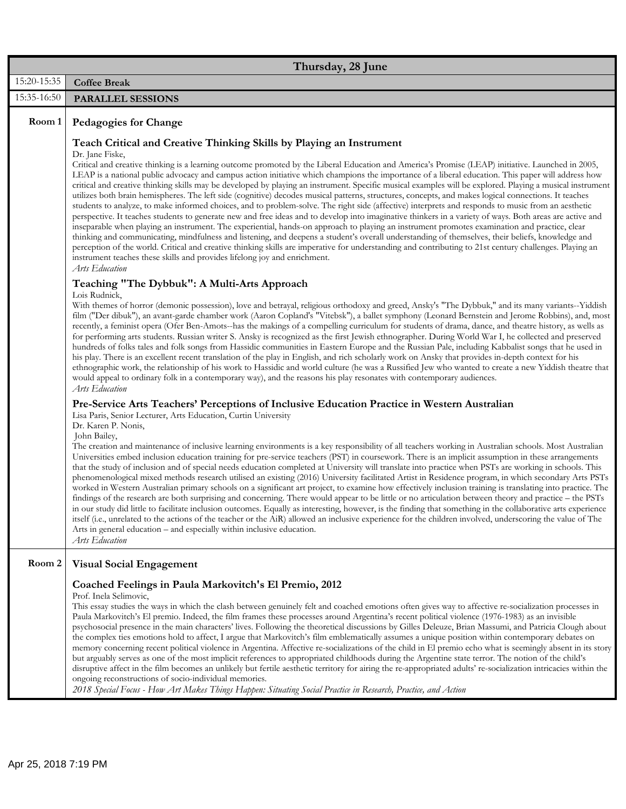|             | Thursday, 28 June                                                                                                                                                                                                                                                                                                                                                                                                                                                                                                                                                                                                                                                                                                                                                                                                                                                                                                                                                                                                                                                                                                                                                                                                                                                                                                                                                                                                                                                                                                                                                                                        |
|-------------|----------------------------------------------------------------------------------------------------------------------------------------------------------------------------------------------------------------------------------------------------------------------------------------------------------------------------------------------------------------------------------------------------------------------------------------------------------------------------------------------------------------------------------------------------------------------------------------------------------------------------------------------------------------------------------------------------------------------------------------------------------------------------------------------------------------------------------------------------------------------------------------------------------------------------------------------------------------------------------------------------------------------------------------------------------------------------------------------------------------------------------------------------------------------------------------------------------------------------------------------------------------------------------------------------------------------------------------------------------------------------------------------------------------------------------------------------------------------------------------------------------------------------------------------------------------------------------------------------------|
| 15:20-15:35 | <b>Coffee Break</b>                                                                                                                                                                                                                                                                                                                                                                                                                                                                                                                                                                                                                                                                                                                                                                                                                                                                                                                                                                                                                                                                                                                                                                                                                                                                                                                                                                                                                                                                                                                                                                                      |
| 15:35-16:50 | <b>PARALLEL SESSIONS</b>                                                                                                                                                                                                                                                                                                                                                                                                                                                                                                                                                                                                                                                                                                                                                                                                                                                                                                                                                                                                                                                                                                                                                                                                                                                                                                                                                                                                                                                                                                                                                                                 |
| Room 1      | Pedagogies for Change                                                                                                                                                                                                                                                                                                                                                                                                                                                                                                                                                                                                                                                                                                                                                                                                                                                                                                                                                                                                                                                                                                                                                                                                                                                                                                                                                                                                                                                                                                                                                                                    |
|             | Teach Critical and Creative Thinking Skills by Playing an Instrument<br>Dr. Jane Fiske,<br>Critical and creative thinking is a learning outcome promoted by the Liberal Education and America's Promise (LEAP) initiative. Launched in 2005,<br>LEAP is a national public advocacy and campus action initiative which champions the importance of a liberal education. This paper will address how<br>critical and creative thinking skills may be developed by playing an instrument. Specific musical examples will be explored. Playing a musical instrument<br>utilizes both brain hemispheres. The left side (cognitive) decodes musical patterns, structures, concepts, and makes logical connections. It teaches<br>students to analyze, to make informed choices, and to problem-solve. The right side (affective) interprets and responds to music from an aesthetic<br>perspective. It teaches students to generate new and free ideas and to develop into imaginative thinkers in a variety of ways. Both areas are active and<br>inseparable when playing an instrument. The experiential, hands-on approach to playing an instrument promotes examination and practice, clear<br>thinking and communicating, mindfulness and listening, and deepens a student's overall understanding of themselves, their beliefs, knowledge and<br>perception of the world. Critical and creative thinking skills are imperative for understanding and contributing to 21st century challenges. Playing an<br>instrument teaches these skills and provides lifelong joy and enrichment.<br>Arts Education |
|             | Teaching "The Dybbuk": A Multi-Arts Approach<br>Lois Rudnick,<br>With themes of horror (demonic possession), love and betrayal, religious orthodoxy and greed, Ansky's "The Dybbuk," and its many variants--Yiddish                                                                                                                                                                                                                                                                                                                                                                                                                                                                                                                                                                                                                                                                                                                                                                                                                                                                                                                                                                                                                                                                                                                                                                                                                                                                                                                                                                                      |
|             | film ("Der dibuk"), an avant-garde chamber work (Aaron Copland's "Vitebsk"), a ballet symphony (Leonard Bernstein and Jerome Robbins), and, most<br>recently, a feminist opera (Ofer Ben-Amots--has the makings of a compelling curriculum for students of drama, dance, and theatre history, as wells as<br>for performing arts students. Russian writer S. Ansky is recognized as the first Jewish ethnographer. During World War I, he collected and preserved<br>hundreds of folks tales and folk songs from Hassidic communities in Eastern Europe and the Russian Pale, including Kabbalist songs that he used in<br>his play. There is an excellent recent translation of the play in English, and rich scholarly work on Ansky that provides in-depth context for his<br>ethnographic work, the relationship of his work to Hassidic and world culture (he was a Russified Jew who wanted to create a new Yiddish theatre that<br>would appeal to ordinary folk in a contemporary way), and the reasons his play resonates with contemporary audiences.<br>Arts Education                                                                                                                                                                                                                                                                                                                                                                                                                                                                                                                        |
|             | Pre-Service Arts Teachers' Perceptions of Inclusive Education Practice in Western Australian<br>Lisa Paris, Senior Lecturer, Arts Education, Curtin University<br>Dr. Karen P. Nonis,                                                                                                                                                                                                                                                                                                                                                                                                                                                                                                                                                                                                                                                                                                                                                                                                                                                                                                                                                                                                                                                                                                                                                                                                                                                                                                                                                                                                                    |
|             | John Bailey,<br>The creation and maintenance of inclusive learning environments is a key responsibility of all teachers working in Australian schools. Most Australian<br>Universities embed inclusion education training for pre-service teachers (PST) in coursework. There is an implicit assumption in these arrangements<br>that the study of inclusion and of special needs education completed at University will translate into practice when PSTs are working in schools. This<br>phenomenological mixed methods research utilised an existing (2016) University facilitated Artist in Residence program, in which secondary Arts PSTs<br>worked in Western Australian primary schools on a significant art project, to examine how effectively inclusion training is translating into practice. The<br>findings of the research are both surprising and concerning. There would appear to be little or no articulation between theory and practice – the PSTs<br>in our study did little to facilitate inclusion outcomes. Equally as interesting, however, is the finding that something in the collaborative arts experience<br>itself (i.e., unrelated to the actions of the teacher or the AiR) allowed an inclusive experience for the children involved, underscoring the value of The<br>Arts in general education – and especially within inclusive education.<br>Arts Education                                                                                                                                                                                                       |
| Room 2      | <b>Visual Social Engagement</b>                                                                                                                                                                                                                                                                                                                                                                                                                                                                                                                                                                                                                                                                                                                                                                                                                                                                                                                                                                                                                                                                                                                                                                                                                                                                                                                                                                                                                                                                                                                                                                          |
|             | Coached Feelings in Paula Markovitch's El Premio, 2012<br>Prof. Inela Selimovic,<br>This essay studies the ways in which the clash between genuinely felt and coached emotions often gives way to affective re-socialization processes in<br>Paula Markovitch's El premio. Indeed, the film frames these processes around Argentina's recent political violence (1976-1983) as an invisible<br>psychosocial presence in the main characters' lives. Following the theoretical discussions by Gilles Deleuze, Brian Massumi, and Patricia Clough about<br>the complex ties emotions hold to affect, I argue that Markovitch's film emblematically assumes a unique position within contemporary debates on<br>memory concerning recent political violence in Argentina. Affective re-socializations of the child in El premio echo what is seemingly absent in its story<br>but arguably serves as one of the most implicit references to appropriated childhoods during the Argentine state terror. The notion of the child's<br>disruptive affect in the film becomes an unlikely but fertile aesthetic territory for airing the re-appropriated adults' re-socialization intricacies within the<br>ongoing reconstructions of socio-individual memories.                                                                                                                                                                                                                                                                                                                                               |

*2018 Special Focus - How Art Makes Things Happen: Situating Social Practice in Research, Practice, and Action*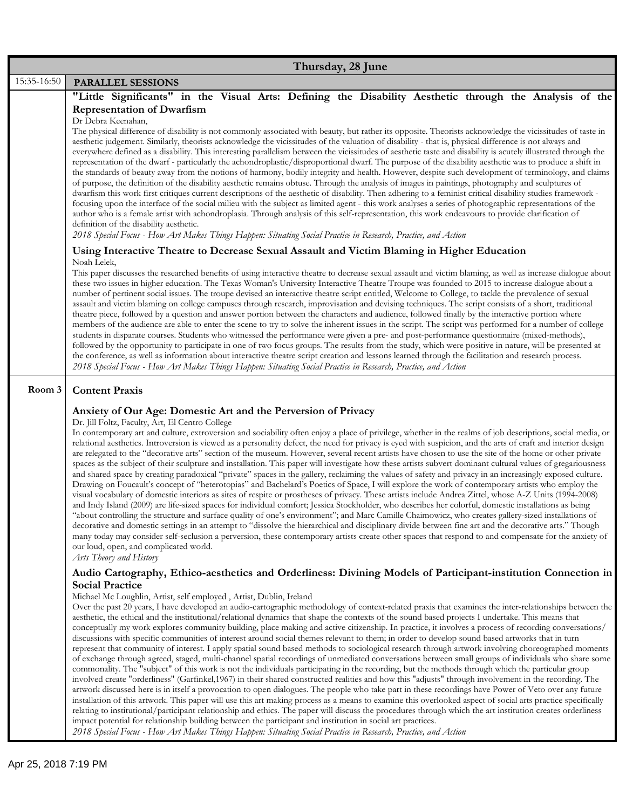|             | Thursday, 28 June                                                                                                                                                                                                                                                                                                                                                                                                                                                                                                                                                                                                                                                                                                                                                                                                                                                                                                                                                                                                                                                                                                                                                                                                                                                                                                                                                                                                                                                                                                                                                                                                                                                                                                                                                                                                                                                                                                                                                                                                                             |
|-------------|-----------------------------------------------------------------------------------------------------------------------------------------------------------------------------------------------------------------------------------------------------------------------------------------------------------------------------------------------------------------------------------------------------------------------------------------------------------------------------------------------------------------------------------------------------------------------------------------------------------------------------------------------------------------------------------------------------------------------------------------------------------------------------------------------------------------------------------------------------------------------------------------------------------------------------------------------------------------------------------------------------------------------------------------------------------------------------------------------------------------------------------------------------------------------------------------------------------------------------------------------------------------------------------------------------------------------------------------------------------------------------------------------------------------------------------------------------------------------------------------------------------------------------------------------------------------------------------------------------------------------------------------------------------------------------------------------------------------------------------------------------------------------------------------------------------------------------------------------------------------------------------------------------------------------------------------------------------------------------------------------------------------------------------------------|
| 15:35-16:50 | PARALLEL SESSIONS                                                                                                                                                                                                                                                                                                                                                                                                                                                                                                                                                                                                                                                                                                                                                                                                                                                                                                                                                                                                                                                                                                                                                                                                                                                                                                                                                                                                                                                                                                                                                                                                                                                                                                                                                                                                                                                                                                                                                                                                                             |
|             | "Little Significants" in the Visual Arts: Defining the Disability Aesthetic through the Analysis of the<br><b>Representation of Dwarfism</b><br>Dr Debra Keenahan,<br>The physical difference of disability is not commonly associated with beauty, but rather its opposite. Theorists acknowledge the vicissitudes of taste in<br>aesthetic judgement. Similarly, theorists acknowledge the vicissitudes of the valuation of disability - that is, physical difference is not always and<br>everywhere defined as a disability. This interesting parallelism between the vicissitudes of aesthetic taste and disability is acutely illustrated through the<br>representation of the dwarf - particularly the achondroplastic/disproportional dwarf. The purpose of the disability aesthetic was to produce a shift in<br>the standards of beauty away from the notions of harmony, bodily integrity and health. However, despite such development of terminology, and claims<br>of purpose, the definition of the disability aesthetic remains obtuse. Through the analysis of images in paintings, photography and sculptures of<br>dwarfism this work first critiques current descriptions of the aesthetic of disability. Then adhering to a feminist critical disability studies framework -<br>focusing upon the interface of the social milieu with the subject as limited agent - this work analyses a series of photographic representations of the<br>author who is a female artist with achondroplasia. Through analysis of this self-representation, this work endeavours to provide clarification of<br>definition of the disability aesthetic.<br>2018 Special Focus - How Art Makes Things Happen: Situating Social Practice in Research, Practice, and Action                                                                                                                                                                                                                                                                 |
|             | Using Interactive Theatre to Decrease Sexual Assault and Victim Blaming in Higher Education                                                                                                                                                                                                                                                                                                                                                                                                                                                                                                                                                                                                                                                                                                                                                                                                                                                                                                                                                                                                                                                                                                                                                                                                                                                                                                                                                                                                                                                                                                                                                                                                                                                                                                                                                                                                                                                                                                                                                   |
|             | Noah Lelek,<br>This paper discusses the researched benefits of using interactive theatre to decrease sexual assault and victim blaming, as well as increase dialogue about<br>these two issues in higher education. The Texas Woman's University Interactive Theatre Troupe was founded to 2015 to increase dialogue about a<br>number of pertinent social issues. The troupe devised an interactive theatre script entitled, Welcome to College, to tackle the prevalence of sexual<br>assault and victim blaming on college campuses through research, improvisation and devising techniques. The script consists of a short, traditional<br>theatre piece, followed by a question and answer portion between the characters and audience, followed finally by the interactive portion where<br>members of the audience are able to enter the scene to try to solve the inherent issues in the script. The script was performed for a number of college<br>students in disparate courses. Students who witnessed the performance were given a pre- and post-performance questionnaire (mixed-methods),<br>followed by the opportunity to participate in one of two focus groups. The results from the study, which were positive in nature, will be presented at<br>the conference, as well as information about interactive theatre script creation and lessons learned through the facilitation and research process.<br>2018 Special Focus - How Art Makes Things Happen: Situating Social Practice in Research, Practice, and Action                                                                                                                                                                                                                                                                                                                                                                                                                                                                                                    |
| Room 3      | <b>Content Praxis</b>                                                                                                                                                                                                                                                                                                                                                                                                                                                                                                                                                                                                                                                                                                                                                                                                                                                                                                                                                                                                                                                                                                                                                                                                                                                                                                                                                                                                                                                                                                                                                                                                                                                                                                                                                                                                                                                                                                                                                                                                                         |
|             | Anxiety of Our Age: Domestic Art and the Perversion of Privacy<br>Dr. Jill Foltz, Faculty, Art, El Centro College<br>In contemporary art and culture, extroversion and sociability often enjoy a place of privilege, whether in the realms of job descriptions, social media, or<br>relational aesthetics. Introversion is viewed as a personality defect, the need for privacy is eyed with suspicion, and the arts of craft and interior design<br>are relegated to the "decorative arts" section of the museum. However, several recent artists have chosen to use the site of the home or other private<br>spaces as the subject of their sculpture and installation. This paper will investigate how these artists subvert dominant cultural values of gregariousness<br>and shared space by creating paradoxical "private" spaces in the gallery, reclaiming the values of safety and privacy in an increasingly exposed culture.<br>Drawing on Foucault's concept of "heterotopias" and Bachelard's Poetics of Space, I will explore the work of contemporary artists who employ the<br>visual vocabulary of domestic interiors as sites of respite or prostheses of privacy. These artists include Andrea Zittel, whose A-Z Units (1994-2008)<br>and Indy Island (2009) are life-sized spaces for individual comfort; Jessica Stockholder, who describes her colorful, domestic installations as being<br>"about controlling the structure and surface quality of one's environment"; and Marc Camille Chaimowicz, who creates gallery-sized installations of<br>decorative and domestic settings in an attempt to "dissolve the hierarchical and disciplinary divide between fine art and the decorative arts." Though<br>many today may consider self-seclusion a perversion, these contemporary artists create other spaces that respond to and compensate for the anxiety of<br>our loud, open, and complicated world.<br>Arts Theory and History                                                                                 |
|             | Audio Cartography, Ethico-aesthetics and Orderliness: Divining Models of Participant-institution Connection in<br><b>Social Practice</b>                                                                                                                                                                                                                                                                                                                                                                                                                                                                                                                                                                                                                                                                                                                                                                                                                                                                                                                                                                                                                                                                                                                                                                                                                                                                                                                                                                                                                                                                                                                                                                                                                                                                                                                                                                                                                                                                                                      |
|             | Michael Mc Loughlin, Artist, self employed, Artist, Dublin, Ireland<br>Over the past 20 years, I have developed an audio-cartographic methodology of context-related praxis that examines the inter-relationships between the<br>aesthetic, the ethical and the institutional/relational dynamics that shape the contexts of the sound based projects I undertake. This means that<br>conceptually my work explores community building, place making and active citizenship. In practice, it involves a process of recording conversations/<br>discussions with specific communities of interest around social themes relevant to them; in order to develop sound based artworks that in turn<br>represent that community of interest. I apply spatial sound based methods to sociological research through artwork involving choreographed moments<br>of exchange through agreed, staged, multi-channel spatial recordings of unmediated conversations between small groups of individuals who share some<br>commonality. The "subject" of this work is not the individuals participating in the recording, but the methods through which the particular group<br>involved create "orderliness" (Garfinkel,1967) in their shared constructed realities and how this "adjusts" through involvement in the recording. The<br>artwork discussed here is in itself a provocation to open dialogues. The people who take part in these recordings have Power of Veto over any future<br>installation of this artwork. This paper will use this art making process as a means to examine this overlooked aspect of social arts practice specifically<br>relating to institutional/participant relationship and ethics. The paper will discuss the procedures through which the art institution creates orderliness<br>impact potential for relationship building between the participant and institution in social art practices.<br>2018 Special Focus - How Art Makes Things Happen: Situating Social Practice in Research, Practice, and Action |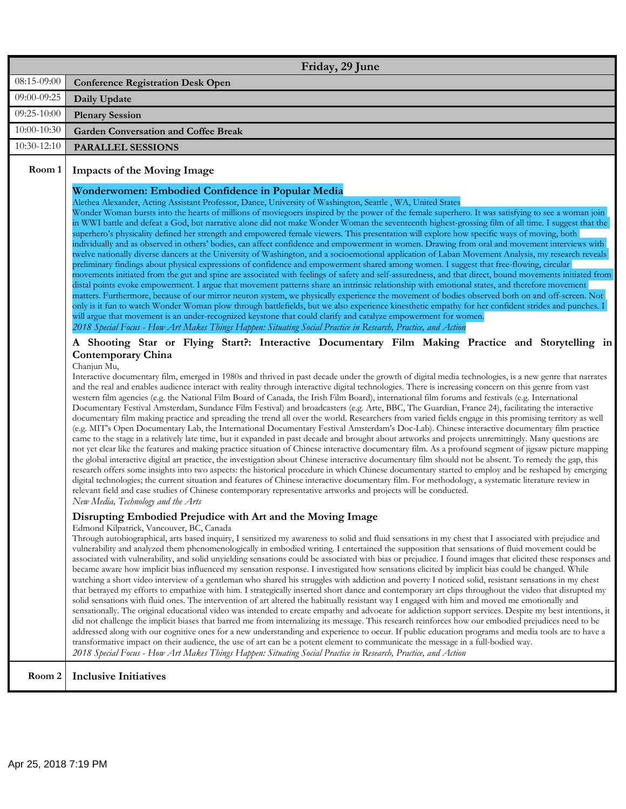|             | Friday, 29 June                                                                                                                                                                                                                                                                                                                                                                                                                                                                                                                                                                                                                                                                                                                                                                                                                                                                                                                                                                                                                                                                                                                                                                                                                                                                                                                                                                                                                                                                                                                                                                                                                                                                                                                                                                                                                                                                                                                                                                                                                                                                                                                                                                                                                                                                                                                                                                                                                                                                                                                                                                                                                                                                                                                                                                                                                                                                                                                                                                                                                                                                                                                                                                                                                                                                                                                                                                                                                                                                                                                                                                                                                                                                                                                                                                                                                                                                                                                                                                         |
|-------------|-----------------------------------------------------------------------------------------------------------------------------------------------------------------------------------------------------------------------------------------------------------------------------------------------------------------------------------------------------------------------------------------------------------------------------------------------------------------------------------------------------------------------------------------------------------------------------------------------------------------------------------------------------------------------------------------------------------------------------------------------------------------------------------------------------------------------------------------------------------------------------------------------------------------------------------------------------------------------------------------------------------------------------------------------------------------------------------------------------------------------------------------------------------------------------------------------------------------------------------------------------------------------------------------------------------------------------------------------------------------------------------------------------------------------------------------------------------------------------------------------------------------------------------------------------------------------------------------------------------------------------------------------------------------------------------------------------------------------------------------------------------------------------------------------------------------------------------------------------------------------------------------------------------------------------------------------------------------------------------------------------------------------------------------------------------------------------------------------------------------------------------------------------------------------------------------------------------------------------------------------------------------------------------------------------------------------------------------------------------------------------------------------------------------------------------------------------------------------------------------------------------------------------------------------------------------------------------------------------------------------------------------------------------------------------------------------------------------------------------------------------------------------------------------------------------------------------------------------------------------------------------------------------------------------------------------------------------------------------------------------------------------------------------------------------------------------------------------------------------------------------------------------------------------------------------------------------------------------------------------------------------------------------------------------------------------------------------------------------------------------------------------------------------------------------------------------------------------------------------------------------------------------------------------------------------------------------------------------------------------------------------------------------------------------------------------------------------------------------------------------------------------------------------------------------------------------------------------------------------------------------------------------------------------------------------------------------------------------------------------|
| 08:15-09:00 | <b>Conference Registration Desk Open</b>                                                                                                                                                                                                                                                                                                                                                                                                                                                                                                                                                                                                                                                                                                                                                                                                                                                                                                                                                                                                                                                                                                                                                                                                                                                                                                                                                                                                                                                                                                                                                                                                                                                                                                                                                                                                                                                                                                                                                                                                                                                                                                                                                                                                                                                                                                                                                                                                                                                                                                                                                                                                                                                                                                                                                                                                                                                                                                                                                                                                                                                                                                                                                                                                                                                                                                                                                                                                                                                                                                                                                                                                                                                                                                                                                                                                                                                                                                                                                |
| 09:00-09:25 | Daily Update                                                                                                                                                                                                                                                                                                                                                                                                                                                                                                                                                                                                                                                                                                                                                                                                                                                                                                                                                                                                                                                                                                                                                                                                                                                                                                                                                                                                                                                                                                                                                                                                                                                                                                                                                                                                                                                                                                                                                                                                                                                                                                                                                                                                                                                                                                                                                                                                                                                                                                                                                                                                                                                                                                                                                                                                                                                                                                                                                                                                                                                                                                                                                                                                                                                                                                                                                                                                                                                                                                                                                                                                                                                                                                                                                                                                                                                                                                                                                                            |
| 09:25-10:00 | <b>Plenary Session</b>                                                                                                                                                                                                                                                                                                                                                                                                                                                                                                                                                                                                                                                                                                                                                                                                                                                                                                                                                                                                                                                                                                                                                                                                                                                                                                                                                                                                                                                                                                                                                                                                                                                                                                                                                                                                                                                                                                                                                                                                                                                                                                                                                                                                                                                                                                                                                                                                                                                                                                                                                                                                                                                                                                                                                                                                                                                                                                                                                                                                                                                                                                                                                                                                                                                                                                                                                                                                                                                                                                                                                                                                                                                                                                                                                                                                                                                                                                                                                                  |
| 10:00-10:30 | <b>Garden Conversation and Coffee Break</b>                                                                                                                                                                                                                                                                                                                                                                                                                                                                                                                                                                                                                                                                                                                                                                                                                                                                                                                                                                                                                                                                                                                                                                                                                                                                                                                                                                                                                                                                                                                                                                                                                                                                                                                                                                                                                                                                                                                                                                                                                                                                                                                                                                                                                                                                                                                                                                                                                                                                                                                                                                                                                                                                                                                                                                                                                                                                                                                                                                                                                                                                                                                                                                                                                                                                                                                                                                                                                                                                                                                                                                                                                                                                                                                                                                                                                                                                                                                                             |
| 10:30-12:10 | <b>PARALLEL SESSIONS</b>                                                                                                                                                                                                                                                                                                                                                                                                                                                                                                                                                                                                                                                                                                                                                                                                                                                                                                                                                                                                                                                                                                                                                                                                                                                                                                                                                                                                                                                                                                                                                                                                                                                                                                                                                                                                                                                                                                                                                                                                                                                                                                                                                                                                                                                                                                                                                                                                                                                                                                                                                                                                                                                                                                                                                                                                                                                                                                                                                                                                                                                                                                                                                                                                                                                                                                                                                                                                                                                                                                                                                                                                                                                                                                                                                                                                                                                                                                                                                                |
| Room 1      | <b>Impacts of the Moving Image</b>                                                                                                                                                                                                                                                                                                                                                                                                                                                                                                                                                                                                                                                                                                                                                                                                                                                                                                                                                                                                                                                                                                                                                                                                                                                                                                                                                                                                                                                                                                                                                                                                                                                                                                                                                                                                                                                                                                                                                                                                                                                                                                                                                                                                                                                                                                                                                                                                                                                                                                                                                                                                                                                                                                                                                                                                                                                                                                                                                                                                                                                                                                                                                                                                                                                                                                                                                                                                                                                                                                                                                                                                                                                                                                                                                                                                                                                                                                                                                      |
|             | Wonderwomen: Embodied Confidence in Popular Media<br>Alethea Alexander, Acting Assistant Professor, Dance, University of Washington, Seattle, WA, United States<br>Wonder Woman bursts into the hearts of millions of moviegoers inspired by the power of the female superhero. It was satisfying to see a woman join<br>in WWI battle and defeat a God, but narrative alone did not make Wonder Woman the seventeenth highest-grossing film of all time. I suggest that the<br>superhero's physicality defined her strength and empowered female viewers. This presentation will explore how specific ways of moving, both<br>individually and as observed in others' bodies, can affect confidence and empowerment in women. Drawing from oral and movement interviews with<br>twelve nationally diverse dancers at the University of Washington, and a socioemotional application of Laban Movement Analysis, my research reveals<br>preliminary findings about physical expressions of confidence and empowerment shared among women. I suggest that free-flowing, circular<br>movements initiated from the gut and spine are associated with feelings of safety and self-assuredness, and that direct, bound movements initiated from<br>distal points evoke empowerment. I argue that movement patterns share an intrinsic relationship with emotional states, and therefore movement<br>matters. Furthermore, because of our mirror neuron system, we physically experience the movement of bodies observed both on and off-screen. Not<br>only is it fun to watch Wonder Woman plow through battlefields, but we also experience kinesthetic empathy for her confident strides and punches. I<br>will argue that movement is an under-recognized keystone that could clarify and catalyze empowerment for women.<br>2018 Special Focus - How Art Makes Things Happen: Situating Social Practice in Research, Practice, and Action<br>A Shooting Star or Flying Start?: Interactive Documentary Film Making Practice and Storytelling in<br><b>Contemporary China</b><br>Chanjun Mu,<br>Interactive documentary film, emerged in 1980s and thrived in past decade under the growth of digital media technologies, is a new genre that narrates<br>and the real and enables audience interact with reality through interactive digital technologies. There is increasing concern on this genre from vast<br>western film agencies (e.g. the National Film Board of Canada, the Irish Film Board), international film forums and festivals (e.g. International<br>Documentary Festival Amsterdam, Sundance Film Festival) and broadcasters (e.g. Arte, BBC, The Guardian, France 24), facilitating the interactive<br>documentary film making practice and spreading the trend all over the world. Researchers from varied fields engage in this promising territory as well<br>(e.g. MIT's Open Documentary Lab, the International Documentary Festival Amsterdam's Doc-Lab). Chinese interactive documentary film practice<br>came to the stage in a relatively late time, but it expanded in past decade and brought about artworks and projects unremittingly. Many questions are<br>not yet clear like the features and making practice situation of Chinese interactive documentary film. As a profound segment of jigsaw picture mapping<br>the global interactive digital art practice, the investigation about Chinese interactive documentary film should not be absent. To remedy the gap, this<br>research offers some insights into two aspects: the historical procedure in which Chinese documentary started to employ and be reshaped by emerging<br>digital technologies; the current situation and features of Chinese interactive documentary film. For methodology, a systematic literature review in<br>relevant field and case studies of Chinese contemporary representative artworks and projects will be conducted.<br>New Media, Technology and the Arts |
|             | Disrupting Embodied Prejudice with Art and the Moving Image<br>Edmond Kilpatrick, Vancouver, BC, Canada<br>Through autobiographical, arts based inquiry, I sensitized my awareness to solid and fluid sensations in my chest that I associated with prejudice and<br>vulnerability and analyzed them phenomenologically in embodied writing. I entertained the supposition that sensations of fluid movement could be<br>associated with vulnerability, and solid unyielding sensations could be associated with bias or prejudice. I found images that elicited these responses and<br>became aware how implicit bias influenced my sensation response. I investigated how sensations elicited by implicit bias could be changed. While<br>watching a short video interview of a gentleman who shared his struggles with addiction and poverty I noticed solid, resistant sensations in my chest<br>that betrayed my efforts to empathize with him. I strategically inserted short dance and contemporary art clips throughout the video that disrupted my<br>solid sensations with fluid ones. The intervention of art altered the habitually resistant way I engaged with him and moved me emotionally and<br>sensationally. The original educational video was intended to create empathy and advocate for addiction support services. Despite my best intentions, it<br>did not challenge the implicit biases that barred me from internalizing its message. This research reinforces how our embodied prejudices need to be<br>addressed along with our cognitive ones for a new understanding and experience to occur. If public education programs and media tools are to have a<br>transformative impact on their audience, the use of art can be a potent element to communicate the message in a full-bodied way.<br>2018 Special Focus - How Art Makes Things Happen: Situating Social Practice in Research, Practice, and Action                                                                                                                                                                                                                                                                                                                                                                                                                                                                                                                                                                                                                                                                                                                                                                                                                                                                                                                                                                                                                                                                                                                                                                                                                                                                                                                                                                                                                                                                                                                                                                                                                                                                                                                                                                                                                                                                                                                                                                                                                                           |
| Room 2      | <b>Inclusive Initiatives</b>                                                                                                                                                                                                                                                                                                                                                                                                                                                                                                                                                                                                                                                                                                                                                                                                                                                                                                                                                                                                                                                                                                                                                                                                                                                                                                                                                                                                                                                                                                                                                                                                                                                                                                                                                                                                                                                                                                                                                                                                                                                                                                                                                                                                                                                                                                                                                                                                                                                                                                                                                                                                                                                                                                                                                                                                                                                                                                                                                                                                                                                                                                                                                                                                                                                                                                                                                                                                                                                                                                                                                                                                                                                                                                                                                                                                                                                                                                                                                            |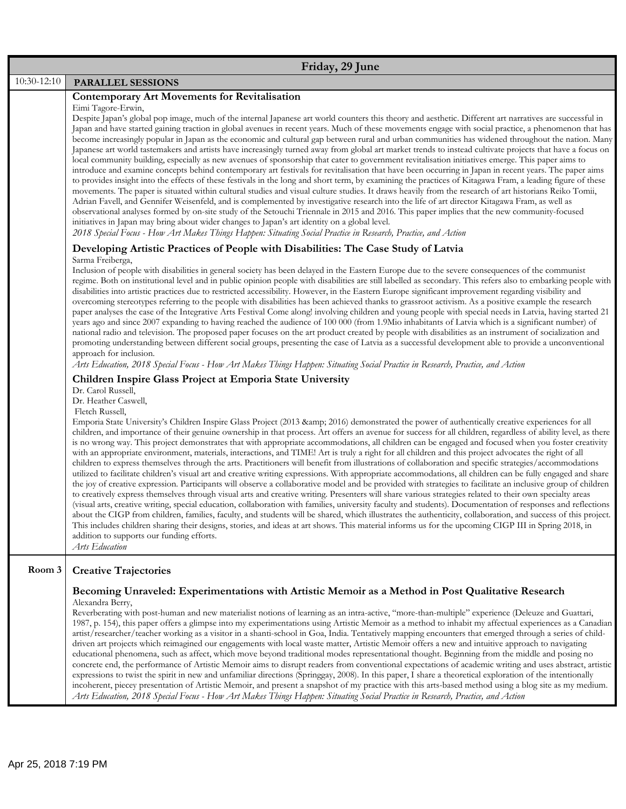|             | Friday, 29 June                                                                                                                                                                                                                                                                                                                                                                                                                                                                                                                                                                                                                                                                                                                                                                                                                                                                                                                                                                                                                                                                                                                                                                                                                                                                                                                                                                                                                                                                                                                                                                                                                                                                                                                                                                                                                                                                                                                                                           |
|-------------|---------------------------------------------------------------------------------------------------------------------------------------------------------------------------------------------------------------------------------------------------------------------------------------------------------------------------------------------------------------------------------------------------------------------------------------------------------------------------------------------------------------------------------------------------------------------------------------------------------------------------------------------------------------------------------------------------------------------------------------------------------------------------------------------------------------------------------------------------------------------------------------------------------------------------------------------------------------------------------------------------------------------------------------------------------------------------------------------------------------------------------------------------------------------------------------------------------------------------------------------------------------------------------------------------------------------------------------------------------------------------------------------------------------------------------------------------------------------------------------------------------------------------------------------------------------------------------------------------------------------------------------------------------------------------------------------------------------------------------------------------------------------------------------------------------------------------------------------------------------------------------------------------------------------------------------------------------------------------|
| 10:30-12:10 | <b>PARALLEL SESSIONS</b>                                                                                                                                                                                                                                                                                                                                                                                                                                                                                                                                                                                                                                                                                                                                                                                                                                                                                                                                                                                                                                                                                                                                                                                                                                                                                                                                                                                                                                                                                                                                                                                                                                                                                                                                                                                                                                                                                                                                                  |
|             | <b>Contemporary Art Movements for Revitalisation</b><br>Eimi Tagore-Erwin,<br>Despite Japan's global pop image, much of the internal Japanese art world counters this theory and aesthetic. Different art narratives are successful in<br>Japan and have started gaining traction in global avenues in recent years. Much of these movements engage with social practice, a phenomenon that has<br>become increasingly popular in Japan as the economic and cultural gap between rural and urban communities has widened throughout the nation. Many<br>Japanese art world tastemakers and artists have increasingly turned away from global art market trends to instead cultivate projects that have a focus on<br>local community building, especially as new avenues of sponsorship that cater to government revitalisation initiatives emerge. This paper aims to<br>introduce and examine concepts behind contemporary art festivals for revitalisation that have been occurring in Japan in recent years. The paper aims<br>to provides insight into the effects of these festivals in the long and short term, by examining the practices of Kitagawa Fram, a leading figure of these<br>movements. The paper is situated within cultural studies and visual culture studies. It draws heavily from the research of art historians Reiko Tomii,<br>Adrian Favell, and Gennifer Weisenfeld, and is complemented by investigative research into the life of art director Kitagawa Fram, as well as<br>observational analyses formed by on-site study of the Setouchi Triennale in 2015 and 2016. This paper implies that the new community-focused<br>initiatives in Japan may bring about wider changes to Japan's art identity on a global level.<br>2018 Special Focus - How Art Makes Things Happen: Situating Social Practice in Research, Practice, and Action                                                                                                |
|             | Developing Artistic Practices of People with Disabilities: The Case Study of Latvia<br>Sarma Freiberga,<br>Inclusion of people with disabilities in general society has been delayed in the Eastern Europe due to the severe consequences of the communist<br>regime. Both on institutional level and in public opinion people with disabilities are still labelled as secondary. This refers also to embarking people with<br>disabilities into artistic practices due to restricted accessibility. However, in the Eastern Europe significant improvement regarding visibility and<br>overcoming stereotypes referring to the people with disabilities has been achieved thanks to grassroot activism. As a positive example the research<br>paper analyses the case of the Integrative Arts Festival Come along! involving children and young people with special needs in Latvia, having started 21<br>years ago and since 2007 expanding to having reached the audience of 100 000 (from 1.9Mio inhabitants of Latvia which is a significant number) of<br>national radio and television. The proposed paper focuses on the art product created by people with disabilities as an instrument of socialization and<br>promoting understanding between different social groups, presenting the case of Latvia as a successful development able to provide a unconventional<br>approach for inclusion.<br>Arts Education, 2018 Special Focus - How Art Makes Things Happen: Situating Social Practice in Research, Practice, and Action                                                                                                                                                                                                                                                                                                                                                                                                                                 |
|             | Children Inspire Glass Project at Emporia State University<br>Dr. Carol Russell,<br>Dr. Heather Caswell,<br>Fletch Russell,<br>Emporia State University's Children Inspire Glass Project (2013 & 2016) demonstrated the power of authentically creative experiences for all<br>children, and importance of their genuine ownership in that process. Art offers an avenue for success for all children, regardless of ability level, as there<br>is no wrong way. This project demonstrates that with appropriate accommodations, all children can be engaged and focused when you foster creativity<br>with an appropriate environment, materials, interactions, and TIME! Art is truly a right for all children and this project advocates the right of all<br>children to express themselves through the arts. Practitioners will benefit from illustrations of collaboration and specific strategies/accommodations<br>utilized to facilitate children's visual art and creative writing expressions. With appropriate accommodations, all children can be fully engaged and share<br>the joy of creative expression. Participants will observe a collaborative model and be provided with strategies to facilitate an inclusive group of children<br>to creatively express themselves through visual arts and creative writing. Presenters will share various strategies related to their own specialty areas<br>(visual arts, creative writing, special education, collaboration with families, university faculty and students). Documentation of responses and reflections<br>about the CIGP from children, families, faculty, and students will be shared, which illustrates the authenticity, collaboration, and success of this project.<br>This includes children sharing their designs, stories, and ideas at art shows. This material informs us for the upcoming CIGP III in Spring 2018, in<br>addition to supports our funding efforts.<br>Arts Education |
| Room 3      | <b>Creative Trajectories</b><br>Becoming Unraveled: Experimentations with Artistic Memoir as a Method in Post Qualitative Research<br>Alexandra Berry,<br>Reverberating with post-human and new materialist notions of learning as an intra-active, "more-than-multiple" experience (Deleuze and Guattari,<br>1987, p. 154), this paper offers a glimpse into my experimentations using Artistic Memoir as a method to inhabit my affectual experiences as a Canadian<br>artist/researcher/teacher working as a visitor in a shanti-school in Goa, India. Tentatively mapping encounters that emerged through a series of child-<br>driven art projects which reimagined our engagements with local waste matter, Artistic Memoir offers a new and intuitive approach to navigating<br>educational phenomena, such as affect, which move beyond traditional modes representational thought. Beginning from the middle and posing no<br>concrete end, the performance of Artistic Memoir aims to disrupt readers from conventional expectations of academic writing and uses abstract, artistic<br>expressions to twist the spirit in new and unfamiliar directions (Springgay, 2008). In this paper, I share a theoretical exploration of the intentionally<br>incoherent, piecey presentation of Artistic Memoir, and present a snapshot of my practice with this arts-based method using a blog site as my medium.<br>Arts Education, 2018 Special Focus - How Art Makes Things Happen: Situating Social Practice in Research, Practice, and Action                                                                                                                                                                                                                                                                                                                                                                                                                     |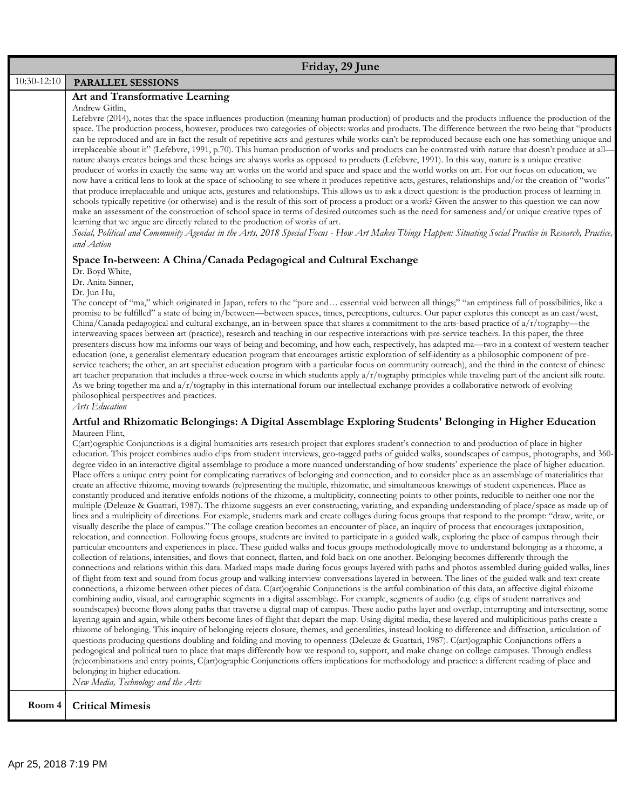|             | Friday, 29 June                                                                                                                                                                                                                                                                                                                                                                                                                                                                                                                                                                                                                                                                                                                                                                                                                                                                                                                                                                                                                                                                                                                                                                                                                                                                                                                                                                                                                                                                                                                                                                                                                                                                                                                                                                                                                                                                                                                                                                                                                                                                                                                                                                                                                                                                                                                                                                                                                                                                                                                                                                                                                                                                                                                                                                                                                                                                                                                                                                                                                                                                                                                                                                                                                                                                                                                                                    |
|-------------|--------------------------------------------------------------------------------------------------------------------------------------------------------------------------------------------------------------------------------------------------------------------------------------------------------------------------------------------------------------------------------------------------------------------------------------------------------------------------------------------------------------------------------------------------------------------------------------------------------------------------------------------------------------------------------------------------------------------------------------------------------------------------------------------------------------------------------------------------------------------------------------------------------------------------------------------------------------------------------------------------------------------------------------------------------------------------------------------------------------------------------------------------------------------------------------------------------------------------------------------------------------------------------------------------------------------------------------------------------------------------------------------------------------------------------------------------------------------------------------------------------------------------------------------------------------------------------------------------------------------------------------------------------------------------------------------------------------------------------------------------------------------------------------------------------------------------------------------------------------------------------------------------------------------------------------------------------------------------------------------------------------------------------------------------------------------------------------------------------------------------------------------------------------------------------------------------------------------------------------------------------------------------------------------------------------------------------------------------------------------------------------------------------------------------------------------------------------------------------------------------------------------------------------------------------------------------------------------------------------------------------------------------------------------------------------------------------------------------------------------------------------------------------------------------------------------------------------------------------------------------------------------------------------------------------------------------------------------------------------------------------------------------------------------------------------------------------------------------------------------------------------------------------------------------------------------------------------------------------------------------------------------------------------------------------------------------------------------------------------------|
| 10:30-12:10 | <b>PARALLEL SESSIONS</b>                                                                                                                                                                                                                                                                                                                                                                                                                                                                                                                                                                                                                                                                                                                                                                                                                                                                                                                                                                                                                                                                                                                                                                                                                                                                                                                                                                                                                                                                                                                                                                                                                                                                                                                                                                                                                                                                                                                                                                                                                                                                                                                                                                                                                                                                                                                                                                                                                                                                                                                                                                                                                                                                                                                                                                                                                                                                                                                                                                                                                                                                                                                                                                                                                                                                                                                                           |
|             | Art and Transformative Learning<br>Andrew Gitlin,<br>Lefebvre (2014), notes that the space influences production (meaning human production) of products and the products influence the production of the<br>space. The production process, however, produces two categories of objects: works and products. The difference between the two being that "products<br>can be reproduced and are in fact the result of repetitive acts and gestures while works can't be reproduced because each one has something unique and<br>irreplaceable about it" (Lefebvre, 1991, p.70). This human production of works and products can be contrasted with nature that doesn't produce at all-<br>nature always creates beings and these beings are always works as opposed to products (Lefebvre, 1991). In this way, nature is a unique creative<br>producer of works in exactly the same way art works on the world and space and space and the world works on art. For our focus on education, we<br>now have a critical lens to look at the space of schooling to see where it produces repetitive acts, gestures, relationships and/or the creation of "works"<br>that produce irreplaceable and unique acts, gestures and relationships. This allows us to ask a direct question: is the production process of learning in<br>schools typically repetitive (or otherwise) and is the result of this sort of process a product or a work? Given the answer to this question we can now<br>make an assessment of the construction of school space in terms of desired outcomes such as the need for sameness and/or unique creative types of<br>learning that we argue are directly related to the production of works of art.<br>Social, Political and Community Agendas in the Arts, 2018 Special Focus - How Art Makes Things Happen: Situating Social Practice in Research, Practice,<br>and Action<br>Space In-between: A China/Canada Pedagogical and Cultural Exchange<br>Dr. Boyd White,<br>Dr. Anita Sinner,<br>Dr. Jun Hu,<br>The concept of "ma," which originated in Japan, refers to the "pure and essential void between all things;" "an emptiness full of possibilities, like a<br>promise to be fulfilled" a state of being in/between-between spaces, times, perceptions, cultures. Our paper explores this concept as an east/west,                                                                                                                                                                                                                                                                                                                                                                                                                                                                                                                                                                                                                                                                                                                                                                                                                                                                                                                                                                                                                   |
|             | China/Canada pedagogical and cultural exchange, an in-between space that shares a commitment to the arts-based practice of a/r/tography—the<br>interweaving spaces between art (practice), research and teaching in our respective interactions with pre-service teachers. In this paper, the three<br>presenters discuss how ma informs our ways of being and becoming, and how each, respectively, has adapted ma-two in a context of western teacher<br>education (one, a generalist elementary education program that encourages artistic exploration of self-identity as a philosophic component of pre-<br>service teachers; the other, an art specialist education program with a particular focus on community outreach), and the third in the context of chinese<br>art teacher preparation that includes a three-week course in which students apply a/r/tography principles while traveling part of the ancient silk route.<br>As we bring together ma and a/r/tography in this international forum our intellectual exchange provides a collaborative network of evolving<br>philosophical perspectives and practices.<br>Arts Education<br>Artful and Rhizomatic Belongings: A Digital Assemblage Exploring Students' Belonging in Higher Education<br>Maureen Flint,<br>C(art)ographic Conjunctions is a digital humanities arts research project that explores student's connection to and production of place in higher                                                                                                                                                                                                                                                                                                                                                                                                                                                                                                                                                                                                                                                                                                                                                                                                                                                                                                                                                                                                                                                                                                                                                                                                                                                                                                                                                                                                                                                                                                                                                                                                                                                                                                                                                                                                                                                                                                                            |
|             | education. This project combines audio clips from student interviews, geo-tagged paths of guided walks, soundscapes of campus, photographs, and 360-<br>degree video in an interactive digital assemblage to produce a more nuanced understanding of how students' experience the place of higher education.<br>Place offers a unique entry point for complicating narratives of belonging and connection, and to consider place as an assemblage of materialities that<br>create an affective rhizome, moving towards (re)presenting the multiple, rhizomatic, and simultaneous knowings of student experiences. Place as<br>constantly produced and iterative enfolds notions of the rhizome, a multiplicity, connecting points to other points, reducible to neither one nor the<br>multiple (Deleuze & Guattari, 1987). The rhizome suggests an ever constructing, variating, and expanding understanding of place/space as made up of<br>lines and a multiplicity of directions. For example, students mark and create collages during focus groups that respond to the prompt: "draw, write, or<br>visually describe the place of campus." The collage creation becomes an encounter of place, an inquiry of process that encourages juxtaposition,<br>relocation, and connection. Following focus groups, students are invited to participate in a guided walk, exploring the place of campus through their<br>particular encounters and experiences in place. These guided walks and focus groups methodologically move to understand belonging as a rhizome, a<br>collection of relations, intensities, and flows that connect, flatten, and fold back on one another. Belonging becomes differently through the<br>connections and relations within this data. Marked maps made during focus groups layered with paths and photos assembled during guided walks, lines<br>of flight from text and sound from focus group and walking interview conversations layered in between. The lines of the guided walk and text create<br>connections, a rhizome between other pieces of data. C(art)ograhic Conjunctions is the artful combination of this data, an affective digital rhizome<br>combining audio, visual, and cartographic segments in a digital assemblage. For example, segments of audio (e.g. clips of student narratives and<br>soundscapes) become flows along paths that traverse a digital map of campus. These audio paths layer and overlap, interrupting and intersecting, some<br>layering again and again, while others become lines of flight that depart the map. Using digital media, these layered and multiplicitious paths create a<br>rhizome of belonging. This inquiry of belonging rejects closure, themes, and generalities, instead looking to difference and diffraction, articulation of<br>questions producing questions doubling and folding and moving to openness (Deleuze & Guattari, 1987). C(art)ographic Conjunctions offers a<br>pedogogical and political turn to place that maps differently how we respond to, support, and make change on college campuses. Through endless<br>(re)combinations and entry points, C(art)ographic Conjunctions offers implications for methodology and practice: a different reading of place and<br>belonging in higher education.<br>New Media, Technology and the Arts |
| Room 4      | <b>Critical Mimesis</b>                                                                                                                                                                                                                                                                                                                                                                                                                                                                                                                                                                                                                                                                                                                                                                                                                                                                                                                                                                                                                                                                                                                                                                                                                                                                                                                                                                                                                                                                                                                                                                                                                                                                                                                                                                                                                                                                                                                                                                                                                                                                                                                                                                                                                                                                                                                                                                                                                                                                                                                                                                                                                                                                                                                                                                                                                                                                                                                                                                                                                                                                                                                                                                                                                                                                                                                                            |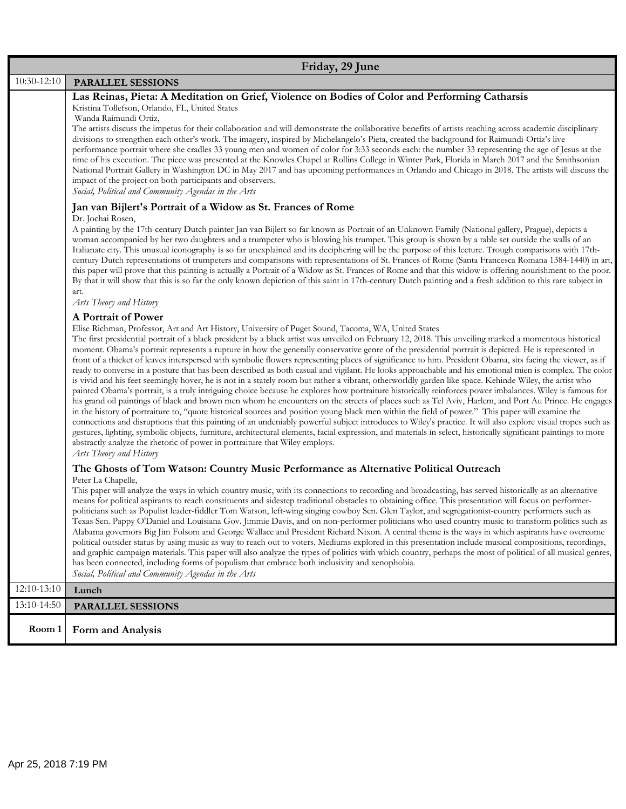|             | Friday, 29 June                                                                                                                                                                                                                                                                                                                                                                                                                                                                                                                                                                                                                                                                                                                                                                                                                                                                                                                                                                                                                                                                                                                                                                                                                                                                                                                                                                                                                                                                                                                                                                                                                                                                                                                                                                                                                                   |  |
|-------------|---------------------------------------------------------------------------------------------------------------------------------------------------------------------------------------------------------------------------------------------------------------------------------------------------------------------------------------------------------------------------------------------------------------------------------------------------------------------------------------------------------------------------------------------------------------------------------------------------------------------------------------------------------------------------------------------------------------------------------------------------------------------------------------------------------------------------------------------------------------------------------------------------------------------------------------------------------------------------------------------------------------------------------------------------------------------------------------------------------------------------------------------------------------------------------------------------------------------------------------------------------------------------------------------------------------------------------------------------------------------------------------------------------------------------------------------------------------------------------------------------------------------------------------------------------------------------------------------------------------------------------------------------------------------------------------------------------------------------------------------------------------------------------------------------------------------------------------------------|--|
| 10:30-12:10 | PARALLEL SESSIONS                                                                                                                                                                                                                                                                                                                                                                                                                                                                                                                                                                                                                                                                                                                                                                                                                                                                                                                                                                                                                                                                                                                                                                                                                                                                                                                                                                                                                                                                                                                                                                                                                                                                                                                                                                                                                                 |  |
|             | Las Reinas, Pieta: A Meditation on Grief, Violence on Bodies of Color and Performing Catharsis<br>Kristina Tollefson, Orlando, FL, United States<br>Wanda Raimundi Ortiz,<br>The artists discuss the impetus for their collaboration and will demonstrate the collaborative benefits of artists reaching across academic disciplinary<br>divisions to strengthen each other's work. The imagery, inspired by Michelangelo's Pieta, created the background for Raimundi-Ortiz's live<br>performance portrait where she cradles 33 young men and women of color for 3:33 seconds each: the number 33 representing the age of Jesus at the<br>time of his execution. The piece was presented at the Knowles Chapel at Rollins College in Winter Park, Florida in March 2017 and the Smithsonian<br>National Portrait Gallery in Washington DC in May 2017 and has upcoming performances in Orlando and Chicago in 2018. The artists will discuss the<br>impact of the project on both participants and observers.<br>Social, Political and Community Agendas in the Arts                                                                                                                                                                                                                                                                                                                                                                                                                                                                                                                                                                                                                                                                                                                                                                             |  |
|             | Jan van Bijlert's Portrait of a Widow as St. Frances of Rome<br>Dr. Jochai Rosen,<br>A painting by the 17th-century Dutch painter Jan van Bijlert so far known as Portrait of an Unknown Family (National gallery, Prague), depicts a<br>woman accompanied by her two daughters and a trumpeter who is blowing his trumpet. This group is shown by a table set outside the walls of an<br>Italianate city. This unusual iconography is so far unexplained and its deciphering will be the purpose of this lecture. Trough comparisons with 17th-<br>century Dutch representations of trumpeters and comparisons with representations of St. Frances of Rome (Santa Francesca Romana 1384-1440) in art,<br>this paper will prove that this painting is actually a Portrait of a Widow as St. Frances of Rome and that this widow is offering nourishment to the poor.<br>By that it will show that this is so far the only known depiction of this saint in 17th-century Dutch painting and a fresh addition to this rare subject in<br>art.<br>Arts Theory and History                                                                                                                                                                                                                                                                                                                                                                                                                                                                                                                                                                                                                                                                                                                                                                            |  |
|             | A Portrait of Power<br>Elise Richman, Professor, Art and Art History, University of Puget Sound, Tacoma, WA, United States<br>The first presidential portrait of a black president by a black artist was unveiled on February 12, 2018. This unveiling marked a momentous historical<br>moment. Obama's portrait represents a rupture in how the generally conservative genre of the presidential portrait is depicted. He is represented in<br>front of a thicket of leaves interspersed with symbolic flowers representing places of significance to him. President Obama, sits facing the viewer, as if<br>ready to converse in a posture that has been described as both casual and vigilant. He looks approachable and his emotional mien is complex. The color<br>is vivid and his feet seemingly hover, he is not in a stately room but rather a vibrant, otherworldly garden like space. Kehinde Wiley, the artist who<br>painted Obama's portrait, is a truly intriguing choice because he explores how portraiture historically reinforces power imbalances. Wiley is famous for<br>his grand oil paintings of black and brown men whom he encounters on the streets of places such as Tel Aviv, Harlem, and Port Au Prince. He engages<br>in the history of portraiture to, "quote historical sources and position young black men within the field of power." This paper will examine the<br>connections and disruptions that this painting of an undeniably powerful subject introduces to Wiley's practice. It will also explore visual tropes such as<br>gestures, lighting, symbolic objects, furniture, architectural elements, facial expression, and materials in select, historically significant paintings to more<br>abstractly analyze the rhetoric of power in portraiture that Wiley employs.<br>Arts Theory and History |  |
|             | The Ghosts of Tom Watson: Country Music Performance as Alternative Political Outreach<br>Peter La Chapelle,<br>This paper will analyze the ways in which country music, with its connections to recording and broadcasting, has served historically as an alternative<br>means for political aspirants to reach constituents and sidestep traditional obstacles to obtaining office. This presentation will focus on performer-<br>politicians such as Populist leader-fiddler Tom Watson, left-wing singing cowboy Sen. Glen Taylor, and segregationist-country performers such as<br>Texas Sen. Pappy O'Daniel and Louisiana Gov. Jimmie Davis, and on non-performer politicians who used country music to transform politics such as<br>Alabama governors Big Jim Folsom and George Wallace and President Richard Nixon. A central theme is the ways in which aspirants have overcome<br>political outsider status by using music as way to reach out to voters. Mediums explored in this presentation include musical compositions, recordings,<br>and graphic campaign materials. This paper will also analyze the types of politics with which country, perhaps the most of political of all musical genres,<br>has been connected, including forms of populism that embrace both inclusivity and xenophobia.<br>Social, Political and Community Agendas in the Arts                                                                                                                                                                                                                                                                                                                                                                                                                                                                        |  |
| 12:10-13:10 | Lunch                                                                                                                                                                                                                                                                                                                                                                                                                                                                                                                                                                                                                                                                                                                                                                                                                                                                                                                                                                                                                                                                                                                                                                                                                                                                                                                                                                                                                                                                                                                                                                                                                                                                                                                                                                                                                                             |  |
| 13:10-14:50 | <b>PARALLEL SESSIONS</b>                                                                                                                                                                                                                                                                                                                                                                                                                                                                                                                                                                                                                                                                                                                                                                                                                                                                                                                                                                                                                                                                                                                                                                                                                                                                                                                                                                                                                                                                                                                                                                                                                                                                                                                                                                                                                          |  |
| Room 1      | Form and Analysis                                                                                                                                                                                                                                                                                                                                                                                                                                                                                                                                                                                                                                                                                                                                                                                                                                                                                                                                                                                                                                                                                                                                                                                                                                                                                                                                                                                                                                                                                                                                                                                                                                                                                                                                                                                                                                 |  |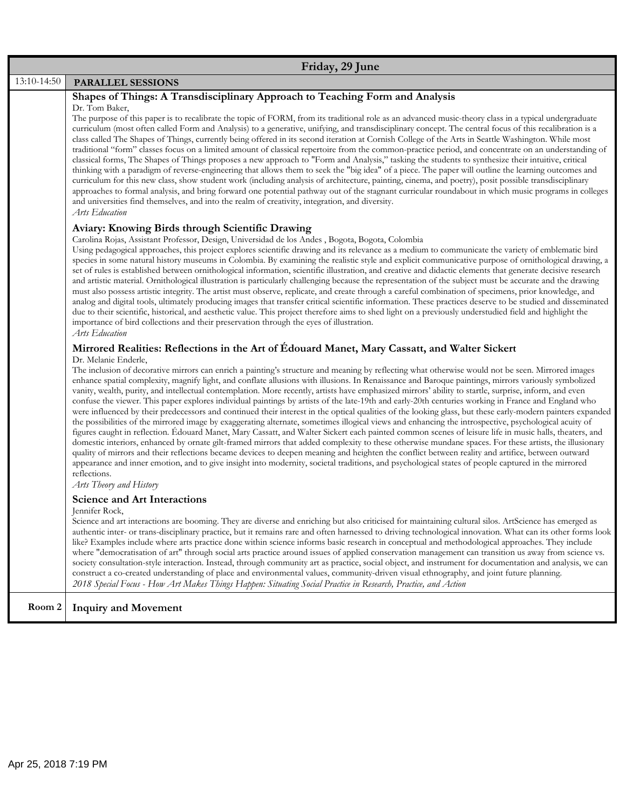| Friday, 29 June |                                                                                                                                                                                                                                                                                                                                                                                                                                                                                                                                                                                                                                                                                                                                                                                                                                                                                                                                                                                                                                                                                                                                                                                                                                                                                                                                                                                                                                                                                                                                                                                                                                                                                                                                                      |
|-----------------|------------------------------------------------------------------------------------------------------------------------------------------------------------------------------------------------------------------------------------------------------------------------------------------------------------------------------------------------------------------------------------------------------------------------------------------------------------------------------------------------------------------------------------------------------------------------------------------------------------------------------------------------------------------------------------------------------------------------------------------------------------------------------------------------------------------------------------------------------------------------------------------------------------------------------------------------------------------------------------------------------------------------------------------------------------------------------------------------------------------------------------------------------------------------------------------------------------------------------------------------------------------------------------------------------------------------------------------------------------------------------------------------------------------------------------------------------------------------------------------------------------------------------------------------------------------------------------------------------------------------------------------------------------------------------------------------------------------------------------------------------|
| 13:10-14:50     | PARALLEL SESSIONS                                                                                                                                                                                                                                                                                                                                                                                                                                                                                                                                                                                                                                                                                                                                                                                                                                                                                                                                                                                                                                                                                                                                                                                                                                                                                                                                                                                                                                                                                                                                                                                                                                                                                                                                    |
|                 | Shapes of Things: A Transdisciplinary Approach to Teaching Form and Analysis<br>Dr. Tom Baker,<br>The purpose of this paper is to recalibrate the topic of FORM, from its traditional role as an advanced music-theory class in a typical undergraduate<br>curriculum (most often called Form and Analysis) to a generative, unifying, and transdisciplinary concept. The central focus of this recalibration is a<br>class called The Shapes of Things, currently being offered in its second iteration at Cornish College of the Arts in Seattle Washington. While most<br>traditional "form" classes focus on a limited amount of classical repertoire from the common-practice period, and concentrate on an understanding of<br>classical forms, The Shapes of Things proposes a new approach to "Form and Analysis," tasking the students to synthesize their intuitive, critical<br>thinking with a paradigm of reverse-engineering that allows them to seek the "big idea" of a piece. The paper will outline the learning outcomes and<br>curriculum for this new class, show student work (including analysis of architecture, painting, cinema, and poetry), posit possible transdisciplinary<br>approaches to formal analysis, and bring forward one potential pathway out of the stagnant curricular roundabout in which music programs in colleges<br>and universities find themselves, and into the realm of creativity, integration, and diversity.<br>Arts Education                                                                                                                                                                                                                                                                |
|                 | Aviary: Knowing Birds through Scientific Drawing<br>Carolina Rojas, Assistant Professor, Design, Universidad de los Andes, Bogota, Bogota, Colombia<br>Using pedagogical approaches, this project explores scientific drawing and its relevance as a medium to communicate the variety of emblematic bird<br>species in some natural history museums in Colombia. By examining the realistic style and explicit communicative purpose of ornithological drawing, a<br>set of rules is established between ornithological information, scientific illustration, and creative and didactic elements that generate decisive research<br>and artistic material. Omithological illustration is particularly challenging because the representation of the subject must be accurate and the drawing<br>must also possess artistic integrity. The artist must observe, replicate, and create through a careful combination of specimens, prior knowledge, and<br>analog and digital tools, ultimately producing images that transfer critical scientific information. These practices deserve to be studied and disseminated<br>due to their scientific, historical, and aesthetic value. This project therefore aims to shed light on a previously understudied field and highlight the<br>importance of bird collections and their preservation through the eyes of illustration.<br>Arts Education                                                                                                                                                                                                                                                                                                                                                       |
|                 | Mirrored Realities: Reflections in the Art of Édouard Manet, Mary Cassatt, and Walter Sickert<br>Dr. Melanie Enderle,<br>The inclusion of decorative mirrors can enrich a painting's structure and meaning by reflecting what otherwise would not be seen. Mirrored images<br>enhance spatial complexity, magnify light, and conflate allusions with illusions. In Renaissance and Baroque paintings, mirrors variously symbolized<br>vanity, wealth, purity, and intellectual contemplation. More recently, artists have emphasized mirrors' ability to startle, surprise, inform, and even<br>confuse the viewer. This paper explores individual paintings by artists of the late-19th and early-20th centuries working in France and England who<br>were influenced by their predecessors and continued their interest in the optical qualities of the looking glass, but these early-modern painters expanded<br>the possibilities of the mirrored image by exaggerating alternate, sometimes illogical views and enhancing the introspective, psychological acuity of<br>figures caught in reflection. Édouard Manet, Mary Cassatt, and Walter Sickert each painted common scenes of leisure life in music halls, theaters, and<br>domestic interiors, enhanced by ornate gilt-framed mirrors that added complexity to these otherwise mundane spaces. For these artists, the illusionary<br>quality of mirrors and their reflections became devices to deepen meaning and heighten the conflict between reality and artifice, between outward<br>appearance and inner emotion, and to give insight into modernity, societal traditions, and psychological states of people captured in the mirrored<br>reflections.<br>Arts Theory and History |
|                 | <b>Science and Art Interactions</b><br>Jennifer Rock,<br>Science and art interactions are booming. They are diverse and enriching but also criticised for maintaining cultural silos. ArtScience has emerged as<br>authentic inter- or trans-disciplinary practice, but it remains rare and often harnessed to driving technological innovation. What can its other forms look<br>like? Examples include where arts practice done within science informs basic research in conceptual and methodological approaches. They include<br>where "democratisation of art" through social arts practice around issues of applied conservation management can transition us away from science vs.<br>society consultation-style interaction. Instead, through community art as practice, social object, and instrument for documentation and analysis, we can<br>construct a co-created understanding of place and environmental values, community-driven visual ethnography, and joint future planning.<br>2018 Special Focus - How Art Makes Things Happen: Situating Social Practice in Research, Practice, and Action                                                                                                                                                                                                                                                                                                                                                                                                                                                                                                                                                                                                                                    |
| Room 2          | <b>Inquiry and Movement</b>                                                                                                                                                                                                                                                                                                                                                                                                                                                                                                                                                                                                                                                                                                                                                                                                                                                                                                                                                                                                                                                                                                                                                                                                                                                                                                                                                                                                                                                                                                                                                                                                                                                                                                                          |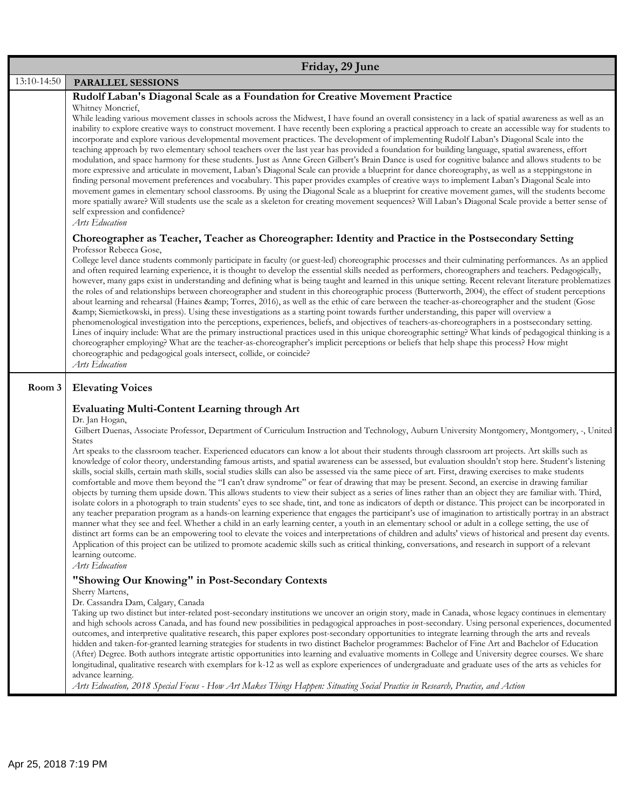| Friday, 29 June |                                                                                                                                                                                                                                                                                                                                                                                                                                                                                                                                                                                                                                                                                                                                                                                                                                                                                                                                                                                                                                                                                                                                                                                                                                                                                                                                                                                                                                                                                                                                                                                                                                                                                                                                                                                                                                                                                                                                                                                                                                                                                                                                                                                                                                                                                                                                                                                                                                                                                                           |
|-----------------|-----------------------------------------------------------------------------------------------------------------------------------------------------------------------------------------------------------------------------------------------------------------------------------------------------------------------------------------------------------------------------------------------------------------------------------------------------------------------------------------------------------------------------------------------------------------------------------------------------------------------------------------------------------------------------------------------------------------------------------------------------------------------------------------------------------------------------------------------------------------------------------------------------------------------------------------------------------------------------------------------------------------------------------------------------------------------------------------------------------------------------------------------------------------------------------------------------------------------------------------------------------------------------------------------------------------------------------------------------------------------------------------------------------------------------------------------------------------------------------------------------------------------------------------------------------------------------------------------------------------------------------------------------------------------------------------------------------------------------------------------------------------------------------------------------------------------------------------------------------------------------------------------------------------------------------------------------------------------------------------------------------------------------------------------------------------------------------------------------------------------------------------------------------------------------------------------------------------------------------------------------------------------------------------------------------------------------------------------------------------------------------------------------------------------------------------------------------------------------------------------------------|
| 13:10-14:50     | PARALLEL SESSIONS                                                                                                                                                                                                                                                                                                                                                                                                                                                                                                                                                                                                                                                                                                                                                                                                                                                                                                                                                                                                                                                                                                                                                                                                                                                                                                                                                                                                                                                                                                                                                                                                                                                                                                                                                                                                                                                                                                                                                                                                                                                                                                                                                                                                                                                                                                                                                                                                                                                                                         |
|                 | Rudolf Laban's Diagonal Scale as a Foundation for Creative Movement Practice<br>Whitney Moncrief,<br>While leading various movement classes in schools across the Midwest, I have found an overall consistency in a lack of spatial awareness as well as an<br>inability to explore creative ways to construct movement. I have recently been exploring a practical approach to create an accessible way for students to<br>incorporate and explore various developmental movement practices. The development of implementing Rudolf Laban's Diagonal Scale into the<br>teaching approach by two elementary school teachers over the last year has provided a foundation for building language, spatial awareness, effort<br>modulation, and space harmony for these students. Just as Anne Green Gilbert's Brain Dance is used for cognitive balance and allows students to be<br>more expressive and articulate in movement, Laban's Diagonal Scale can provide a blueprint for dance choreography, as well as a steppingstone in<br>finding personal movement preferences and vocabulary. This paper provides examples of creative ways to implement Laban's Diagonal Scale into<br>movement games in elementary school classrooms. By using the Diagonal Scale as a blueprint for creative movement games, will the students become<br>more spatially aware? Will students use the scale as a skeleton for creating movement sequences? Will Laban's Diagonal Scale provide a better sense of<br>self expression and confidence?<br>Arts Education                                                                                                                                                                                                                                                                                                                                                                                                                                                                                                                                                                                                                                                                                                                                                                                                                                                                                                                                                    |
|                 | Choreographer as Teacher, Teacher as Choreographer: Identity and Practice in the Postsecondary Setting<br>Professor Rebecca Gose,<br>College level dance students commonly participate in faculty (or guest-led) choreographic processes and their culminating performances. As an applied<br>and often required learning experience, it is thought to develop the essential skills needed as performers, choreographers and teachers. Pedagogically,<br>however, many gaps exist in understanding and defining what is being taught and learned in this unique setting. Recent relevant literature problematizes<br>the roles of and relationships between choreographer and student in this choreographic process (Butterworth, 2004), the effect of student perceptions<br>about learning and rehearsal (Haines & Torres, 2016), as well as the ethic of care between the teacher-as-choreographer and the student (Gose<br>& Siemietkowski, in press). Using these investigations as a starting point towards further understanding, this paper will overview a<br>phenomenological investigation into the perceptions, experiences, beliefs, and objectives of teachers-as-choreographers in a postsecondary setting.<br>Lines of inquiry include: What are the primary instructional practices used in this unique choreographic setting? What kinds of pedagogical thinking is a<br>choreographer employing? What are the teacher-as-choreographer's implicit perceptions or beliefs that help shape this process? How might<br>choreographic and pedagogical goals intersect, collide, or coincide?<br>Arts Education                                                                                                                                                                                                                                                                                                                                                                                                                                                                                                                                                                                                                                                                                                                                                                                                                                                                             |
| Room 3          | <b>Elevating Voices</b><br><b>Evaluating Multi-Content Learning through Art</b><br>Dr. Jan Hogan,<br>Gilbert Duenas, Associate Professor, Department of Curriculum Instruction and Technology, Auburn University Montgomery, Montgomery, -, United<br><b>States</b><br>Art speaks to the classroom teacher. Experienced educators can know a lot about their students through classroom art projects. Art skills such as<br>knowledge of color theory, understanding famous artists, and spatial awareness can be assessed, but evaluation shouldn't stop here. Student's listening<br>skills, social skills, certain math skills, social studies skills can also be assessed via the same piece of art. First, drawing exercises to make students<br>comfortable and move them beyond the "I can't draw syndrome" or fear of drawing that may be present. Second, an exercise in drawing familiar<br>objects by turning them upside down. This allows students to view their subject as a series of lines rather than an object they are familiar with. Third,<br>isolate colors in a photograph to train students' eyes to see shade, tint, and tone as indicators of depth or distance. This project can be incorporated in<br>any teacher preparation program as a hands-on learning experience that engages the participant's use of imagination to artistically portray in an abstract<br>manner what they see and feel. Whether a child in an early learning center, a youth in an elementary school or adult in a college setting, the use of<br>distinct art forms can be an empowering tool to elevate the voices and interpretations of children and adults' views of historical and present day events.<br>Application of this project can be utilized to promote academic skills such as critical thinking, conversations, and research in support of a relevant<br>learning outcome.<br>Arts Education<br>"Showing Our Knowing" in Post-Secondary Contexts<br>Sherry Martens,<br>Dr. Cassandra Dam, Calgary, Canada<br>Taking up two distinct but inter-related post-secondary institutions we uncover an origin story, made in Canada, whose legacy continues in elementary<br>and high schools across Canada, and has found new possibilities in pedagogical approaches in post-secondary. Using personal experiences, documented<br>outcomes, and interpretive qualitative research, this paper explores post-secondary opportunities to integrate learning through the arts and reveals |
|                 | hidden and taken-for-granted learning strategies for students in two distinct Bachelor programmes: Bachelor of Fine Art and Bachelor of Education<br>(After) Degree. Both authors integrate artistic opportunities into learning and evaluative moments in College and University degree courses. We share<br>longitudinal, qualitative research with exemplars for k-12 as well as explore experiences of undergraduate and graduate uses of the arts as vehicles for<br>advance learning.<br>Arts Education, 2018 Special Focus - How Art Makes Things Happen: Situating Social Practice in Research, Practice, and Action                                                                                                                                                                                                                                                                                                                                                                                                                                                                                                                                                                                                                                                                                                                                                                                                                                                                                                                                                                                                                                                                                                                                                                                                                                                                                                                                                                                                                                                                                                                                                                                                                                                                                                                                                                                                                                                                              |
|                 |                                                                                                                                                                                                                                                                                                                                                                                                                                                                                                                                                                                                                                                                                                                                                                                                                                                                                                                                                                                                                                                                                                                                                                                                                                                                                                                                                                                                                                                                                                                                                                                                                                                                                                                                                                                                                                                                                                                                                                                                                                                                                                                                                                                                                                                                                                                                                                                                                                                                                                           |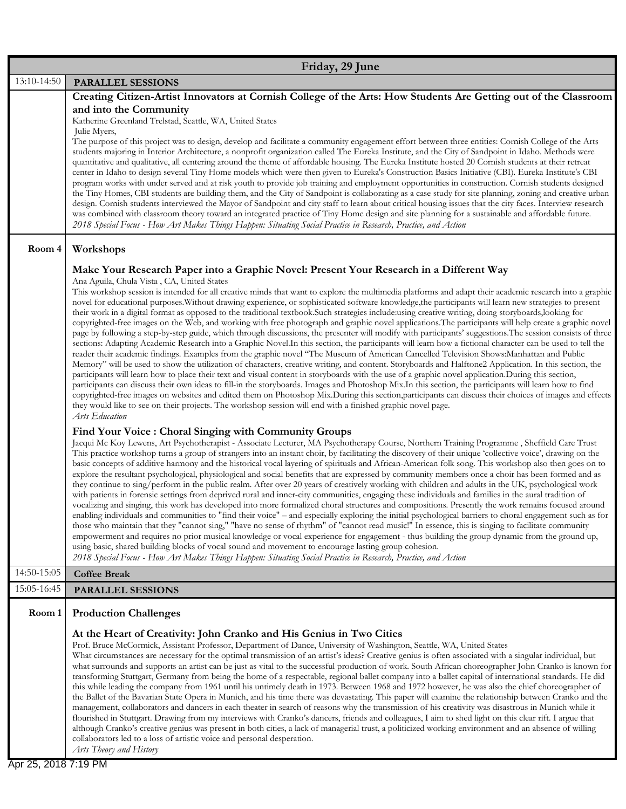| 13:10-14:50<br>Julie Myers,<br>Room 4<br>Workshops                                                                         | <b>PARALLEL SESSIONS</b><br>Creating Citizen-Artist Innovators at Cornish College of the Arts: How Students Are Getting out of the Classroom<br>and into the Community<br>Katherine Greenland Trelstad, Seattle, WA, United States<br>The purpose of this project was to design, develop and facilitate a community engagement effort between three entities: Cornish College of the Arts<br>students majoring in Interior Architecture, a nonprofit organization called The Eureka Institute, and the City of Sandpoint in Idaho. Methods were<br>quantitative and qualitative, all centering around the theme of affordable housing. The Eureka Institute hosted 20 Cornish students at their retreat<br>center in Idaho to design several Tiny Home models which were then given to Eureka's Construction Basics Initiative (CBI). Eureka Institute's CBI<br>program works with under served and at risk youth to provide job training and employment opportunities in construction. Cornish students designed                                                                                                                                                                                                                                                                                                                                                                                                                                                                                                                                                                                                                                                                                                                                                                                                                                           |
|----------------------------------------------------------------------------------------------------------------------------|-------------------------------------------------------------------------------------------------------------------------------------------------------------------------------------------------------------------------------------------------------------------------------------------------------------------------------------------------------------------------------------------------------------------------------------------------------------------------------------------------------------------------------------------------------------------------------------------------------------------------------------------------------------------------------------------------------------------------------------------------------------------------------------------------------------------------------------------------------------------------------------------------------------------------------------------------------------------------------------------------------------------------------------------------------------------------------------------------------------------------------------------------------------------------------------------------------------------------------------------------------------------------------------------------------------------------------------------------------------------------------------------------------------------------------------------------------------------------------------------------------------------------------------------------------------------------------------------------------------------------------------------------------------------------------------------------------------------------------------------------------------------------------------------------------------------------------------------------------------|
|                                                                                                                            |                                                                                                                                                                                                                                                                                                                                                                                                                                                                                                                                                                                                                                                                                                                                                                                                                                                                                                                                                                                                                                                                                                                                                                                                                                                                                                                                                                                                                                                                                                                                                                                                                                                                                                                                                                                                                                                             |
|                                                                                                                            |                                                                                                                                                                                                                                                                                                                                                                                                                                                                                                                                                                                                                                                                                                                                                                                                                                                                                                                                                                                                                                                                                                                                                                                                                                                                                                                                                                                                                                                                                                                                                                                                                                                                                                                                                                                                                                                             |
|                                                                                                                            | the Tiny Homes, CBI students are building them, and the City of Sandpoint is collaborating as a case study for site planning, zoning and creative urban<br>design. Cornish students interviewed the Mayor of Sandpoint and city staff to learn about critical housing issues that the city faces. Interview research<br>was combined with classroom theory toward an integrated practice of Tiny Home design and site planning for a sustainable and affordable future.<br>2018 Special Focus - How Art Makes Things Happen: Situating Social Practice in Research, Practice, and Action                                                                                                                                                                                                                                                                                                                                                                                                                                                                                                                                                                                                                                                                                                                                                                                                                                                                                                                                                                                                                                                                                                                                                                                                                                                                    |
|                                                                                                                            |                                                                                                                                                                                                                                                                                                                                                                                                                                                                                                                                                                                                                                                                                                                                                                                                                                                                                                                                                                                                                                                                                                                                                                                                                                                                                                                                                                                                                                                                                                                                                                                                                                                                                                                                                                                                                                                             |
|                                                                                                                            | Make Your Research Paper into a Graphic Novel: Present Your Research in a Different Way<br>Ana Aguila, Chula Vista, CA, United States                                                                                                                                                                                                                                                                                                                                                                                                                                                                                                                                                                                                                                                                                                                                                                                                                                                                                                                                                                                                                                                                                                                                                                                                                                                                                                                                                                                                                                                                                                                                                                                                                                                                                                                       |
| Arts Education                                                                                                             | This workshop session is intended for all creative minds that want to explore the multimedia platforms and adapt their academic research into a graphic<br>novel for educational purposes. Without drawing experience, or sophisticated software knowledge, the participants will learn new strategies to present<br>their work in a digital format as opposed to the traditional textbook.Such strategies include:using creative writing, doing storyboards,looking for<br>copyrighted-free images on the Web, and working with free photograph and graphic novel applications. The participants will help create a graphic novel<br>page by following a step-by-step guide, which through discussions, the presenter will modify with participants' suggestions. The session consists of three<br>sections: Adapting Academic Research into a Graphic Novel.In this section, the participants will learn how a fictional character can be used to tell the<br>reader their academic findings. Examples from the graphic novel "The Museum of American Cancelled Television Shows: Manhattan and Public<br>Memory" will be used to show the utilization of characters, creative writing, and content. Storyboards and Halftone2 Application. In this section, the<br>participants will learn how to place their text and visual content in storyboards with the use of a graphic novel application. During this section,<br>participants can discuss their own ideas to fill-in the storyboards. Images and Photoshop Mix.In this section, the participants will learn how to find<br>copyrighted-free images on websites and edited them on Photoshop Mix.During this section,participants can discuss their choices of images and effects<br>they would like to see on their projects. The workshop session will end with a finished graphic novel page. |
|                                                                                                                            | Find Your Voice : Choral Singing with Community Groups<br>Jacqui Mc Koy Lewens, Art Psychotherapist - Associate Lecturer, MA Psychotherapy Course, Northern Training Programme, Sheffield Care Trust<br>This practice workshop turns a group of strangers into an instant choir, by facilitating the discovery of their unique 'collective voice', drawing on the<br>basic concepts of additive harmony and the historical vocal layering of spirituals and African-American folk song. This workshop also then goes on to<br>explore the resultant psychological, physiological and social benefits that are expressed by community members once a choir has been formed and as<br>they continue to sing/perform in the public realm. After over 20 years of creatively working with children and adults in the UK, psychological work<br>with patients in forensic settings from deprived rural and inner-city communities, engaging these individuals and families in the aural tradition of<br>vocalizing and singing, this work has developed into more formalized choral structures and compositions. Presently the work remains focused around<br>enabling individuals and communities to "find their voice" - and especially exploring the initial psychological barriers to choral engagement such as for<br>those who maintain that they "cannot sing," "have no sense of rhythm" of "cannot read music!" In essence, this is singing to facilitate community<br>empowerment and requires no prior musical knowledge or vocal experience for engagement - thus building the group dynamic from the ground up,<br>using basic, shared building blocks of vocal sound and movement to encourage lasting group cohesion.<br>2018 Special Focus - How Art Makes Things Happen: Situating Social Practice in Research, Practice, and Action            |
| 14:50-15:05<br><b>Coffee Break</b>                                                                                         |                                                                                                                                                                                                                                                                                                                                                                                                                                                                                                                                                                                                                                                                                                                                                                                                                                                                                                                                                                                                                                                                                                                                                                                                                                                                                                                                                                                                                                                                                                                                                                                                                                                                                                                                                                                                                                                             |
| 15:05-16:45                                                                                                                | <b>PARALLEL SESSIONS</b>                                                                                                                                                                                                                                                                                                                                                                                                                                                                                                                                                                                                                                                                                                                                                                                                                                                                                                                                                                                                                                                                                                                                                                                                                                                                                                                                                                                                                                                                                                                                                                                                                                                                                                                                                                                                                                    |
| Room 1                                                                                                                     | <b>Production Challenges</b>                                                                                                                                                                                                                                                                                                                                                                                                                                                                                                                                                                                                                                                                                                                                                                                                                                                                                                                                                                                                                                                                                                                                                                                                                                                                                                                                                                                                                                                                                                                                                                                                                                                                                                                                                                                                                                |
| collaborators led to a loss of artistic voice and personal desperation.<br>Arts Theory and History<br>Apr 25, 2018 7:19 PM | At the Heart of Creativity: John Cranko and His Genius in Two Cities<br>Prof. Bruce McCormick, Assistant Professor, Department of Dance, University of Washington, Seattle, WA, United States<br>What circumstances are necessary for the optimal transmission of an artist's ideas? Creative genius is often associated with a singular individual, but<br>what surrounds and supports an artist can be just as vital to the successful production of work. South African choreographer John Cranko is known for<br>transforming Stuttgart, Germany from being the home of a respectable, regional ballet company into a ballet capital of international standards. He did<br>this while leading the company from 1961 until his untimely death in 1973. Between 1968 and 1972 however, he was also the chief choreographer of<br>the Ballet of the Bavarian State Opera in Munich, and his time there was devastating. This paper will examine the relationship between Cranko and the<br>management, collaborators and dancers in each theater in search of reasons why the transmission of his creativity was disastrous in Munich while it<br>flourished in Stuttgart. Drawing from my interviews with Cranko's dancers, friends and colleagues, I aim to shed light on this clear rift. I argue that<br>although Cranko's creative genius was present in both cities, a lack of managerial trust, a politicized working environment and an absence of willing                                                                                                                                                                                                                                                                                                                                                                                         |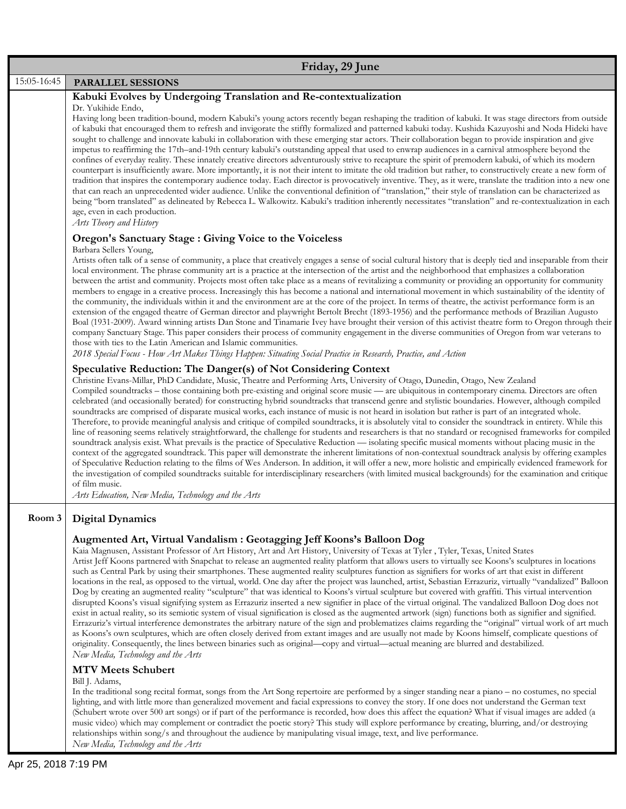| Friday, 29 June |                                                                                                                                                                                                                                                                                                                                                                                                                                                                                                                                                                                                                                                                                                                                                                                                                                                                                                                                                                                                                                                                                                                                                                                                                                                                                                                                                                                                                                                                                                                                                                                                                                                                                                       |
|-----------------|-------------------------------------------------------------------------------------------------------------------------------------------------------------------------------------------------------------------------------------------------------------------------------------------------------------------------------------------------------------------------------------------------------------------------------------------------------------------------------------------------------------------------------------------------------------------------------------------------------------------------------------------------------------------------------------------------------------------------------------------------------------------------------------------------------------------------------------------------------------------------------------------------------------------------------------------------------------------------------------------------------------------------------------------------------------------------------------------------------------------------------------------------------------------------------------------------------------------------------------------------------------------------------------------------------------------------------------------------------------------------------------------------------------------------------------------------------------------------------------------------------------------------------------------------------------------------------------------------------------------------------------------------------------------------------------------------------|
| 15:05-16:45     | PARALLEL SESSIONS                                                                                                                                                                                                                                                                                                                                                                                                                                                                                                                                                                                                                                                                                                                                                                                                                                                                                                                                                                                                                                                                                                                                                                                                                                                                                                                                                                                                                                                                                                                                                                                                                                                                                     |
|                 | Kabuki Evolves by Undergoing Translation and Re-contextualization<br>Dr. Yukihide Endo,<br>Having long been tradition-bound, modern Kabuki's young actors recently began reshaping the tradition of kabuki. It was stage directors from outside<br>of kabuki that encouraged them to refresh and invigorate the stiffly formalized and patterned kabuki today. Kushida Kazuyoshi and Noda Hideki have<br>sought to challenge and innovate kabuki in collaboration with these emerging star actors. Their collaboration began to provide inspiration and give<br>impetus to reaffirming the 17th-and-19th century kabuki's outstanding appeal that used to enwrap audiences in a carnival atmosphere beyond the<br>confines of everyday reality. These innately creative directors adventurously strive to recapture the spirit of premodern kabuki, of which its modern<br>counterpart is insufficiently aware. More importantly, it is not their intent to imitate the old tradition but rather, to constructively create a new form of<br>tradition that inspires the contemporary audience today. Each director is provocatively inventive. They, as it were, translate the tradition into a new one<br>that can reach an unprecedented wider audience. Unlike the conventional definition of "translation," their style of translation can be characterized as<br>being "born translated" as delineated by Rebecca L. Walkowitz. Kabuki's tradition inherently necessitates "translation" and re-contextualization in each<br>age, even in each production.<br>Arts Theory and History                                                                                                            |
|                 | <b>Oregon's Sanctuary Stage : Giving Voice to the Voiceless</b>                                                                                                                                                                                                                                                                                                                                                                                                                                                                                                                                                                                                                                                                                                                                                                                                                                                                                                                                                                                                                                                                                                                                                                                                                                                                                                                                                                                                                                                                                                                                                                                                                                       |
|                 | Barbara Sellers Young,<br>Artists often talk of a sense of community, a place that creatively engages a sense of social cultural history that is deeply tied and inseparable from their<br>local environment. The phrase community art is a practice at the intersection of the artist and the neighborhood that emphasizes a collaboration<br>between the artist and community. Projects most often take place as a means of revitalizing a community or providing an opportunity for community<br>members to engage in a creative process. Increasingly this has become a national and international movement in which sustainability of the identity of<br>the community, the individuals within it and the environment are at the core of the project. In terms of theatre, the activist performance form is an<br>extension of the engaged theatre of German director and playwright Bertolt Brecht (1893-1956) and the performance methods of Brazilian Augusto<br>Boal (1931-2009). Award winning artists Dan Stone and Tinamarie Ivey have brought their version of this activist theatre form to Oregon through their<br>company Sanctuary Stage. This paper considers their process of community engagement in the diverse communities of Oregon from war veterans to<br>those with ties to the Latin American and Islamic communities.<br>2018 Special Focus - How Art Makes Things Happen: Situating Social Practice in Research, Practice, and Action                                                                                                                                                                                                                                    |
|                 | Speculative Reduction: The Danger(s) of Not Considering Context<br>Christine Evans-Millar, PhD Candidate, Music, Theatre and Performing Arts, University of Otago, Dunedin, Otago, New Zealand<br>Compiled soundtracks – those containing both pre-existing and original score music — are ubiquitous in contemporary cinema. Directors are often<br>celebrated (and occasionally berated) for constructing hybrid soundtracks that transcend genre and stylistic boundaries. However, although compiled<br>soundtracks are comprised of disparate musical works, each instance of music is not heard in isolation but rather is part of an integrated whole.<br>Therefore, to provide meaningful analysis and critique of compiled soundtracks, it is absolutely vital to consider the soundtrack in entirety. While this<br>line of reasoning seems relatively straightforward, the challenge for students and researchers is that no standard or recognised frameworks for compiled<br>soundtrack analysis exist. What prevails is the practice of Speculative Reduction — isolating specific musical moments without placing music in the<br>context of the aggregated soundtrack. This paper will demonstrate the inherent limitations of non-contextual soundtrack analysis by offering examples<br>of Speculative Reduction relating to the films of Wes Anderson. In addition, it will offer a new, more holistic and empirically evidenced framework for<br>the investigation of compiled soundtracks suitable for interdisciplinary researchers (with limited musical backgrounds) for the examination and critique<br>of film music.<br>Arts Education, New Media, Technology and the Arts |
| Room 3          | <b>Digital Dynamics</b><br>Augmented Art, Virtual Vandalism : Geotagging Jeff Koons's Balloon Dog<br>Kaia Magnusen, Assistant Professor of Art History, Art and Art History, University of Texas at Tyler, Tyler, Texas, United States<br>Artist Jeff Koons partnered with Snapchat to release an augmented reality platform that allows users to virtually see Koons's sculptures in locations                                                                                                                                                                                                                                                                                                                                                                                                                                                                                                                                                                                                                                                                                                                                                                                                                                                                                                                                                                                                                                                                                                                                                                                                                                                                                                       |

such as Central Park by using their smartphones. These augmented reality sculptures function as signifiers for works of art that exist in different locations in the real, as opposed to the virtual, world. One day after the project was launched, artist, Sebastian Errazuriz, virtually "vandalized" Balloon Dog by creating an augmented reality "sculpture" that was identical to Koons's virtual sculpture but covered with graffiti. This virtual intervention disrupted Koons's visual signifying system as Errazuriz inserted a new signifier in place of the virtual original. The vandalized Balloon Dog does not exist in actual reality, so its semiotic system of visual signification is closed as the augmented artwork (sign) functions both as signifier and signified. Errazuriz's virtual interference demonstrates the arbitrary nature of the sign and problematizes claims regarding the "original" virtual work of art much as Koons's own sculptures, which are often closely derived from extant images and are usually not made by Koons himself, complicate questions of originality. Consequently, the lines between binaries such as original—copy and virtual—actual meaning are blurred and destabilized. *New Media, Technology and the Arts*

## **MTV Meets Schubert**

Bill J. Adams,

In the traditional song recital format, songs from the Art Song repertoire are performed by a singer standing near a piano – no costumes, no special lighting, and with little more than generalized movement and facial expressions to convey the story. If one does not understand the German text (Schubert wrote over 500 art songs) or if part of the performance is recorded, how does this affect the equation? What if visual images are added (a music video) which may complement or contradict the poetic story? This study will explore performance by creating, blurring, and/or destroying relationships within song/s and throughout the audience by manipulating visual image, text, and live performance. *New Media, Technology and the Arts*